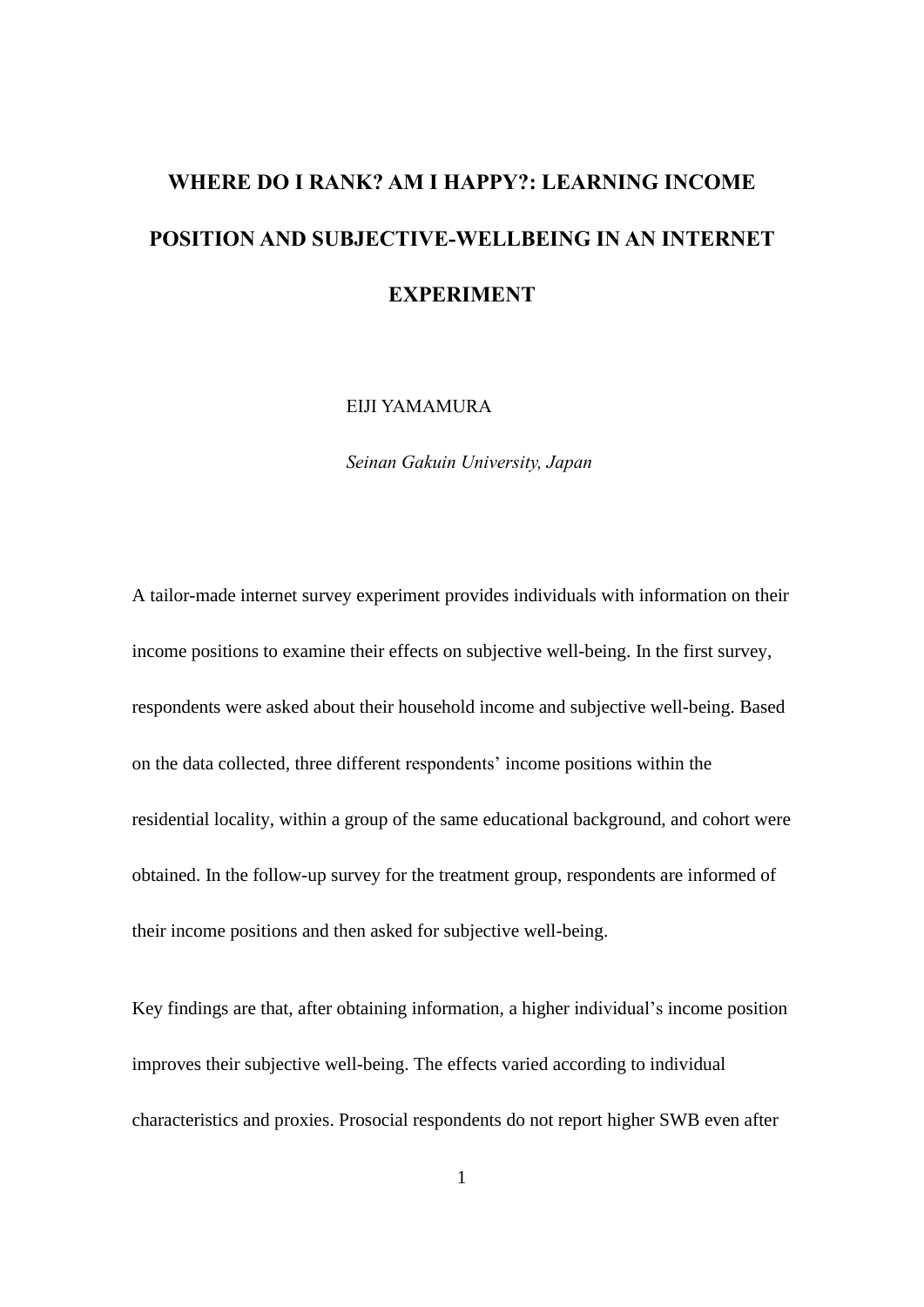# **WHERE DO I RANK? AM I HAPPY?: LEARNING INCOME POSITION AND SUBJECTIVE-WELLBEING IN AN INTERNET EXPERIMENT**

EIJI YAMAMURA

*Seinan Gakuin University, Japan*

A tailor-made internet survey experiment provides individuals with information on their income positions to examine their effects on subjective well-being. In the first survey, respondents were asked about their household income and subjective well-being. Based on the data collected, three different respondents' income positions within the residential locality, within a group of the same educational background, and cohort were obtained. In the follow-up survey for the treatment group, respondents are informed of their income positions and then asked for subjective well-being.

Key findings are that, after obtaining information, a higher individual's income position improves their subjective well-being. The effects varied according to individual characteristics and proxies. Prosocial respondents do not report higher SWB even after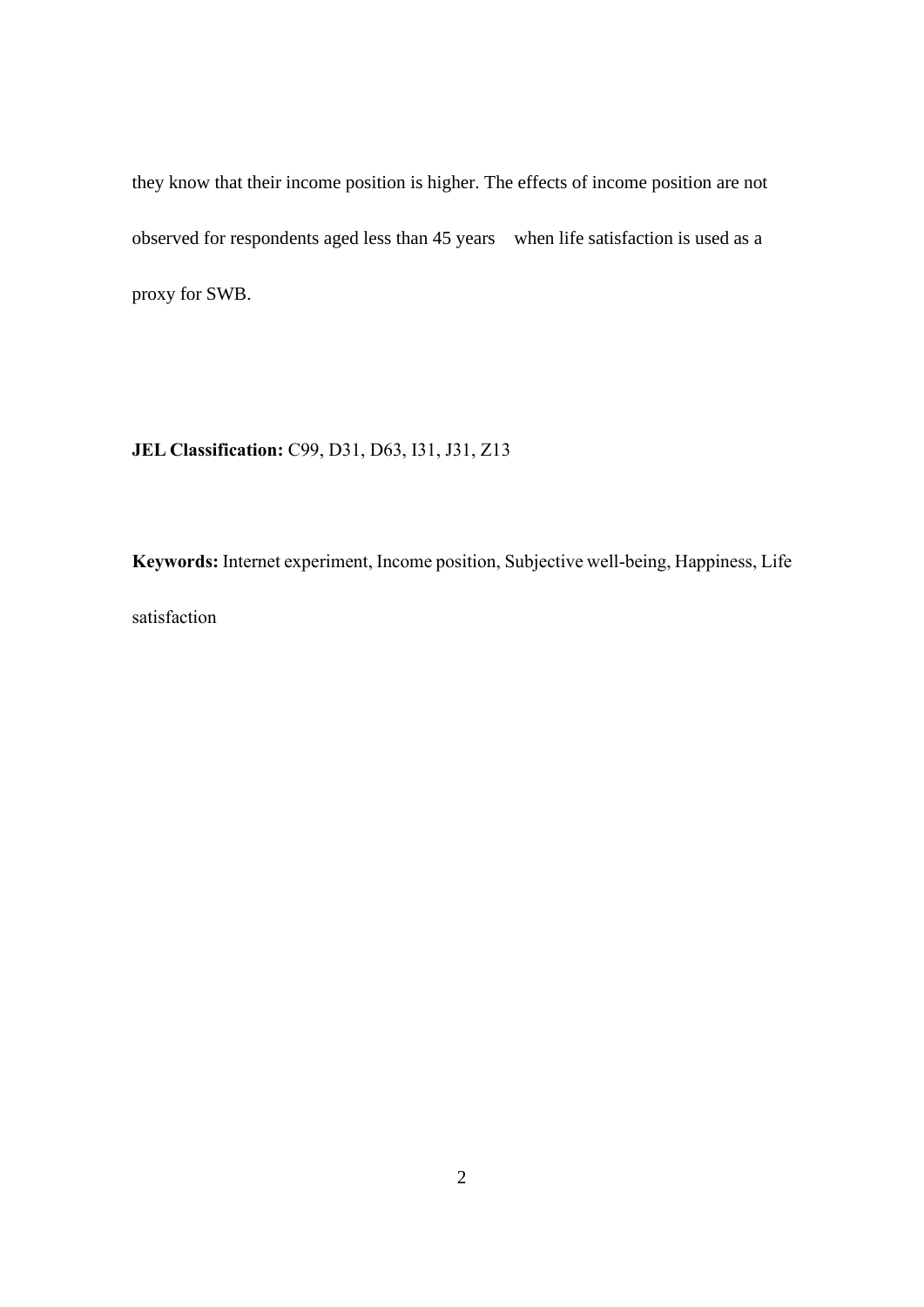they know that their income position is higher. The effects of income position are not observed for respondents aged less than 45 years when life satisfaction is used as a proxy for SWB.

**JEL Classification:** C99, D31, D63, I31, J31, Z13

**Keywords:** Internet experiment, Income position, Subjective well-being, Happiness, Life satisfaction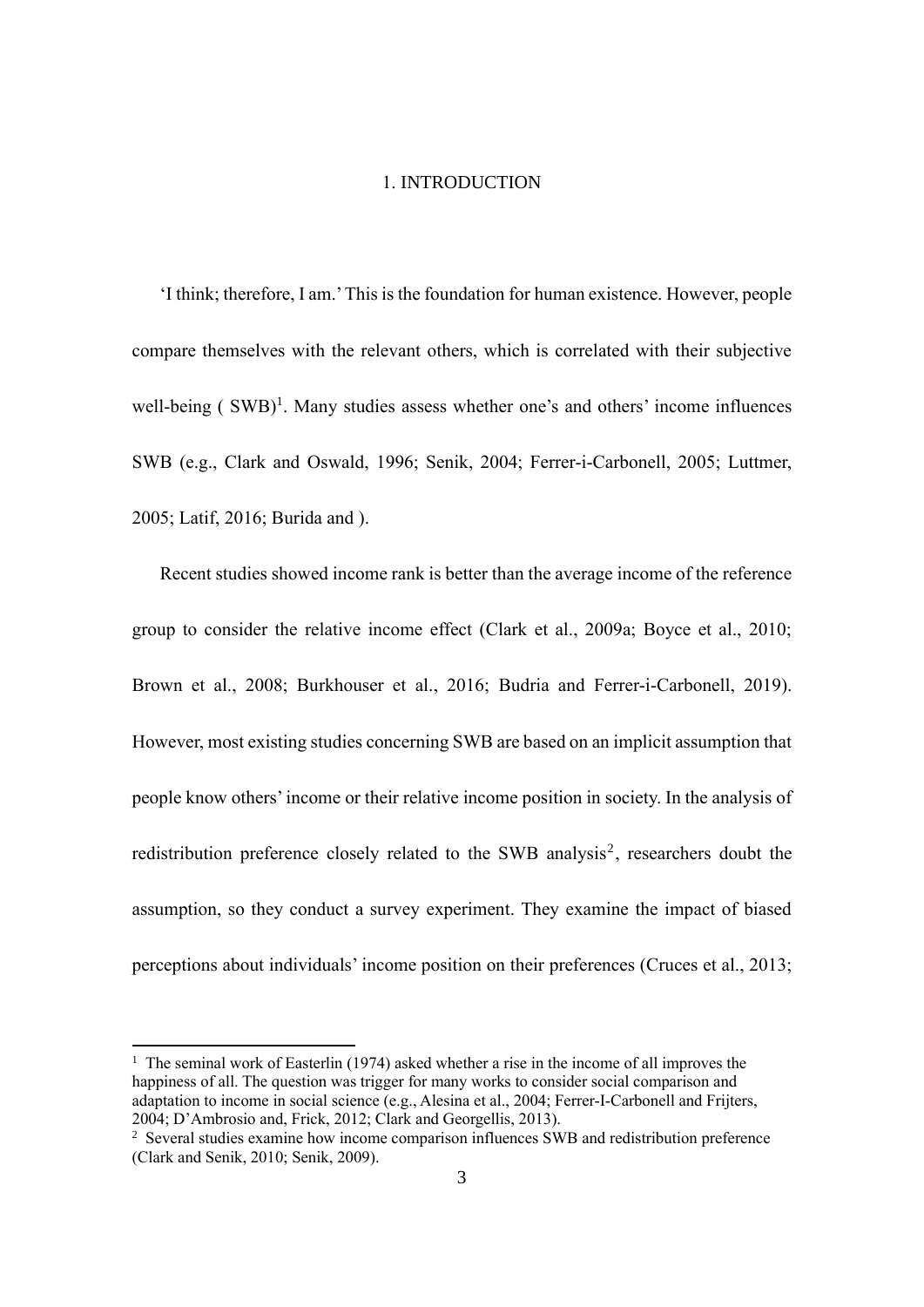#### 1. INTRODUCTION

'I think; therefore, I am.'This is the foundation for human existence. However, people compare themselves with the relevant others, which is correlated with their subjective well-being  $(SWB)^1$ . Many studies assess whether one's and others' income influences SWB (e.g., Clark and Oswald, 1996; Senik, 2004; Ferrer-i-Carbonell, 2005; Luttmer, 2005; Latif, 2016; Burida and ).

Recent studies showed income rank is better than the average income of the reference group to consider the relative income effect (Clark et al., 2009a; Boyce et al., 2010; Brown et al., 2008; Burkhouser et al., 2016; Budria and Ferrer-i-Carbonell, 2019). However, most existing studies concerning SWB are based on an implicit assumption that people know others'income or their relative income position in society. In the analysis of redistribution preference closely related to the SWB analysis<sup>2</sup>, researchers doubt the assumption, so they conduct a survey experiment. They examine the impact of biased perceptions about individuals' income position on their preferences (Cruces et al., 2013;

 $1$  The seminal work of Easterlin (1974) asked whether a rise in the income of all improves the happiness of all. The question was trigger for many works to consider social comparison and adaptation to income in social science (e.g., Alesina et al., 2004; Ferrer-I-Carbonell and Frijters, 2004; D'Ambrosio and, Frick, 2012; Clark and Georgellis, 2013).

<sup>&</sup>lt;sup>2</sup> Several studies examine how income comparison influences SWB and redistribution preference (Clark and Senik, 2010; Senik, 2009).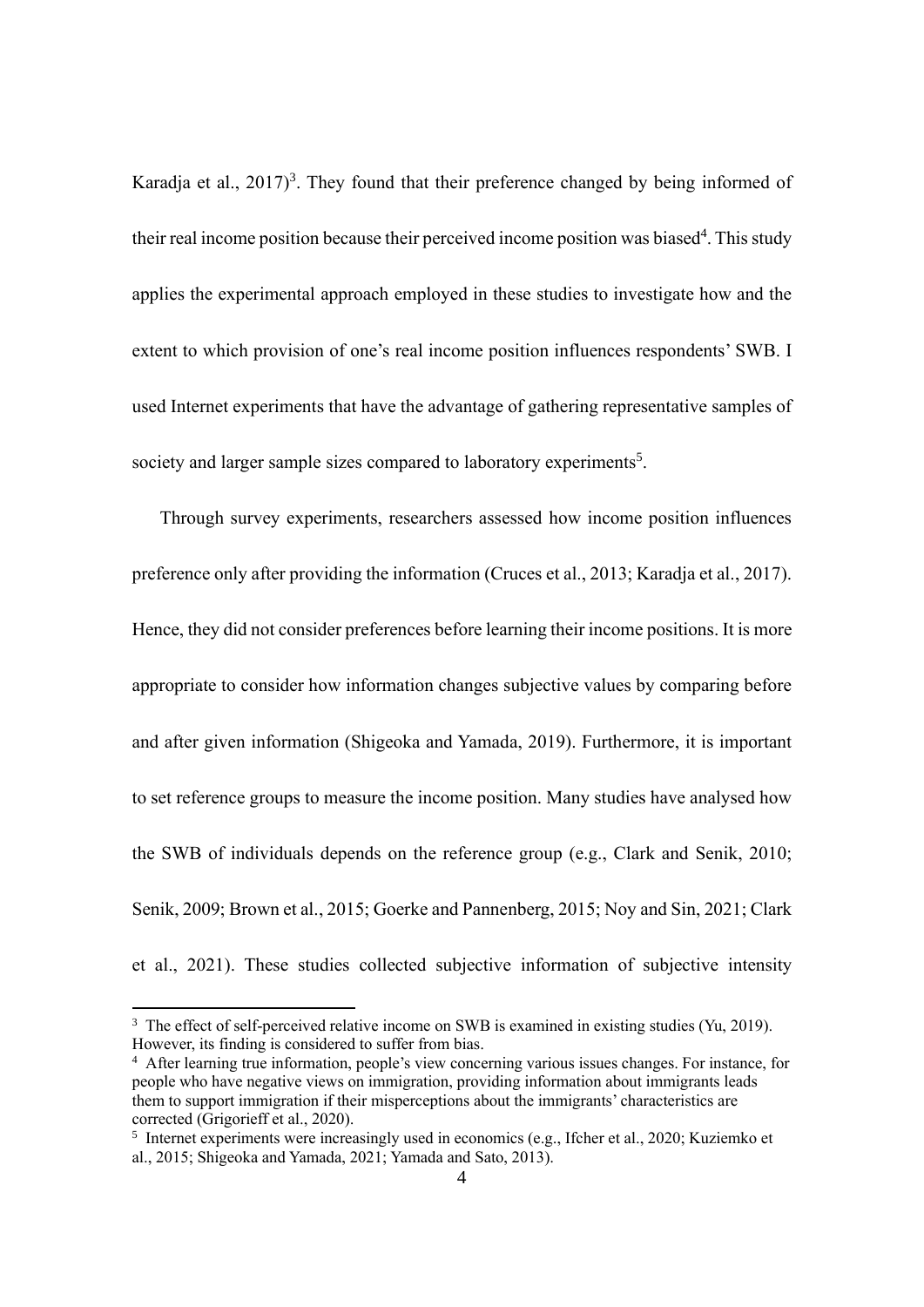Karadja et al.,  $2017$ <sup>3</sup>. They found that their preference changed by being informed of their real income position because their perceived income position was biased<sup>4</sup>. This study applies the experimental approach employed in these studies to investigate how and the extent to which provision of one's real income position influences respondents' SWB. I used Internet experiments that have the advantage of gathering representative samples of society and larger sample sizes compared to laboratory experiments<sup>5</sup>.

Through survey experiments, researchers assessed how income position influences preference only after providing the information (Cruces et al., 2013; Karadja et al., 2017). Hence, they did not consider preferences before learning their income positions. It is more appropriate to consider how information changes subjective values by comparing before and after given information (Shigeoka and Yamada, 2019). Furthermore, it is important to set reference groups to measure the income position. Many studies have analysed how the SWB of individuals depends on the reference group (e.g., Clark and Senik, 2010; Senik, 2009; Brown et al., 2015; Goerke and Pannenberg, 2015; Noy and Sin, 2021; Clark et al., 2021). These studies collected subjective information of subjective intensity

<sup>&</sup>lt;sup>3</sup> The effect of self-perceived relative income on SWB is examined in existing studies (Yu, 2019). However, its finding is considered to suffer from bias.

<sup>&</sup>lt;sup>4</sup> After learning true information, people's view concerning various issues changes. For instance, for people who have negative views on immigration, providing information about immigrants leads them to support immigration if their misperceptions about the immigrants' characteristics are corrected (Grigorieff et al., 2020).

<sup>&</sup>lt;sup>5</sup> Internet experiments were increasingly used in economics (e.g., Ifcher et al., 2020; Kuziemko et al., 2015; Shigeoka and Yamada, 2021; Yamada and Sato, 2013).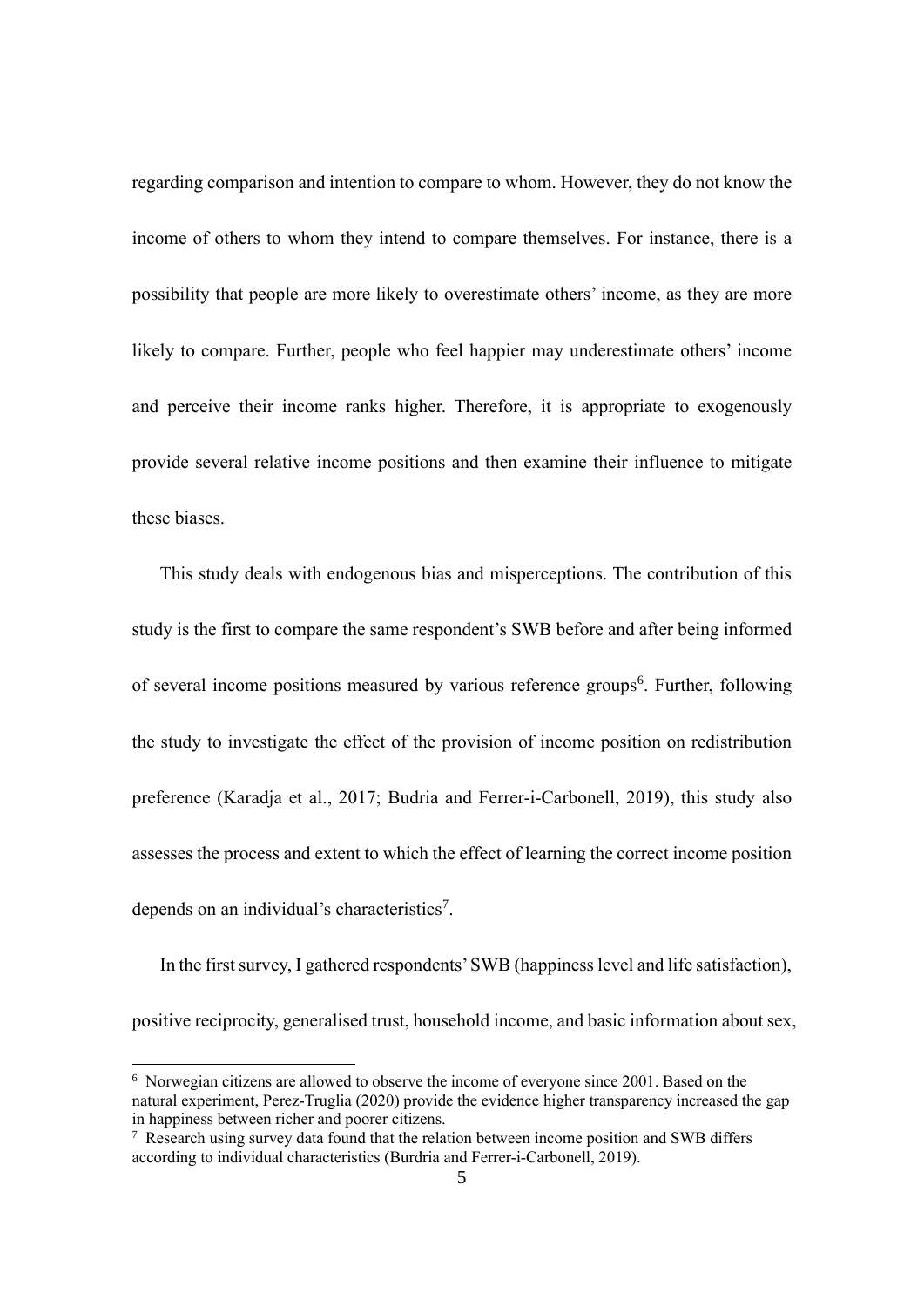regarding comparison and intention to compare to whom. However, they do not know the income of others to whom they intend to compare themselves. For instance, there is a possibility that people are more likely to overestimate others' income, as they are more likely to compare. Further, people who feel happier may underestimate others' income and perceive their income ranks higher. Therefore, it is appropriate to exogenously provide several relative income positions and then examine their influence to mitigate these biases.

This study deals with endogenous bias and misperceptions. The contribution of this study is the first to compare the same respondent's SWB before and after being informed of several income positions measured by various reference groups<sup>6</sup>. Further, following the study to investigate the effect of the provision of income position on redistribution preference (Karadja et al., 2017; Budria and Ferrer-i-Carbonell, 2019), this study also assesses the process and extent to which the effect of learning the correct income position depends on an individual's characteristics<sup>7</sup>.

In the first survey, I gathered respondents'SWB (happiness level and life satisfaction), positive reciprocity, generalised trust, household income, and basic information about sex,

 $6$  Norwegian citizens are allowed to observe the income of everyone since 2001. Based on the natural experiment, Perez-Truglia (2020) provide the evidence higher transparency increased the gap in happiness between richer and poorer citizens.

<sup>&</sup>lt;sup>7</sup> Research using survey data found that the relation between income position and SWB differs according to individual characteristics (Burdria and Ferrer-i-Carbonell, 2019).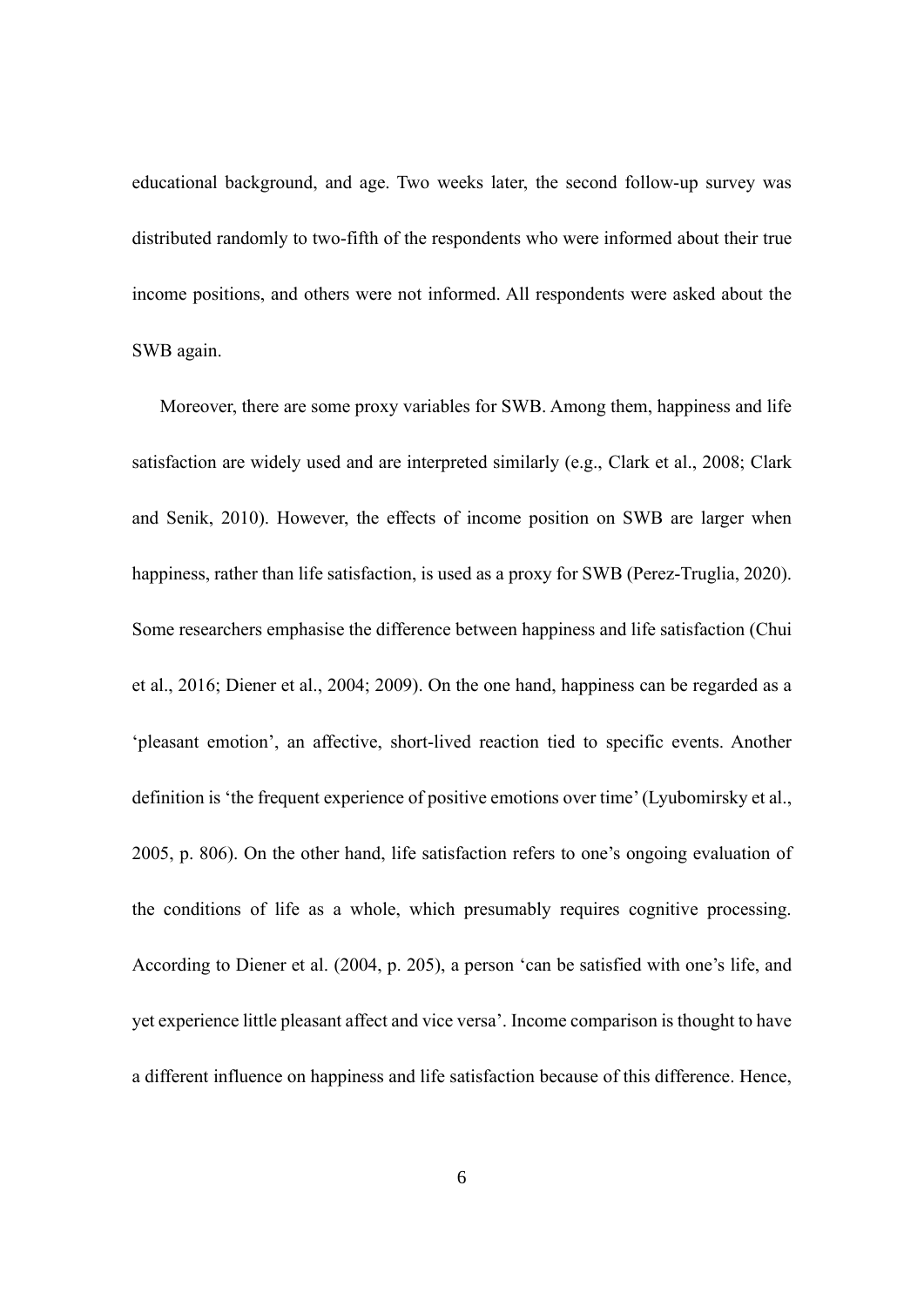educational background, and age. Two weeks later, the second follow-up survey was distributed randomly to two-fifth of the respondents who were informed about their true income positions, and others were not informed. All respondents were asked about the SWB again.

Moreover, there are some proxy variables for SWB. Among them, happiness and life satisfaction are widely used and are interpreted similarly (e.g., Clark et al., 2008; Clark and Senik, 2010). However, the effects of income position on SWB are larger when happiness, rather than life satisfaction, is used as a proxy for SWB (Perez-Truglia, 2020). Some researchers emphasise the difference between happiness and life satisfaction (Chui et al., 2016; Diener et al., 2004; 2009). On the one hand, happiness can be regarded as a 'pleasant emotion', an affective, short-lived reaction tied to specific events. Another definition is 'the frequent experience of positive emotions over time'(Lyubomirsky et al., 2005, p. 806). On the other hand, life satisfaction refers to one's ongoing evaluation of the conditions of life as a whole, which presumably requires cognitive processing. According to Diener et al. (2004, p. 205), a person 'can be satisfied with one's life, and yet experience little pleasant affect and vice versa'. Income comparison is thought to have a different influence on happiness and life satisfaction because of this difference. Hence,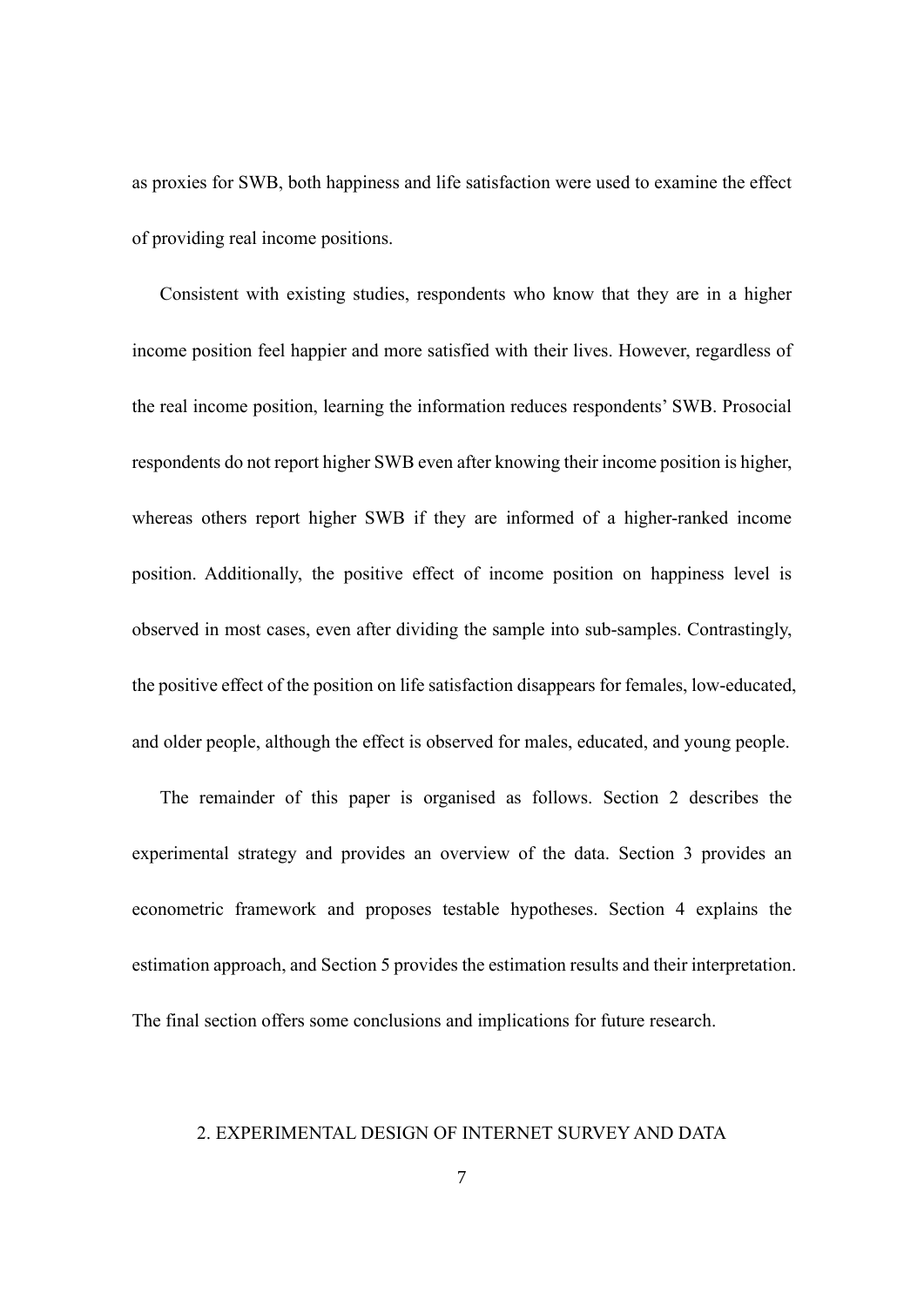as proxies for SWB, both happiness and life satisfaction were used to examine the effect of providing real income positions.

Consistent with existing studies, respondents who know that they are in a higher income position feel happier and more satisfied with their lives. However, regardless of the real income position, learning the information reduces respondents' SWB. Prosocial respondents do not report higher SWB even after knowing their income position is higher, whereas others report higher SWB if they are informed of a higher-ranked income position. Additionally, the positive effect of income position on happiness level is observed in most cases, even after dividing the sample into sub-samples. Contrastingly, the positive effect of the position on life satisfaction disappears for females, low-educated, and older people, although the effect is observed for males, educated, and young people.

The remainder of this paper is organised as follows. Section 2 describes the experimental strategy and provides an overview of the data. Section 3 provides an econometric framework and proposes testable hypotheses. Section 4 explains the estimation approach, and Section 5 provides the estimation results and their interpretation. The final section offers some conclusions and implications for future research.

## 2. EXPERIMENTAL DESIGN OF INTERNET SURVEY AND DATA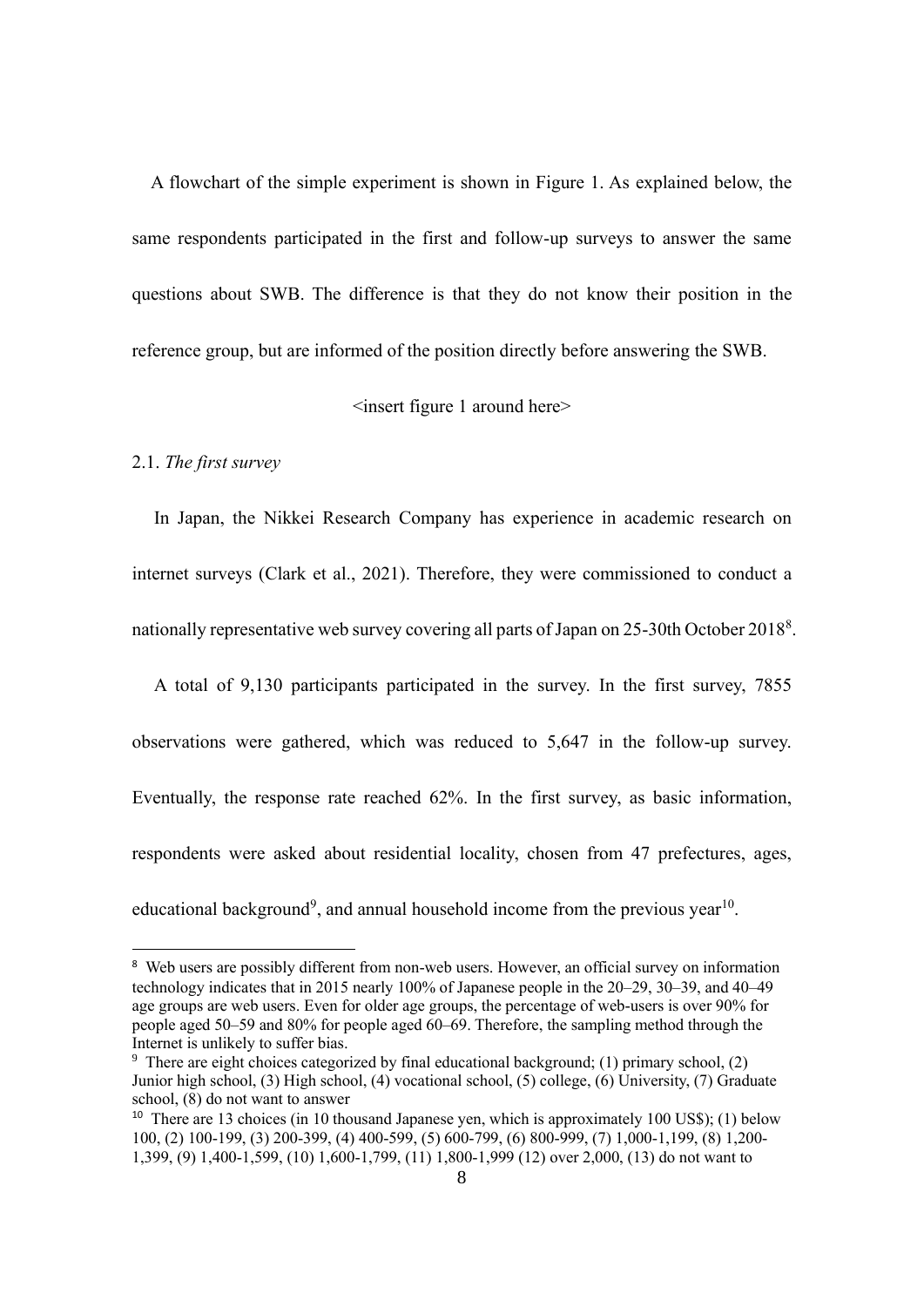A flowchart of the simple experiment is shown in Figure 1. As explained below, the same respondents participated in the first and follow-up surveys to answer the same questions about SWB. The difference is that they do not know their position in the reference group, but are informed of the position directly before answering the SWB.

# <insert figure 1 around here>

#### 2.1. *The first survey*

In Japan, the Nikkei Research Company has experience in academic research on internet surveys (Clark et al., 2021). Therefore, they were commissioned to conduct a nationally representative web survey covering all parts of Japan on 25-30th October 2018<sup>8</sup>.

A total of 9,130 participants participated in the survey. In the first survey, 7855 observations were gathered, which was reduced to 5,647 in the follow-up survey. Eventually, the response rate reached 62%. In the first survey, as basic information, respondents were asked about residential locality, chosen from 47 prefectures, ages, educational background<sup>9</sup>, and annual household income from the previous year<sup>10</sup>.

<sup>&</sup>lt;sup>8</sup> Web users are possibly different from non-web users. However, an official survey on information technology indicates that in 2015 nearly 100% of Japanese people in the 20–29, 30–39, and 40–49 age groups are web users. Even for older age groups, the percentage of web-users is over 90% for people aged 50–59 and 80% for people aged 60–69. Therefore, the sampling method through the Internet is unlikely to suffer bias.

<sup>&</sup>lt;sup>9</sup> There are eight choices categorized by final educational background; (1) primary school, (2) Junior high school, (3) High school, (4) vocational school, (5) college, (6) University, (7) Graduate school, (8) do not want to answer

<sup>&</sup>lt;sup>10</sup> There are 13 choices (in 10 thousand Japanese yen, which is approximately 100 US\$); (1) below 100, (2) 100-199, (3) 200-399, (4) 400-599, (5) 600-799, (6) 800-999, (7) 1,000-1,199, (8) 1,200- 1,399, (9) 1,400-1,599, (10) 1,600-1,799, (11) 1,800-1,999 (12) over 2,000, (13) do not want to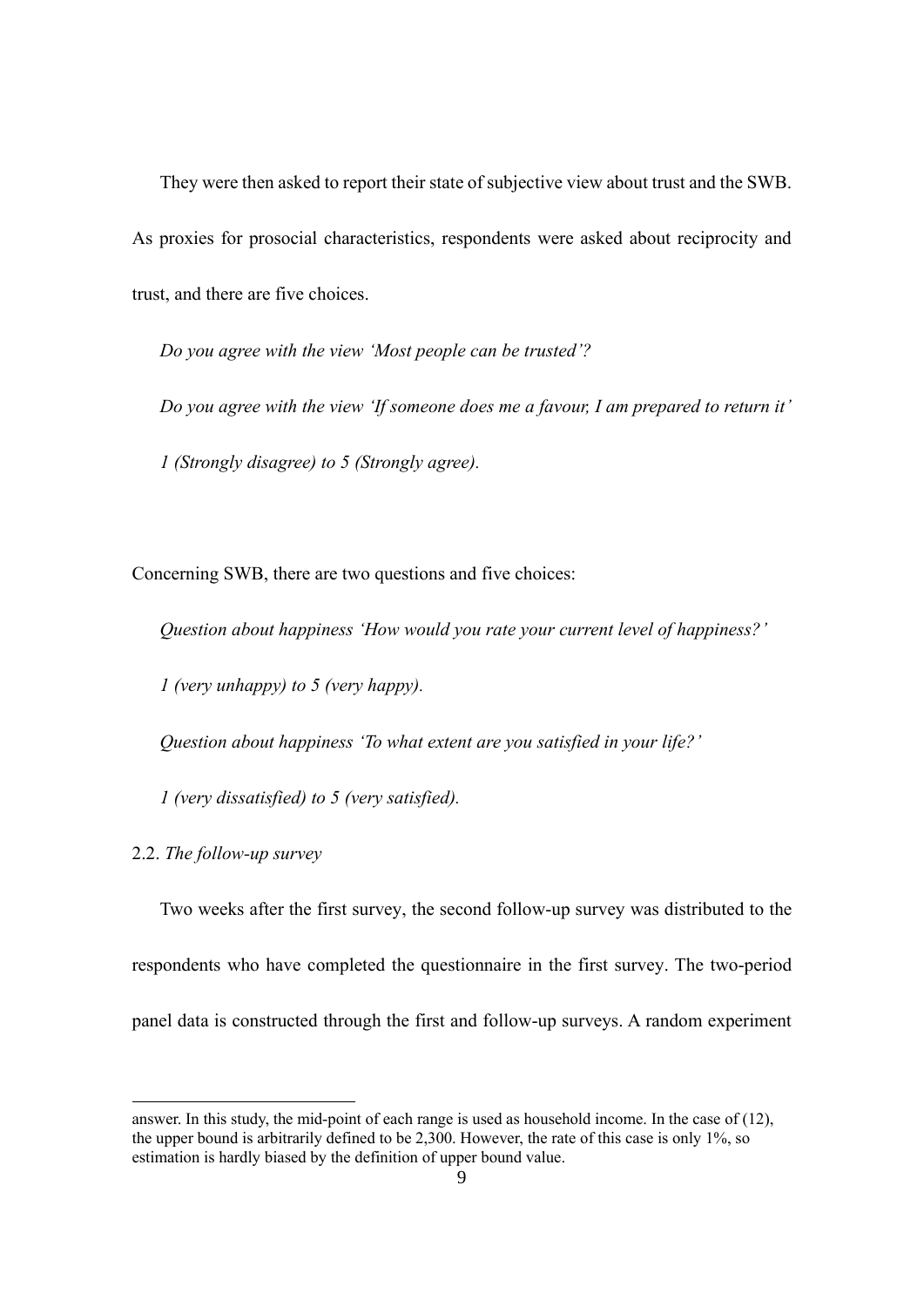They were then asked to report their state of subjective view about trust and the SWB. As proxies for prosocial characteristics, respondents were asked about reciprocity and trust, and there are five choices.

*Do you agree with the view 'Most people can be trusted'?*

*Do you agree with the view 'If someone does me a favour, I am prepared to return it' 1 (Strongly disagree) to 5 (Strongly agree).*

Concerning SWB, there are two questions and five choices:

*Question about happiness 'How would you rate your current level of happiness?'*

*1 (very unhappy) to 5 (very happy).*

*Question about happiness 'To what extent are you satisfied in your life?'*

*1 (very dissatisfied) to 5 (very satisfied).*

2.2. *The follow-up survey*

Two weeks after the first survey, the second follow-up survey was distributed to the respondents who have completed the questionnaire in the first survey. The two-period panel data is constructed through the first and follow-up surveys. A random experiment

answer. In this study, the mid-point of each range is used as household income. In the case of (12), the upper bound is arbitrarily defined to be 2,300. However, the rate of this case is only 1%, so estimation is hardly biased by the definition of upper bound value.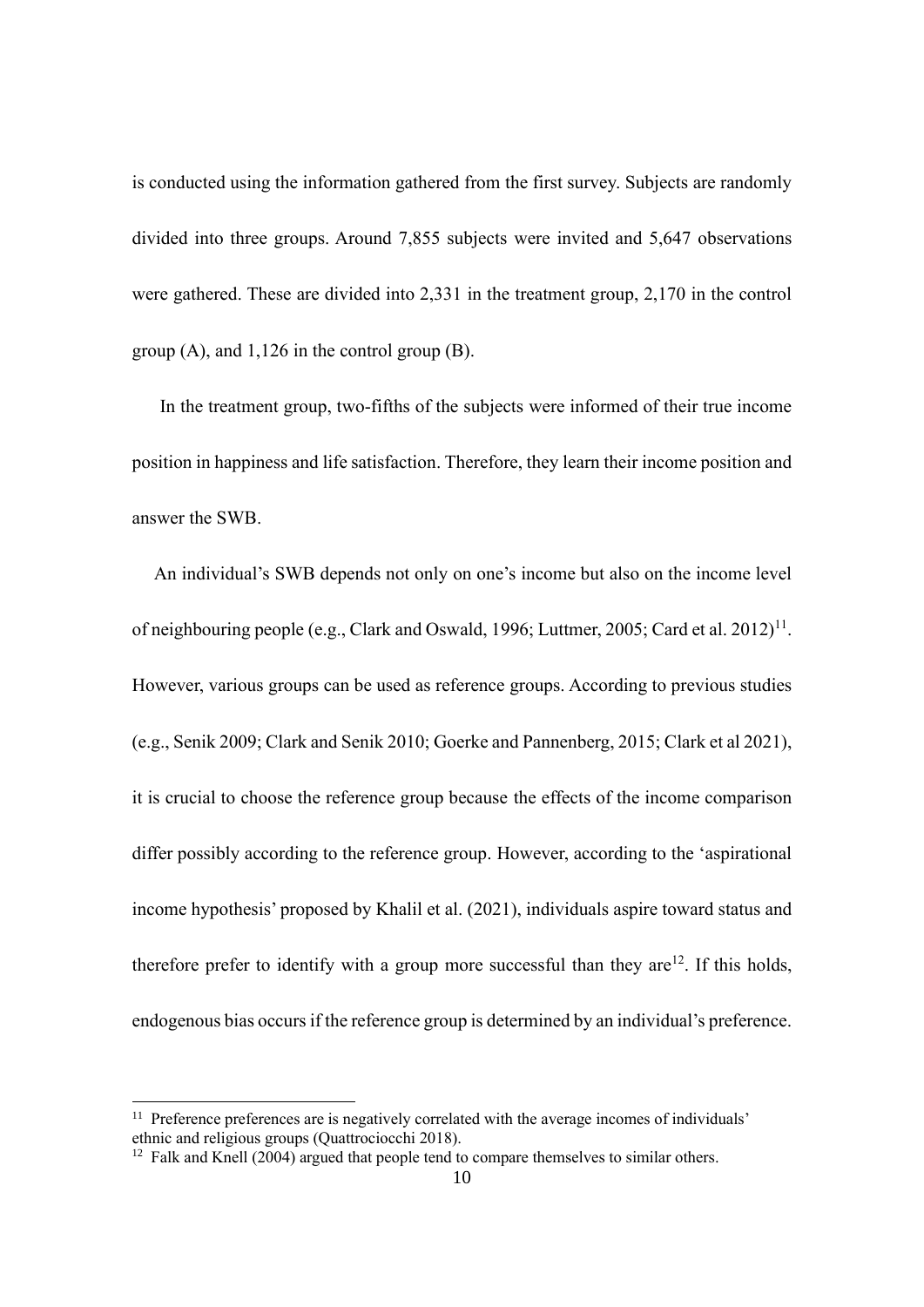is conducted using the information gathered from the first survey. Subjects are randomly divided into three groups. Around 7,855 subjects were invited and 5,647 observations were gathered. These are divided into 2,331 in the treatment group, 2,170 in the control group (A), and 1,126 in the control group (B).

In the treatment group, two-fifths of the subjects were informed of their true income position in happiness and life satisfaction. Therefore, they learn their income position and answer the SWB.

An individual's SWB depends not only on one's income but also on the income level of neighbouring people (e.g., Clark and Oswald, 1996; Luttmer, 2005; Card et al. 2012)<sup>11</sup>. However, various groups can be used as reference groups. According to previous studies (e.g., Senik 2009; Clark and Senik 2010; Goerke and Pannenberg, 2015; Clark et al 2021), it is crucial to choose the reference group because the effects of the income comparison differ possibly according to the reference group. However, according to the 'aspirational income hypothesis' proposed by Khalil et al. (2021), individuals aspire toward status and therefore prefer to identify with a group more successful than they are  $12$ . If this holds, endogenous bias occurs if the reference group is determined by an individual's preference.

 $11$  Preference preferences are is negatively correlated with the average incomes of individuals' ethnic and religious groups (Quattrociocchi 2018).

 $12$  Falk and Knell (2004) argued that people tend to compare themselves to similar others.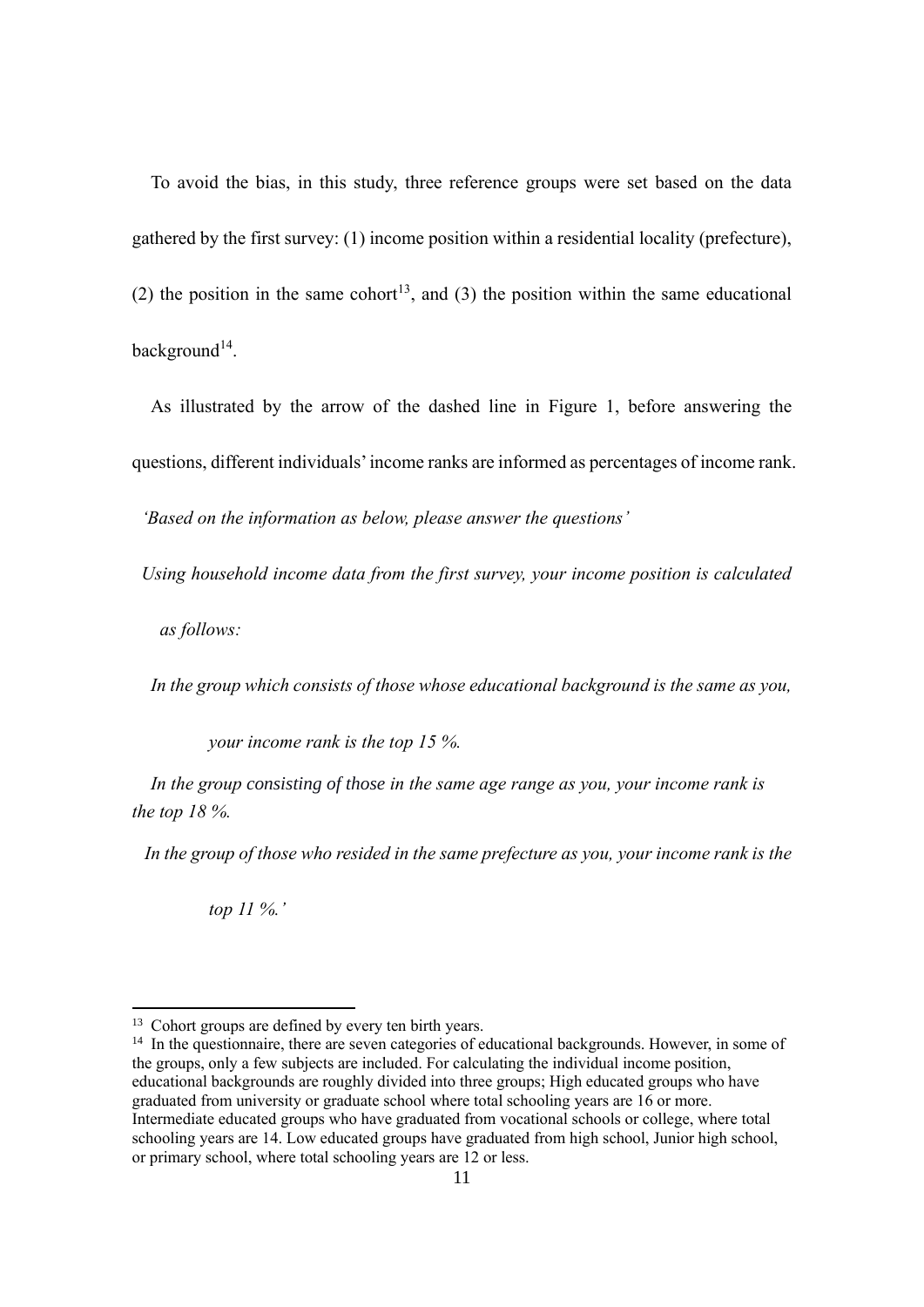To avoid the bias, in this study, three reference groups were set based on the data gathered by the first survey: (1) income position within a residential locality (prefecture), (2) the position in the same cohort<sup>13</sup>, and (3) the position within the same educational background<sup>14</sup>.

As illustrated by the arrow of the dashed line in Figure 1, before answering the

questions, different individuals'income ranks are informed as percentages of income rank.

*'Based on the information as below, please answer the questions'*

*Using household income data from the first survey, your income position is calculated* 

*as follows:*

*In the group which consists of those whose educational background is the same as you,* 

*your income rank is the top 15 %.*

*In the group consisting of those in the same age range as you, your income rank is the top 18 %.*

*In the group of those who resided in the same prefecture as you, your income rank is the* 

*top 11 %.'*

<sup>&</sup>lt;sup>13</sup> Cohort groups are defined by every ten birth years.

<sup>&</sup>lt;sup>14</sup> In the questionnaire, there are seven categories of educational backgrounds. However, in some of the groups, only a few subjects are included. For calculating the individual income position, educational backgrounds are roughly divided into three groups; High educated groups who have graduated from university or graduate school where total schooling years are 16 or more. Intermediate educated groups who have graduated from vocational schools or college, where total schooling years are 14. Low educated groups have graduated from high school, Junior high school, or primary school, where total schooling years are 12 or less.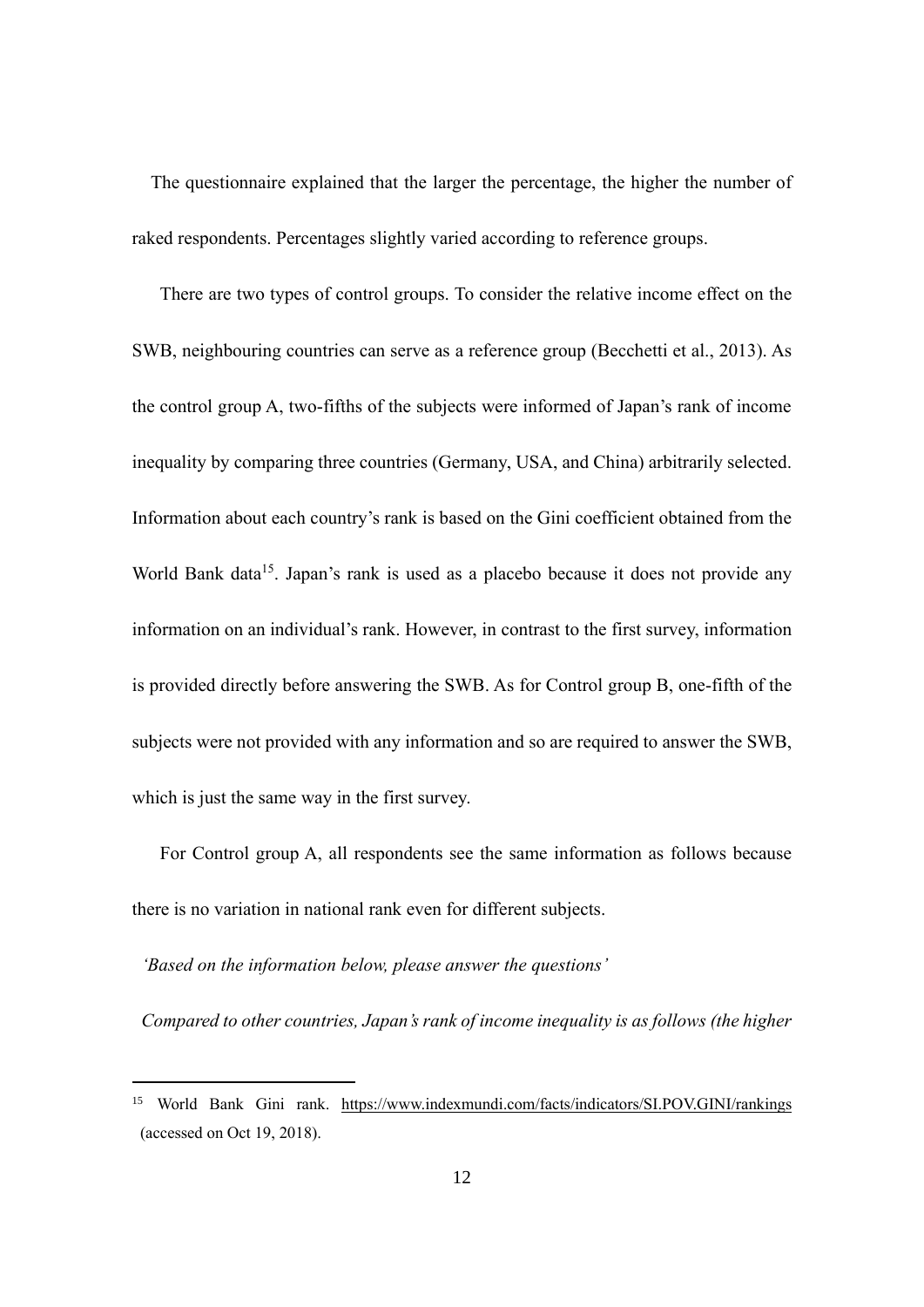The questionnaire explained that the larger the percentage, the higher the number of raked respondents. Percentages slightly varied according to reference groups.

There are two types of control groups. To consider the relative income effect on the SWB, neighbouring countries can serve as a reference group (Becchetti et al., 2013). As the control group A, two-fifths of the subjects were informed of Japan's rank of income inequality by comparing three countries (Germany, USA, and China) arbitrarily selected. Information about each country's rank is based on the Gini coefficient obtained from the World Bank data<sup>15</sup>. Japan's rank is used as a placebo because it does not provide any information on an individual's rank. However, in contrast to the first survey, information is provided directly before answering the SWB. As for Control group B, one-fifth of the subjects were not provided with any information and so are required to answer the SWB, which is just the same way in the first survey.

For Control group A, all respondents see the same information as follows because there is no variation in national rank even for different subjects.

*'Based on the information below, please answer the questions'*

*Compared to other countries, Japan's rank of income inequality is as follows (the higher* 

<sup>&</sup>lt;sup>15</sup> World Bank Gini rank. <https://www.indexmundi.com/facts/indicators/SI.POV.GINI/rankings> (accessed on Oct 19, 2018).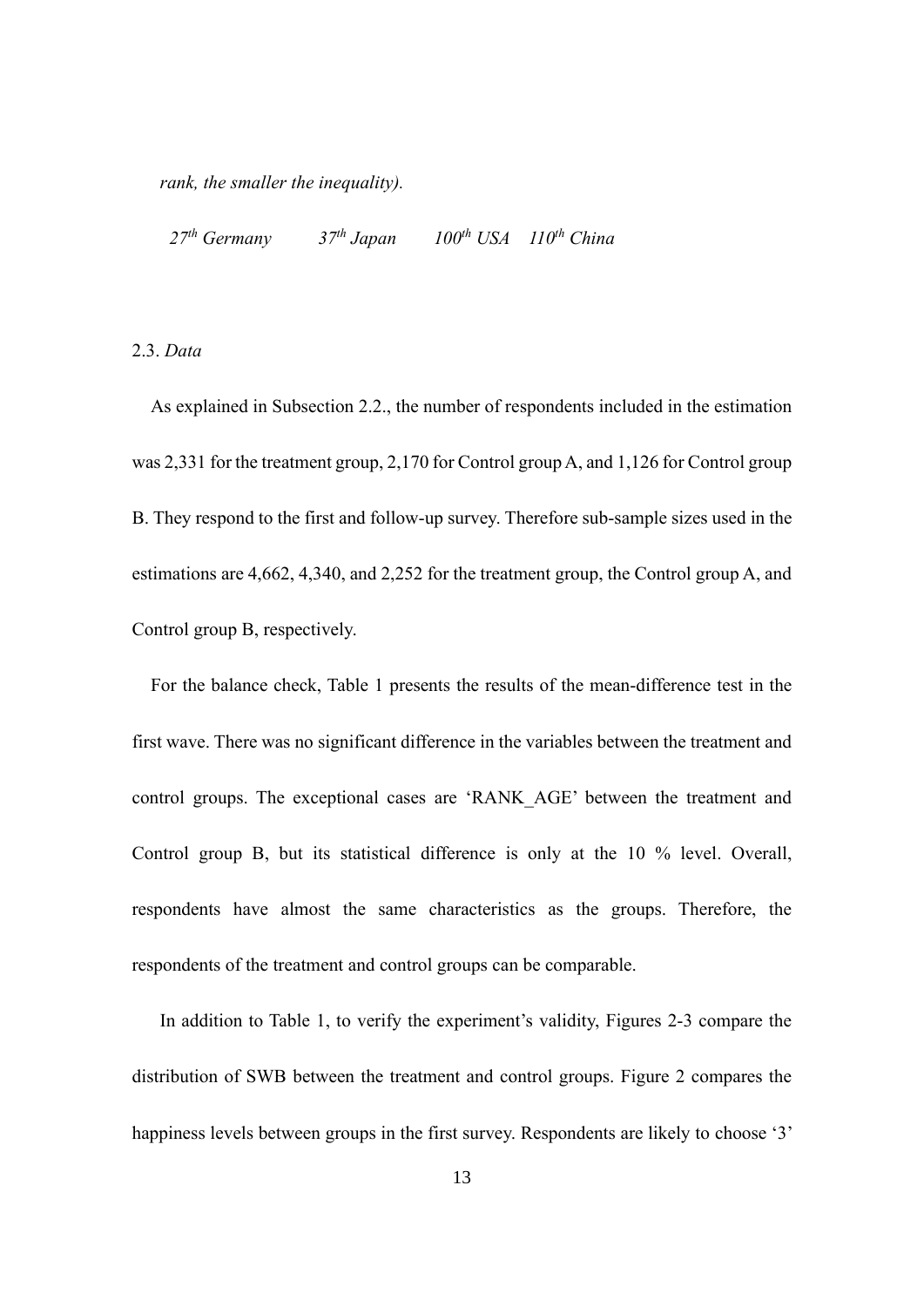*rank, the smaller the inequality).*

*27th Germany 37th Japan 100th USA 110th China*

2.3. *Data*

As explained in Subsection 2.2., the number of respondents included in the estimation was 2,331 for the treatment group, 2,170 for Control group A, and 1,126 for Control group B. They respond to the first and follow-up survey. Therefore sub-sample sizes used in the estimations are 4,662, 4,340, and 2,252 for the treatment group, the Control group A, and Control group B, respectively.

For the balance check, Table 1 presents the results of the mean-difference test in the first wave. There was no significant difference in the variables between the treatment and control groups. The exceptional cases are 'RANK\_AGE' between the treatment and Control group B, but its statistical difference is only at the 10 % level. Overall, respondents have almost the same characteristics as the groups. Therefore, the respondents of the treatment and control groups can be comparable.

In addition to Table 1, to verify the experiment's validity, Figures 2-3 compare the distribution of SWB between the treatment and control groups. Figure 2 compares the happiness levels between groups in the first survey. Respondents are likely to choose '3'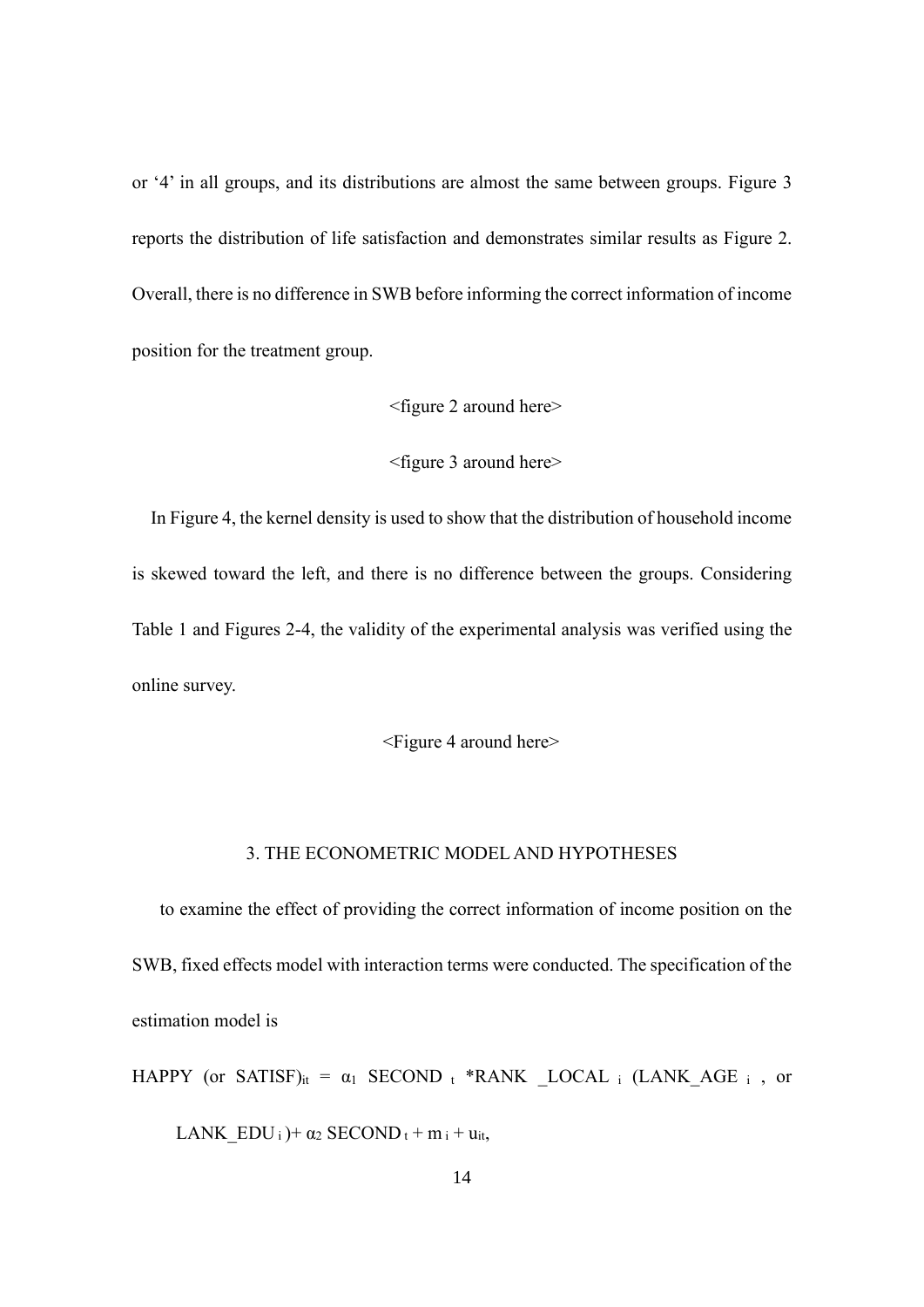or '4' in all groups, and its distributions are almost the same between groups. Figure 3 reports the distribution of life satisfaction and demonstrates similar results as Figure 2. Overall, there is no difference in SWB before informing the correct information of income position for the treatment group.

## <figure 2 around here>

#### <figure 3 around here>

In Figure 4, the kernel density is used to show that the distribution of household income is skewed toward the left, and there is no difference between the groups. Considering Table 1 and Figures 2-4, the validity of the experimental analysis was verified using the online survey.

# <Figure 4 around here>

# 3. THE ECONOMETRIC MODEL AND HYPOTHESES

to examine the effect of providing the correct information of income position on the SWB, fixed effects model with interaction terms were conducted. The specification of the estimation model is

HAPPY (or SATISF)<sub>it</sub> =  $\alpha_1$  SECOND t \*RANK LOCAL i (LANK AGE i , or LANK  $EDU_i$  +  $\alpha_2$  SECOND t + m i + u<sub>it</sub>,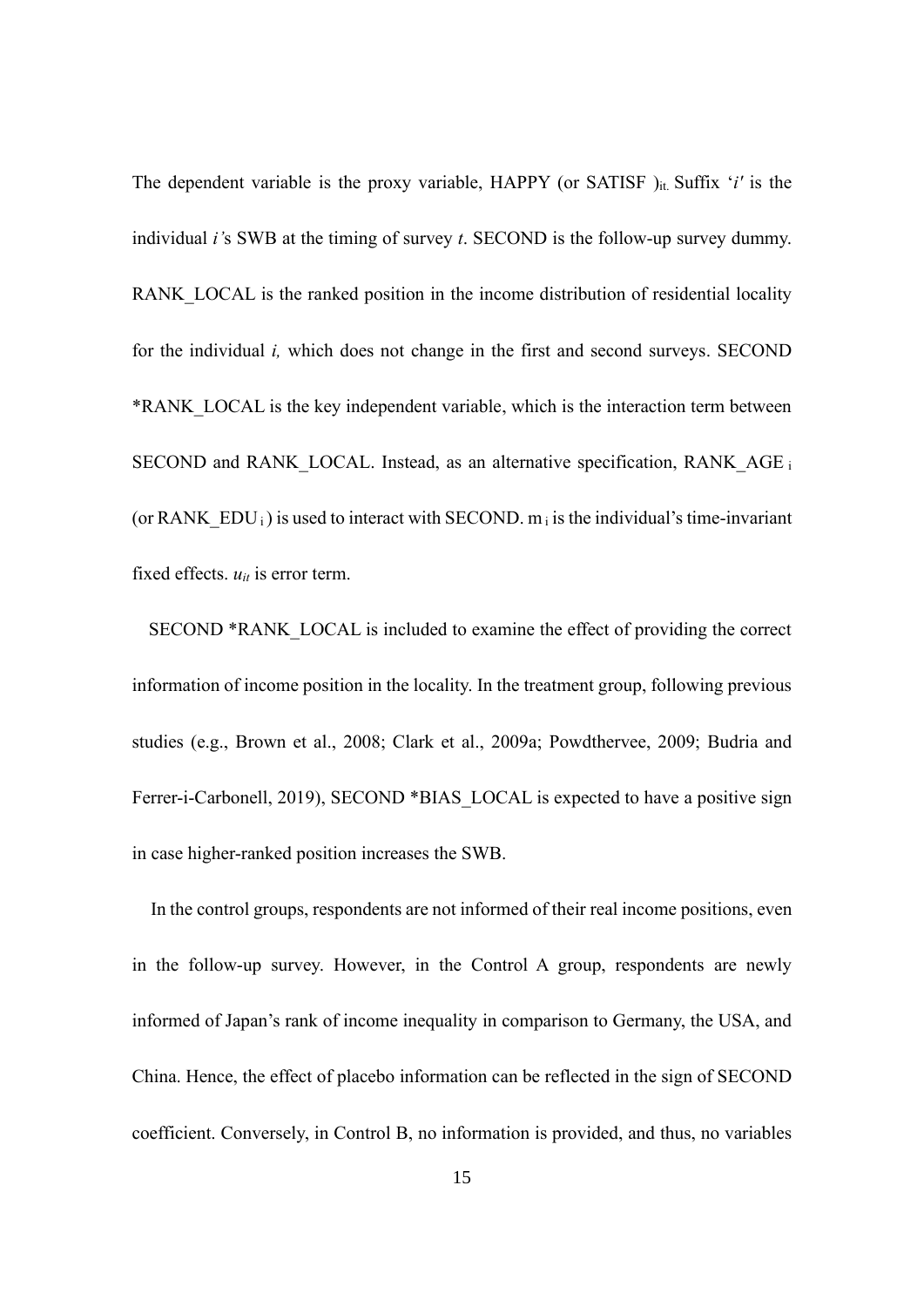The dependent variable is the proxy variable,  $HAPPY$  (or SATISF)<sub>it.</sub> Suffix '*i'* is the individual *i'*s SWB at the timing of survey *t*. SECOND is the follow-up survey dummy. RANK LOCAL is the ranked position in the income distribution of residential locality for the individual *i,* which does not change in the first and second surveys. SECOND \*RANK\_LOCAL is the key independent variable, which is the interaction term between SECOND and RANK LOCAL. Instead, as an alternative specification, RANK AGE is (or RANK  $EDU_i$ ) is used to interact with SECOND. m<sub>i</sub> is the individual's time-invariant fixed effects.  $u_{it}$  is error term.

SECOND \*RANK\_LOCAL is included to examine the effect of providing the correct information of income position in the locality. In the treatment group, following previous studies (e.g., Brown et al., 2008; Clark et al., 2009a; Powdthervee, 2009; Budria and Ferrer-i-Carbonell, 2019), SECOND \*BIAS LOCAL is expected to have a positive sign in case higher-ranked position increases the SWB.

In the control groups, respondents are not informed of their real income positions, even in the follow-up survey. However, in the Control A group, respondents are newly informed of Japan's rank of income inequality in comparison to Germany, the USA, and China. Hence, the effect of placebo information can be reflected in the sign of SECOND coefficient. Conversely, in Control B, no information is provided, and thus, no variables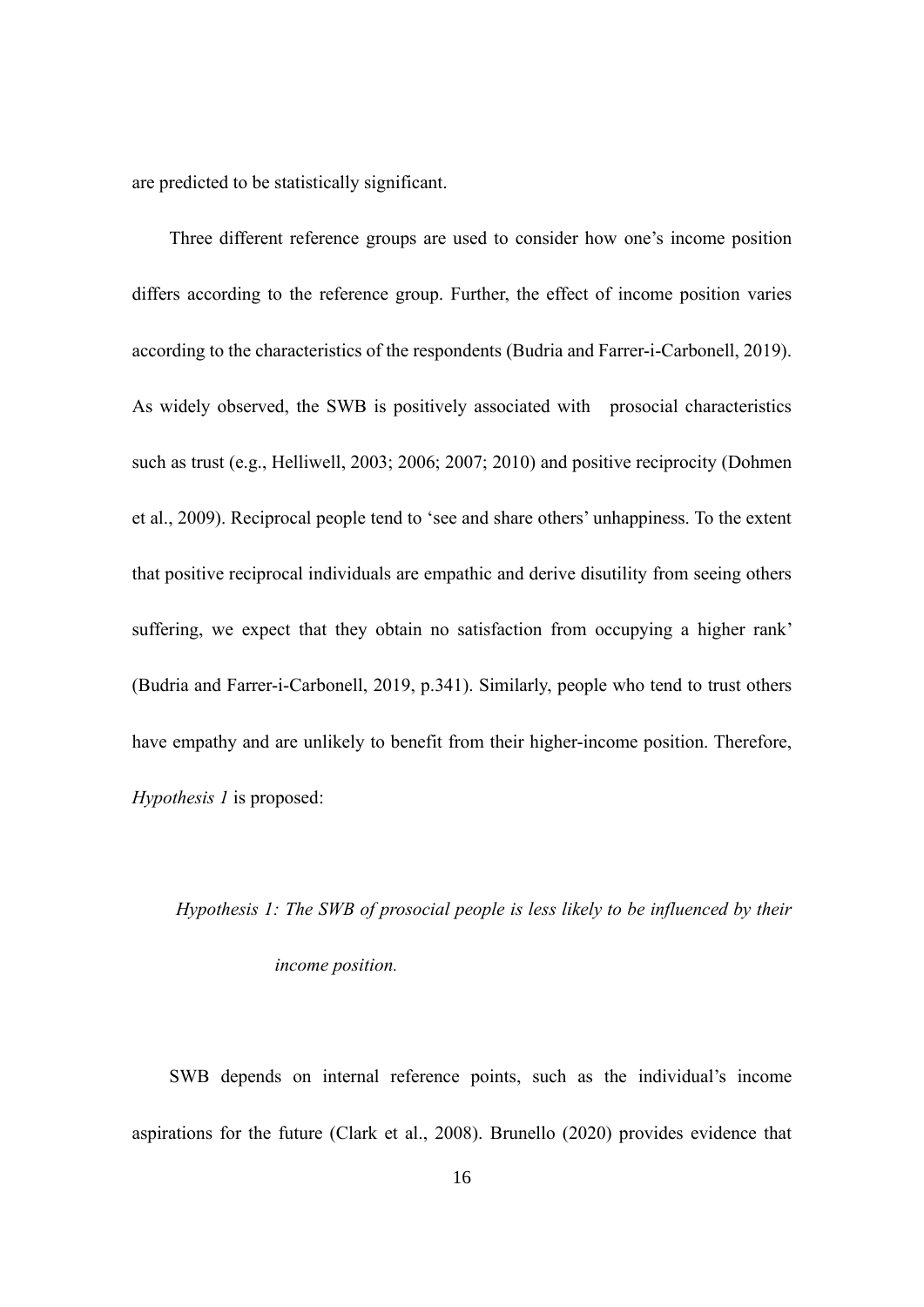are predicted to be statistically significant.

Three different reference groups are used to consider how one's income position differs according to the reference group. Further, the effect of income position varies according to the characteristics of the respondents (Budria and Farrer-i-Carbonell, 2019). As widely observed, the SWB is positively associated with prosocial characteristics such as trust (e.g., Helliwell, 2003; 2006; 2007; 2010) and positive reciprocity (Dohmen et al., 2009). Reciprocal people tend to 'see and share others' unhappiness. To the extent that positive reciprocal individuals are empathic and derive disutility from seeing others suffering, we expect that they obtain no satisfaction from occupying a higher rank' (Budria and Farrer-i-Carbonell, 2019, p.341). Similarly, people who tend to trust others have empathy and are unlikely to benefit from their higher-income position. Therefore, *Hypothesis 1* is proposed:

# *Hypothesis 1: The SWB of prosocial people is less likely to be influenced by their income position.*

SWB depends on internal reference points, such as the individual's income aspirations for the future (Clark et al., 2008). Brunello (2020) provides evidence that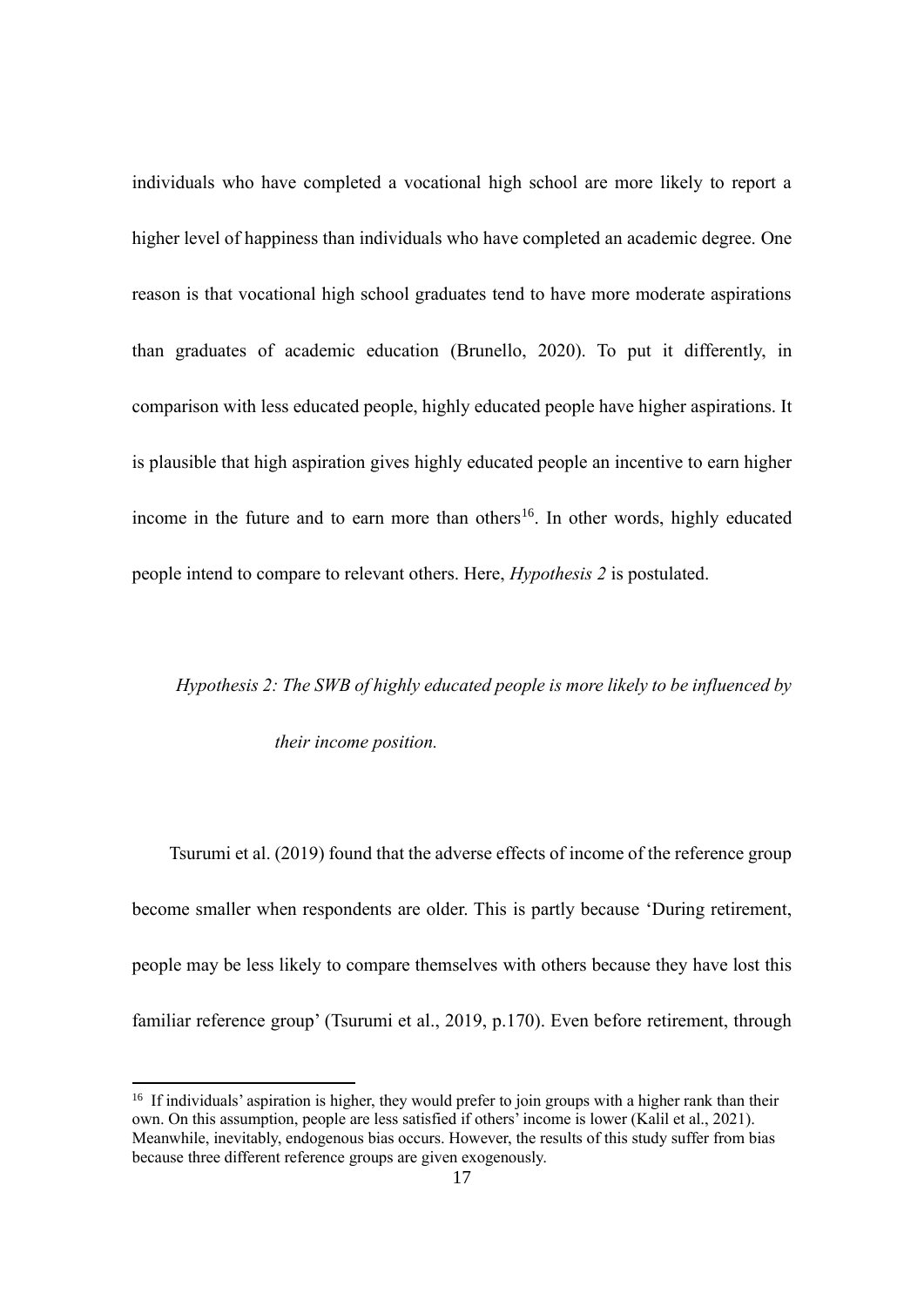individuals who have completed a vocational high school are more likely to report a higher level of happiness than individuals who have completed an academic degree. One reason is that vocational high school graduates tend to have more moderate aspirations than graduates of academic education (Brunello, 2020). To put it differently, in comparison with less educated people, highly educated people have higher aspirations. It is plausible that high aspiration gives highly educated people an incentive to earn higher income in the future and to earn more than others<sup>16</sup>. In other words, highly educated people intend to compare to relevant others. Here, *Hypothesis 2* is postulated.

# *Hypothesis 2: The SWB of highly educated people is more likely to be influenced by their income position.*

Tsurumi et al. (2019) found that the adverse effects of income of the reference group become smaller when respondents are older. This is partly because 'During retirement, people may be less likely to compare themselves with others because they have lost this familiar reference group' (Tsurumi et al., 2019, p.170). Even before retirement, through

<sup>&</sup>lt;sup>16</sup> If individuals' aspiration is higher, they would prefer to join groups with a higher rank than their own. On this assumption, people are less satisfied if others' income is lower (Kalil et al., 2021). Meanwhile, inevitably, endogenous bias occurs. However, the results of this study suffer from bias because three different reference groups are given exogenously.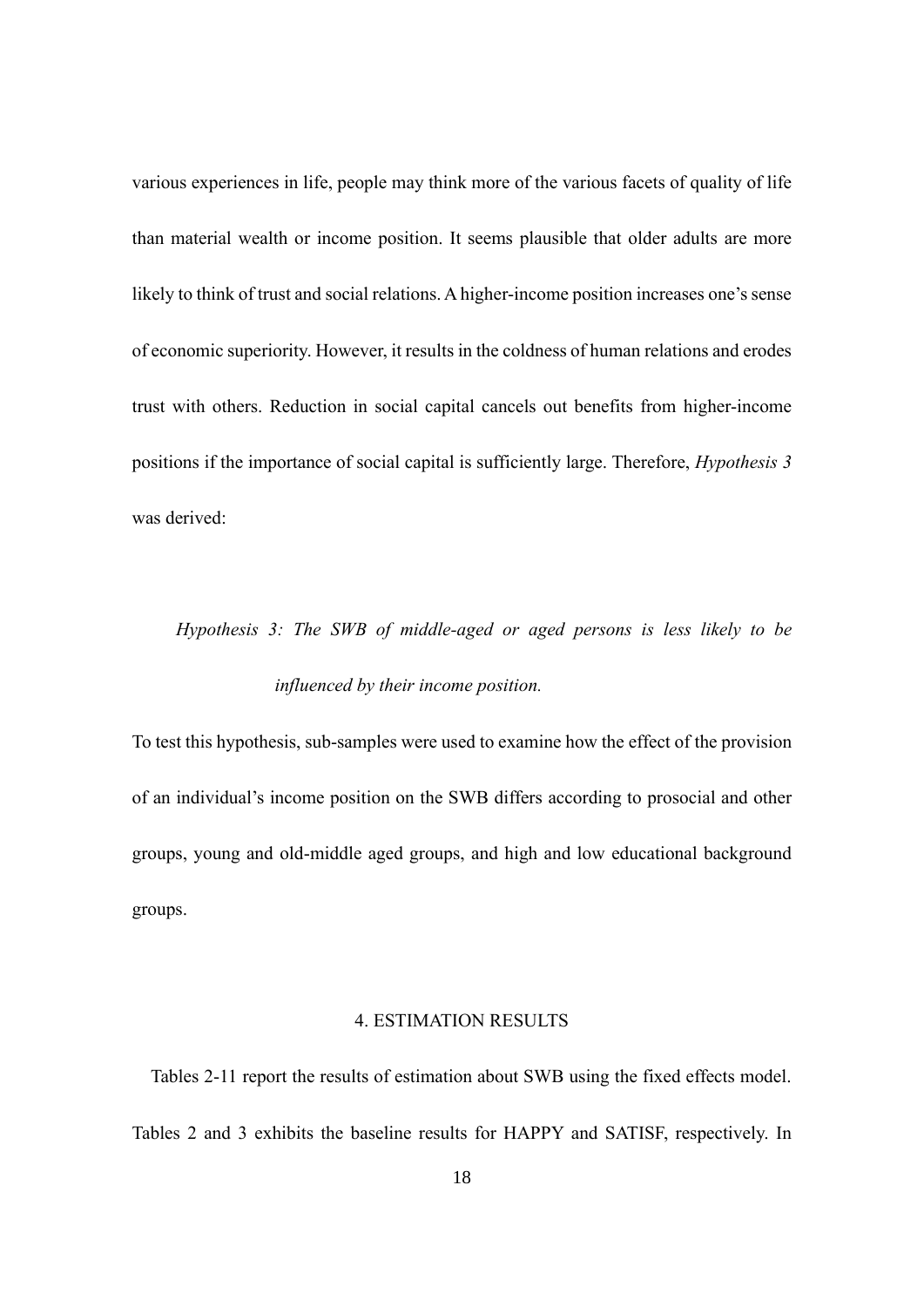various experiences in life, people may think more of the various facets of quality of life than material wealth or income position. It seems plausible that older adults are more likely to think of trust and social relations. A higher-income position increases one's sense of economic superiority. However, it results in the coldness of human relations and erodes trust with others. Reduction in social capital cancels out benefits from higher-income positions if the importance of social capital is sufficiently large. Therefore, *Hypothesis 3* was derived:

# *Hypothesis 3: The SWB of middle-aged or aged persons is less likely to be influenced by their income position.*

To test this hypothesis, sub-samples were used to examine how the effect of the provision of an individual's income position on the SWB differs according to prosocial and other groups, young and old-middle aged groups, and high and low educational background groups.

## 4. ESTIMATION RESULTS

Tables 2-11 report the results of estimation about SWB using the fixed effects model. Tables 2 and 3 exhibits the baseline results for HAPPY and SATISF, respectively. In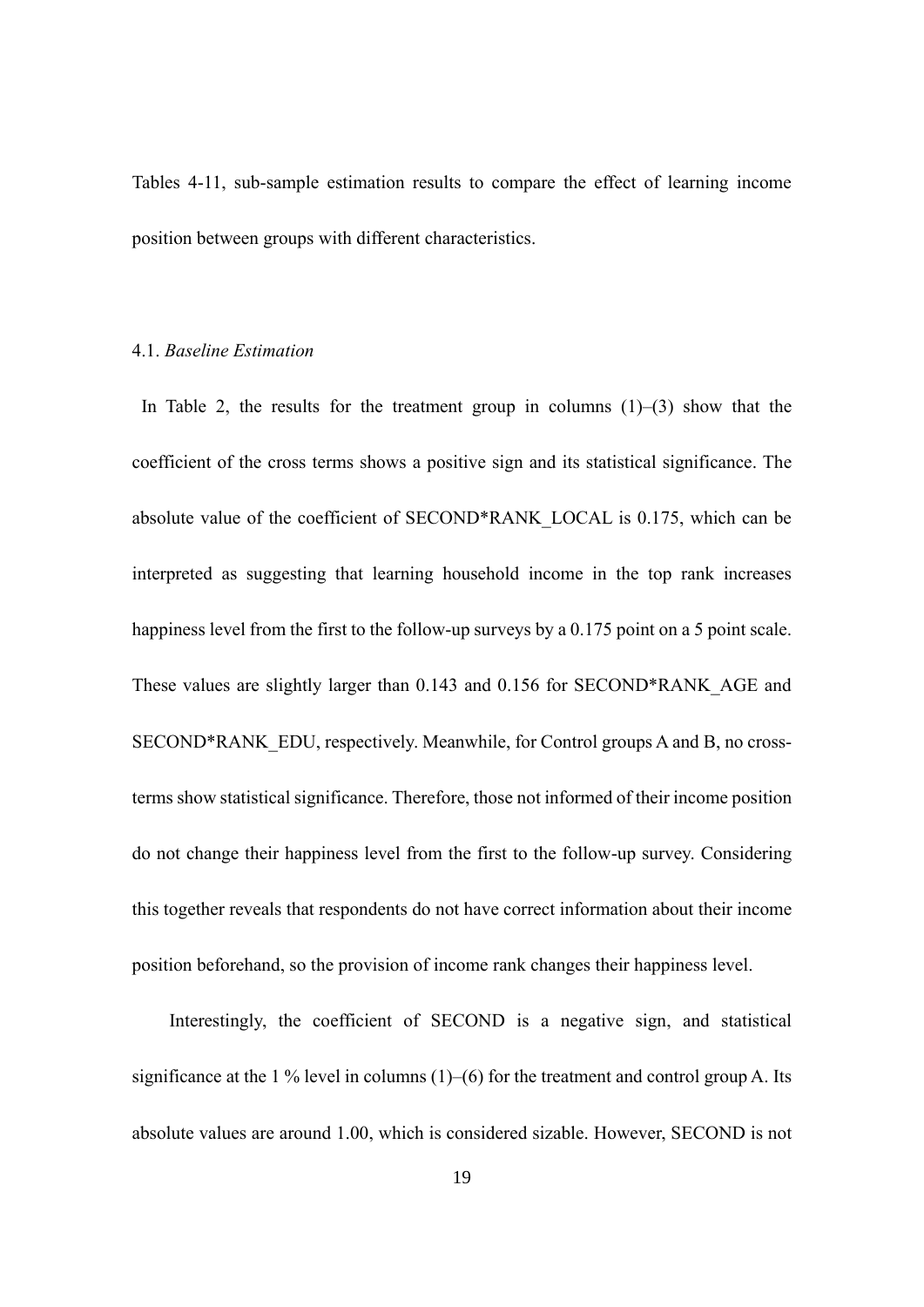Tables 4-11, sub-sample estimation results to compare the effect of learning income position between groups with different characteristics.

# 4.1. *Baseline Estimation*

In Table 2, the results for the treatment group in columns  $(1)$ – $(3)$  show that the coefficient of the cross terms shows a positive sign and its statistical significance. The absolute value of the coefficient of SECOND\*RANK\_LOCAL is 0.175, which can be interpreted as suggesting that learning household income in the top rank increases happiness level from the first to the follow-up surveys by a 0.175 point on a 5 point scale. These values are slightly larger than 0.143 and 0.156 for SECOND\*RANK\_AGE and SECOND\*RANK\_EDU, respectively. Meanwhile, for Control groups A and B, no crossterms show statistical significance. Therefore, those not informed of their income position do not change their happiness level from the first to the follow-up survey. Considering this together reveals that respondents do not have correct information about their income position beforehand, so the provision of income rank changes their happiness level.

Interestingly, the coefficient of SECOND is a negative sign, and statistical significance at the 1 % level in columns  $(1)$ – $(6)$  for the treatment and control group A. Its absolute values are around 1.00, which is considered sizable. However, SECOND is not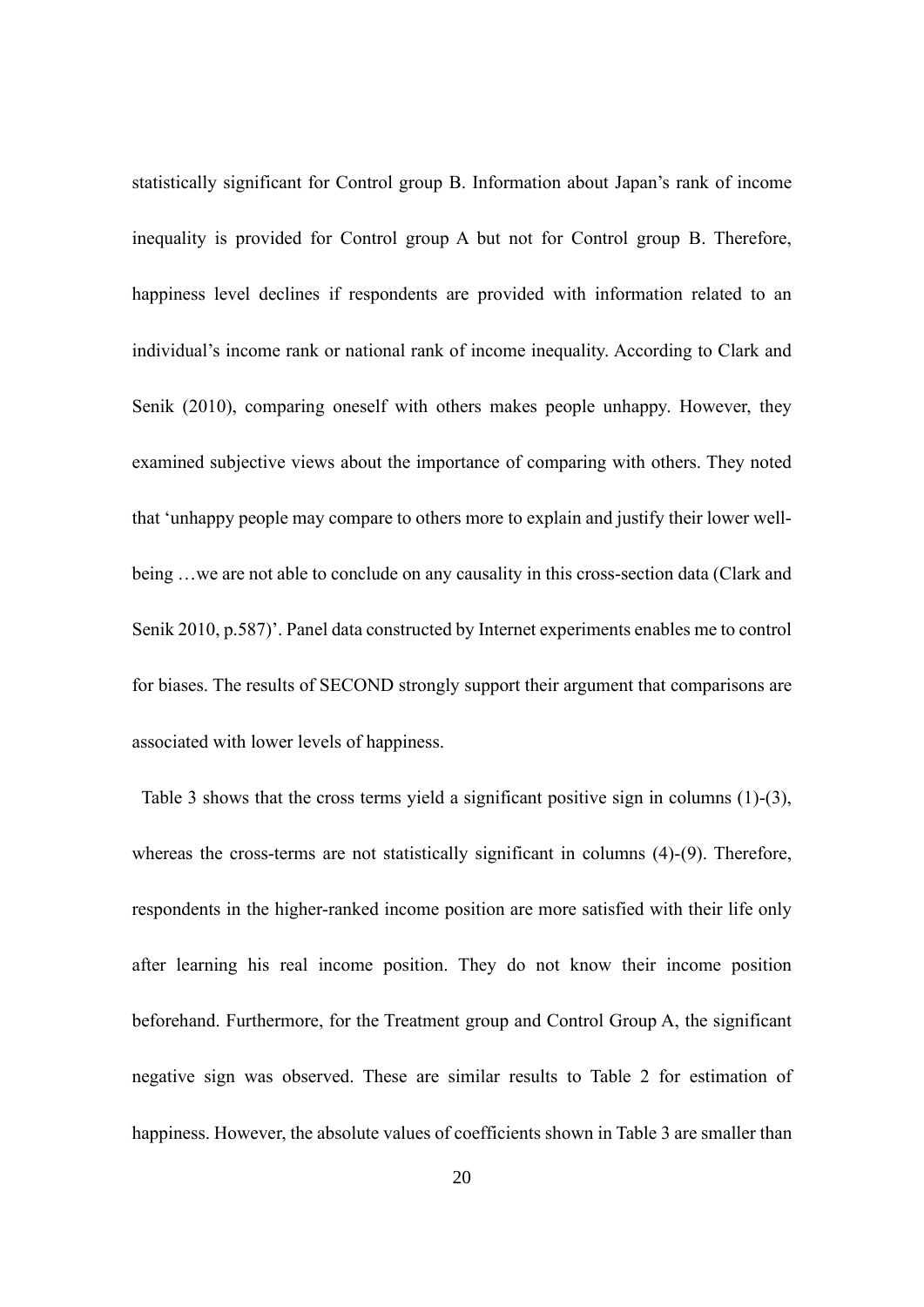statistically significant for Control group B. Information about Japan's rank of income inequality is provided for Control group A but not for Control group B. Therefore, happiness level declines if respondents are provided with information related to an individual's income rank or national rank of income inequality. According to Clark and Senik (2010), comparing oneself with others makes people unhappy. However, they examined subjective views about the importance of comparing with others. They noted that 'unhappy people may compare to others more to explain and justify their lower wellbeing …we are not able to conclude on any causality in this cross-section data (Clark and Senik 2010, p.587)'. Panel data constructed by Internet experiments enables me to control for biases. The results of SECOND strongly support their argument that comparisons are associated with lower levels of happiness.

Table 3 shows that the cross terms yield a significant positive sign in columns (1)-(3), whereas the cross-terms are not statistically significant in columns (4)-(9). Therefore, respondents in the higher-ranked income position are more satisfied with their life only after learning his real income position. They do not know their income position beforehand. Furthermore, for the Treatment group and Control Group A, the significant negative sign was observed. These are similar results to Table 2 for estimation of happiness. However, the absolute values of coefficients shown in Table 3 are smaller than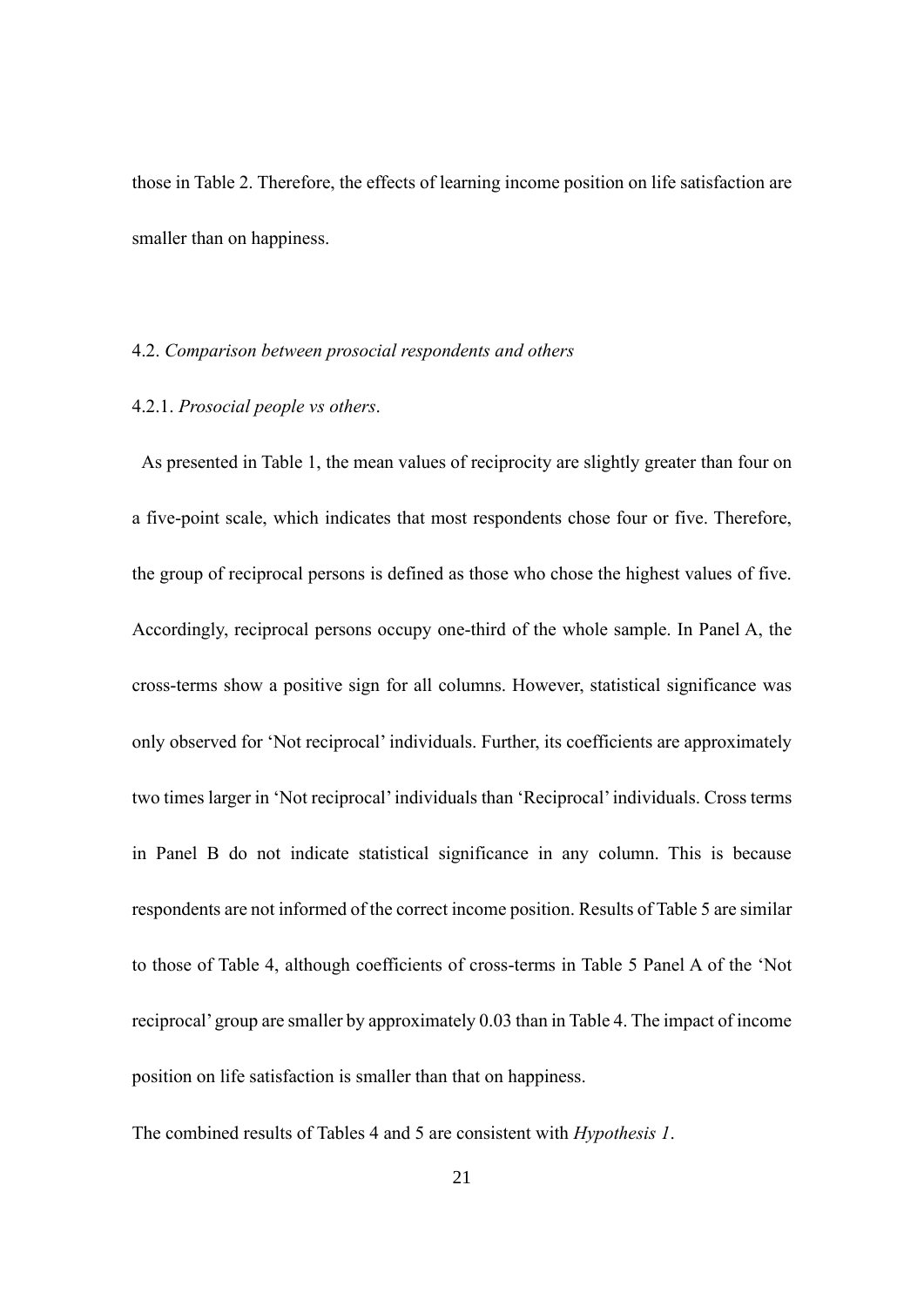those in Table 2. Therefore, the effects of learning income position on life satisfaction are smaller than on happiness.

# 4.2. *Comparison between prosocial respondents and others*

#### 4.2.1. *Prosocial people vs others*.

As presented in Table 1, the mean values of reciprocity are slightly greater than four on a five-point scale, which indicates that most respondents chose four or five. Therefore, the group of reciprocal persons is defined as those who chose the highest values of five. Accordingly, reciprocal persons occupy one-third of the whole sample. In Panel A, the cross-terms show a positive sign for all columns. However, statistical significance was only observed for 'Not reciprocal' individuals. Further, its coefficients are approximately two times larger in 'Not reciprocal'individuals than 'Reciprocal'individuals. Cross terms in Panel B do not indicate statistical significance in any column. This is because respondents are not informed of the correct income position. Results of Table 5 are similar to those of Table 4, although coefficients of cross-terms in Table 5 Panel A of the 'Not reciprocal'group are smaller by approximately 0.03 than in Table 4. The impact of income position on life satisfaction is smaller than that on happiness.

The combined results of Tables 4 and 5 are consistent with *Hypothesis 1*.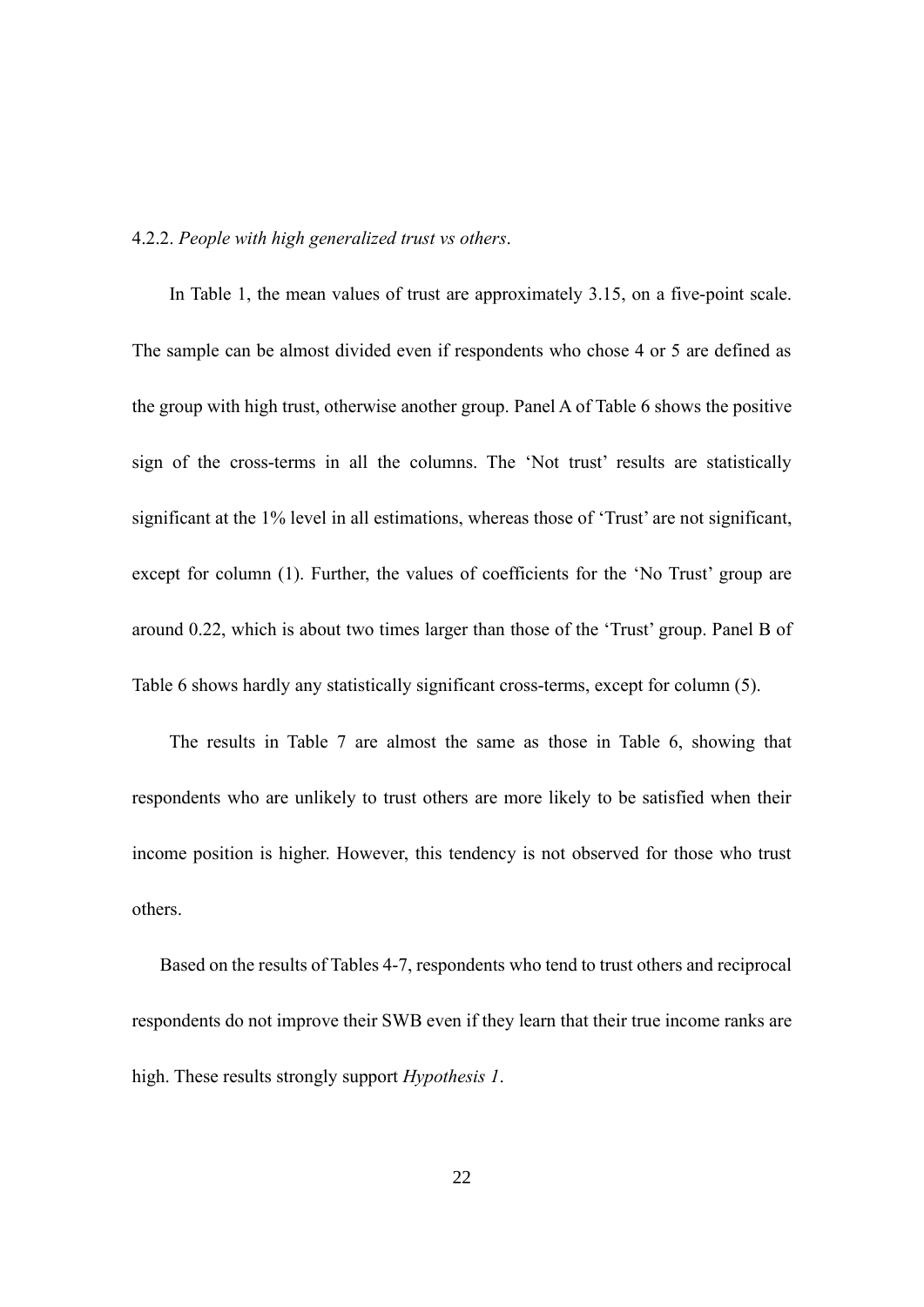#### 4.2.2. *People with high generalized trust vs others*.

In Table 1, the mean values of trust are approximately 3.15, on a five-point scale. The sample can be almost divided even if respondents who chose 4 or 5 are defined as the group with high trust, otherwise another group. Panel A of Table 6 shows the positive sign of the cross-terms in all the columns. The 'Not trust' results are statistically significant at the 1% level in all estimations, whereas those of 'Trust' are not significant, except for column (1). Further, the values of coefficients for the 'No Trust' group are around 0.22, which is about two times larger than those of the 'Trust' group. Panel B of Table 6 shows hardly any statistically significant cross-terms, except for column (5).

The results in Table 7 are almost the same as those in Table 6, showing that respondents who are unlikely to trust others are more likely to be satisfied when their income position is higher. However, this tendency is not observed for those who trust others.

Based on the results of Tables 4-7, respondents who tend to trust others and reciprocal respondents do not improve their SWB even if they learn that their true income ranks are high. These results strongly support *Hypothesis 1*.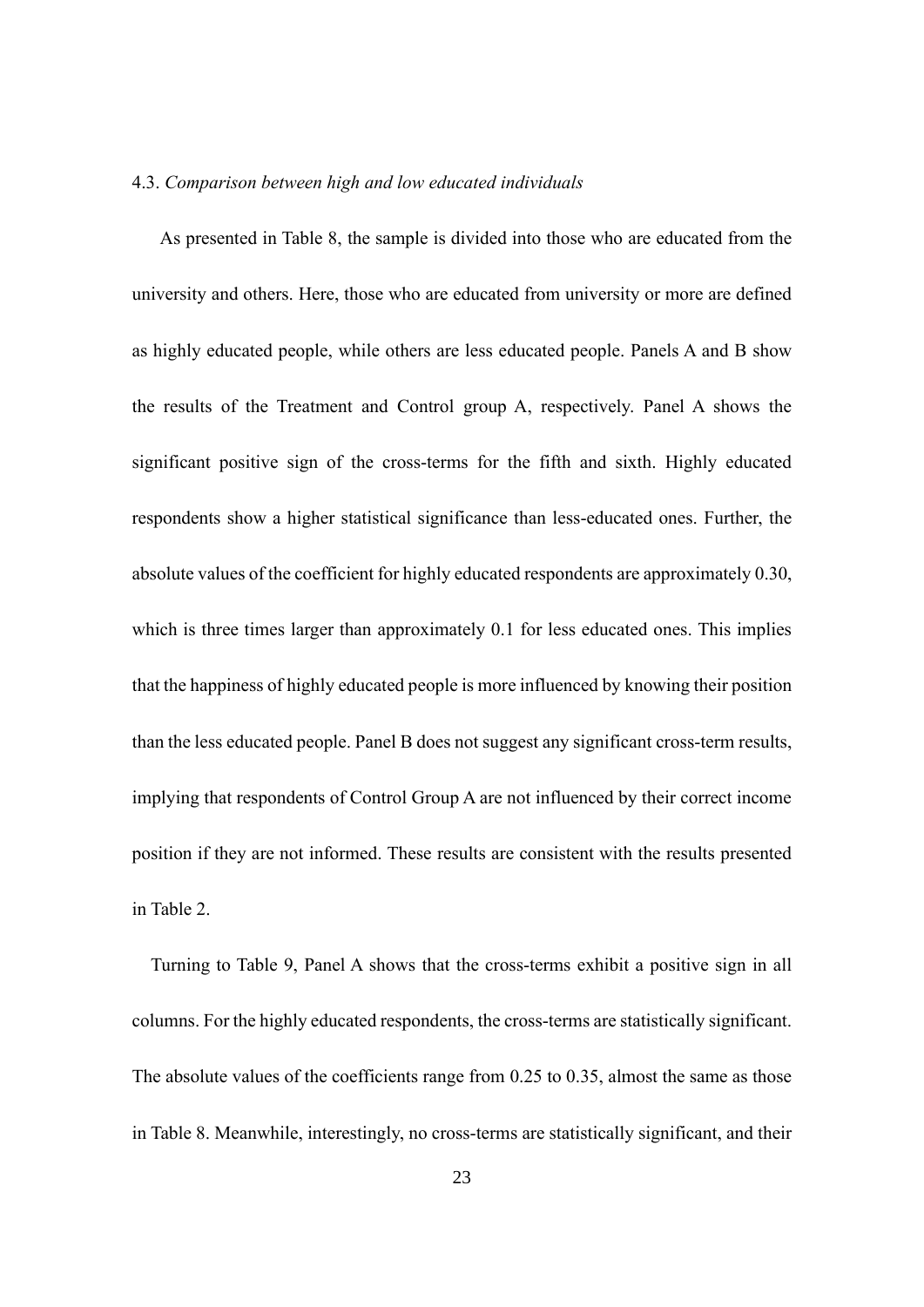## 4.3. *Comparison between high and low educated individuals*

As presented in Table 8, the sample is divided into those who are educated from the university and others. Here, those who are educated from university or more are defined as highly educated people, while others are less educated people. Panels A and B show the results of the Treatment and Control group A, respectively. Panel A shows the significant positive sign of the cross-terms for the fifth and sixth. Highly educated respondents show a higher statistical significance than less-educated ones. Further, the absolute values of the coefficient for highly educated respondents are approximately 0.30, which is three times larger than approximately 0.1 for less educated ones. This implies that the happiness of highly educated people is more influenced by knowing their position than the less educated people. Panel B does not suggest any significant cross-term results, implying that respondents of Control Group A are not influenced by their correct income position if they are not informed. These results are consistent with the results presented in Table 2.

Turning to Table 9, Panel A shows that the cross-terms exhibit a positive sign in all columns. For the highly educated respondents, the cross-terms are statistically significant. The absolute values of the coefficients range from 0.25 to 0.35, almost the same as those in Table 8. Meanwhile, interestingly, no cross-terms are statistically significant, and their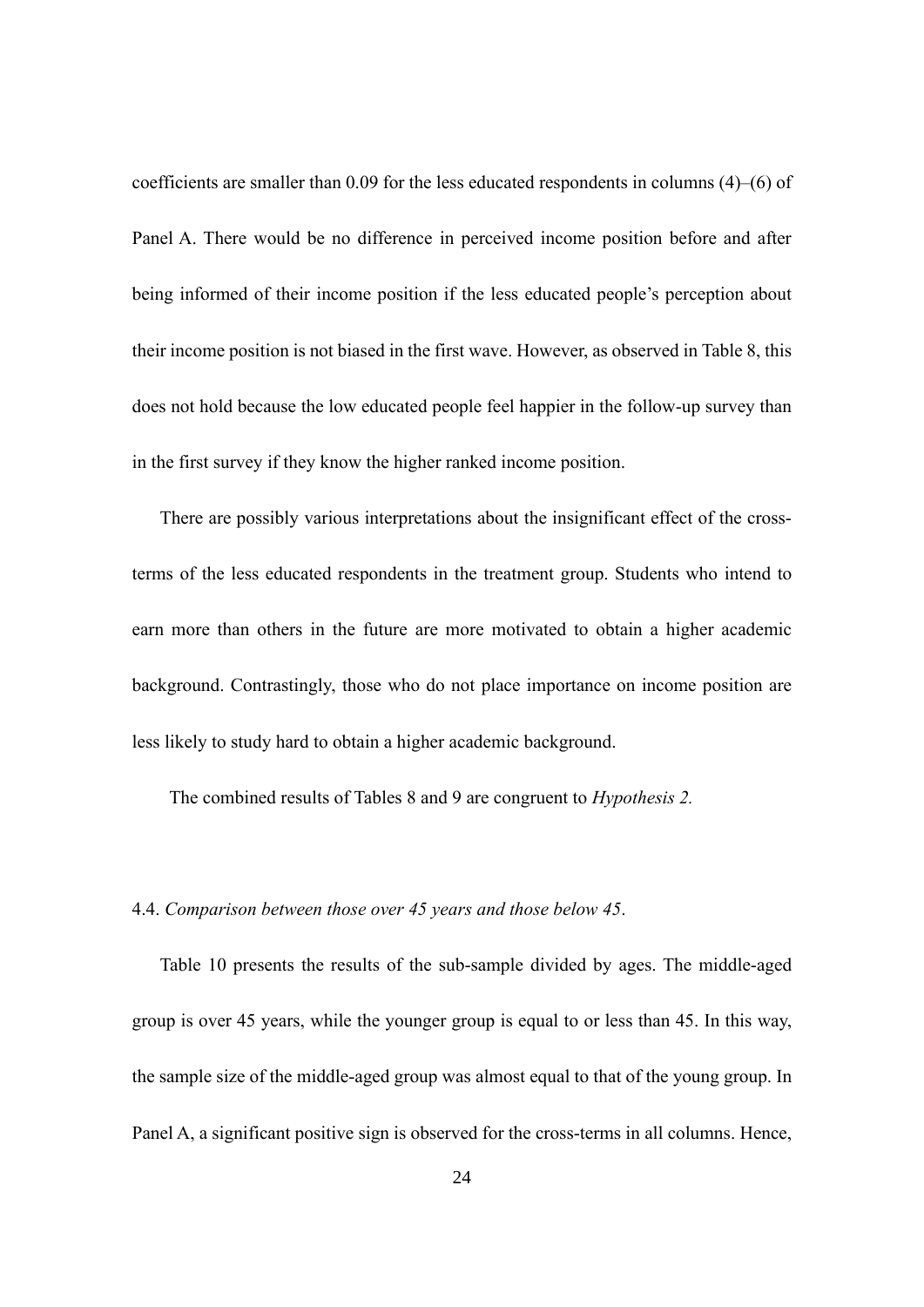coefficients are smaller than 0.09 for the less educated respondents in columns (4)–(6) of Panel A. There would be no difference in perceived income position before and after being informed of their income position if the less educated people's perception about their income position is not biased in the first wave. However, as observed in Table 8, this does not hold because the low educated people feel happier in the follow-up survey than in the first survey if they know the higher ranked income position.

There are possibly various interpretations about the insignificant effect of the crossterms of the less educated respondents in the treatment group. Students who intend to earn more than others in the future are more motivated to obtain a higher academic background. Contrastingly, those who do not place importance on income position are less likely to study hard to obtain a higher academic background.

The combined results of Tables 8 and 9 are congruent to *Hypothesis 2.* 

# 4.4. *Comparison between those over 45 years and those below 45*.

Table 10 presents the results of the sub-sample divided by ages. The middle-aged group is over 45 years, while the younger group is equal to or less than 45. In this way, the sample size of the middle-aged group was almost equal to that of the young group. In Panel A, a significant positive sign is observed for the cross-terms in all columns. Hence,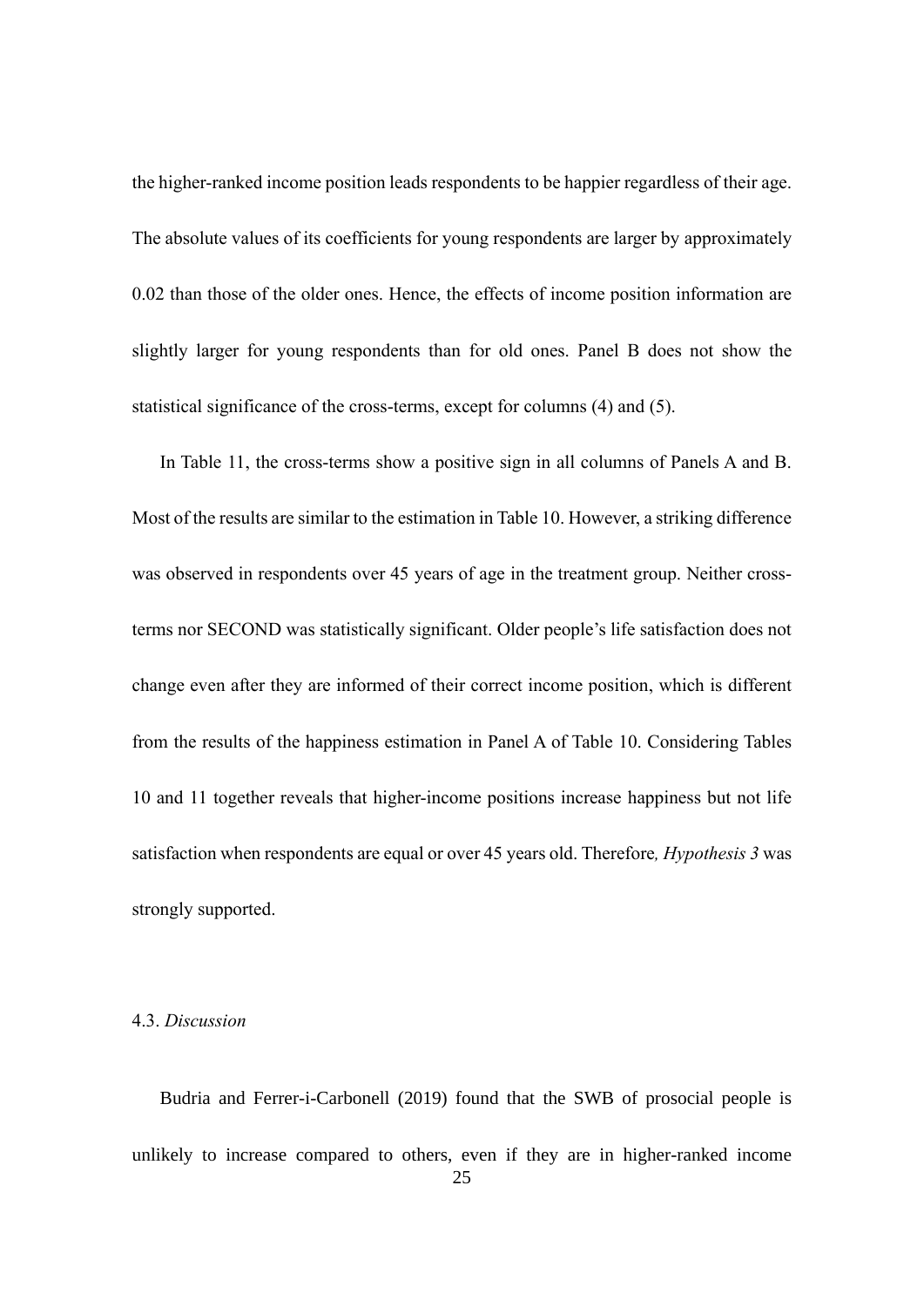the higher-ranked income position leads respondents to be happier regardless of their age. The absolute values of its coefficients for young respondents are larger by approximately 0.02 than those of the older ones. Hence, the effects of income position information are slightly larger for young respondents than for old ones. Panel B does not show the statistical significance of the cross-terms, except for columns (4) and (5).

In Table 11, the cross-terms show a positive sign in all columns of Panels A and B. Most of the results are similar to the estimation in Table 10. However, a striking difference was observed in respondents over 45 years of age in the treatment group. Neither crossterms nor SECOND was statistically significant. Older people's life satisfaction does not change even after they are informed of their correct income position, which is different from the results of the happiness estimation in Panel A of Table 10. Considering Tables 10 and 11 together reveals that higher-income positions increase happiness but not life satisfaction when respondents are equal or over 45 years old. Therefore*, Hypothesis 3* was strongly supported.

## 4.3. *Discussion*

Budria and Ferrer-i-Carbonell (2019) found that the SWB of prosocial people is unlikely to increase compared to others, even if they are in higher-ranked income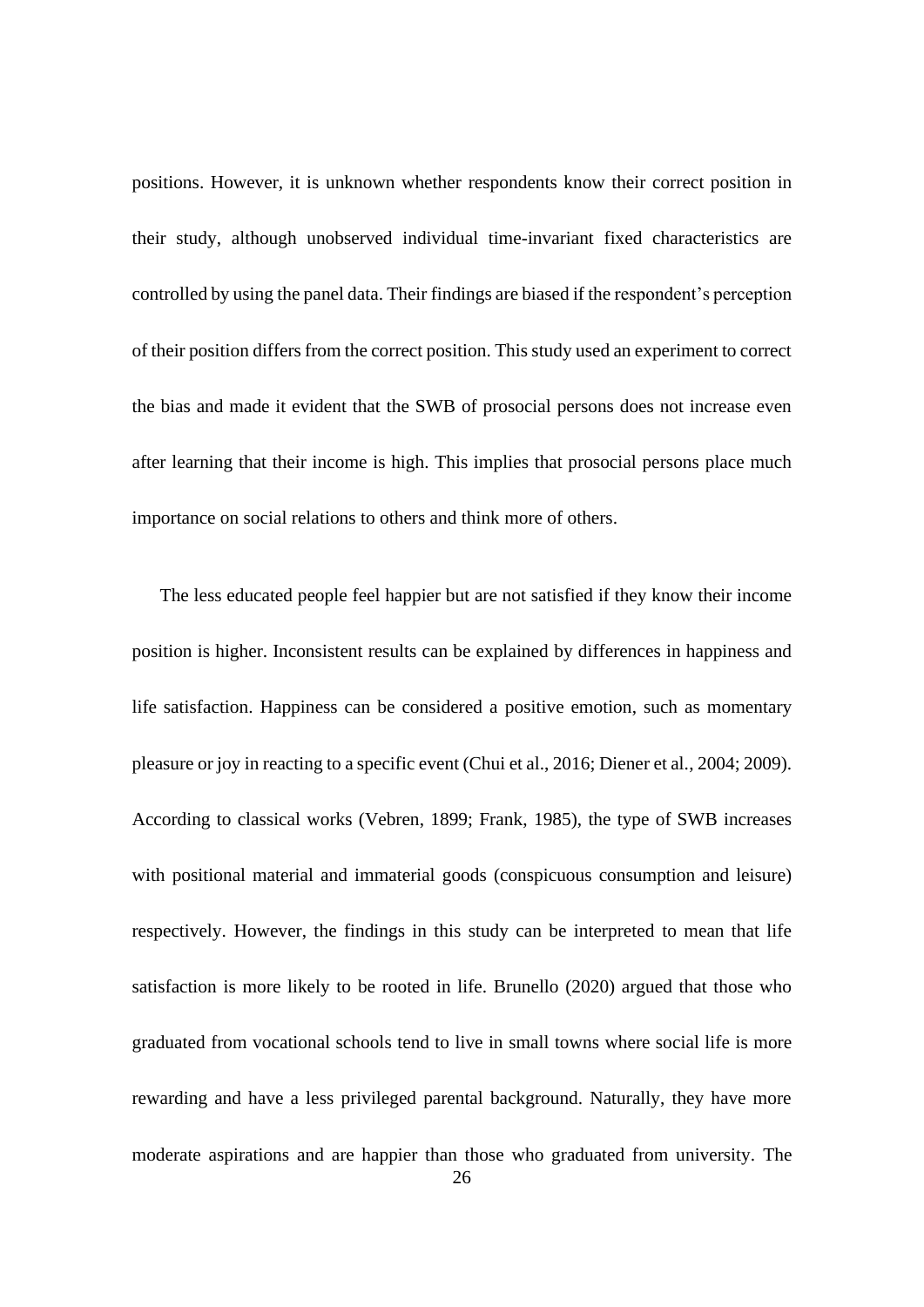positions. However, it is unknown whether respondents know their correct position in their study, although unobserved individual time-invariant fixed characteristics are controlled by using the panel data. Their findings are biased if the respondent's perception of their position differs from the correct position. This study used an experiment to correct the bias and made it evident that the SWB of prosocial persons does not increase even after learning that their income is high. This implies that prosocial persons place much importance on social relations to others and think more of others.

The less educated people feel happier but are not satisfied if they know their income position is higher. Inconsistent results can be explained by differences in happiness and life satisfaction. Happiness can be considered a positive emotion, such as momentary pleasure or joy in reacting to a specific event (Chui et al., 2016; Diener et al., 2004; 2009). According to classical works (Vebren, 1899; Frank, 1985), the type of SWB increases with positional material and immaterial goods (conspicuous consumption and leisure) respectively. However, the findings in this study can be interpreted to mean that life satisfaction is more likely to be rooted in life. Brunello (2020) argued that those who graduated from vocational schools tend to live in small towns where social life is more rewarding and have a less privileged parental background. Naturally, they have more moderate aspirations and are happier than those who graduated from university. The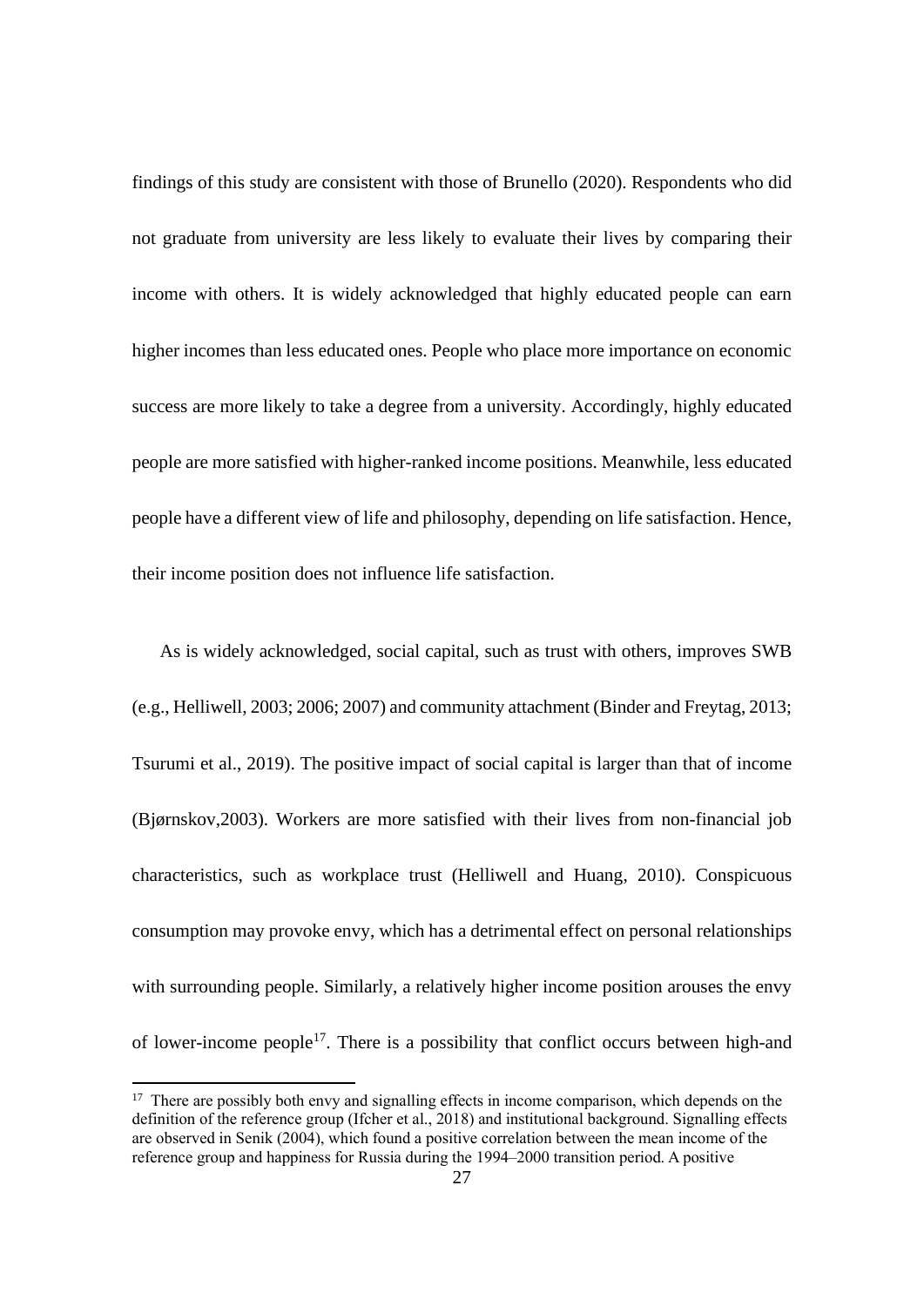findings of this study are consistent with those of Brunello (2020). Respondents who did not graduate from university are less likely to evaluate their lives by comparing their income with others. It is widely acknowledged that highly educated people can earn higher incomes than less educated ones. People who place more importance on economic success are more likely to take a degree from a university. Accordingly, highly educated people are more satisfied with higher-ranked income positions. Meanwhile, less educated people have a different view of life and philosophy, depending on life satisfaction. Hence, their income position does not influence life satisfaction.

As is widely acknowledged, social capital, such as trust with others, improves SWB (e.g., Helliwell, 2003; 2006; 2007) and community attachment (Binder and Freytag, 2013; Tsurumi et al., 2019). The positive impact of social capital is larger than that of income (Bjørnskov,2003). Workers are more satisfied with their lives from non-financial job characteristics, such as workplace trust (Helliwell and Huang, 2010). Conspicuous consumption may provoke envy, which has a detrimental effect on personal relationships with surrounding people. Similarly, a relatively higher income position arouses the envy of lower-income people<sup>17</sup>. There is a possibility that conflict occurs between high-and

<sup>&</sup>lt;sup>17</sup> There are possibly both envy and signalling effects in income comparison, which depends on the definition of the reference group (Ifcher et al., 2018) and institutional background. Signalling effects are observed in Senik (2004), which found a positive correlation between the mean income of the reference group and happiness for Russia during the 1994–2000 transition period. A positive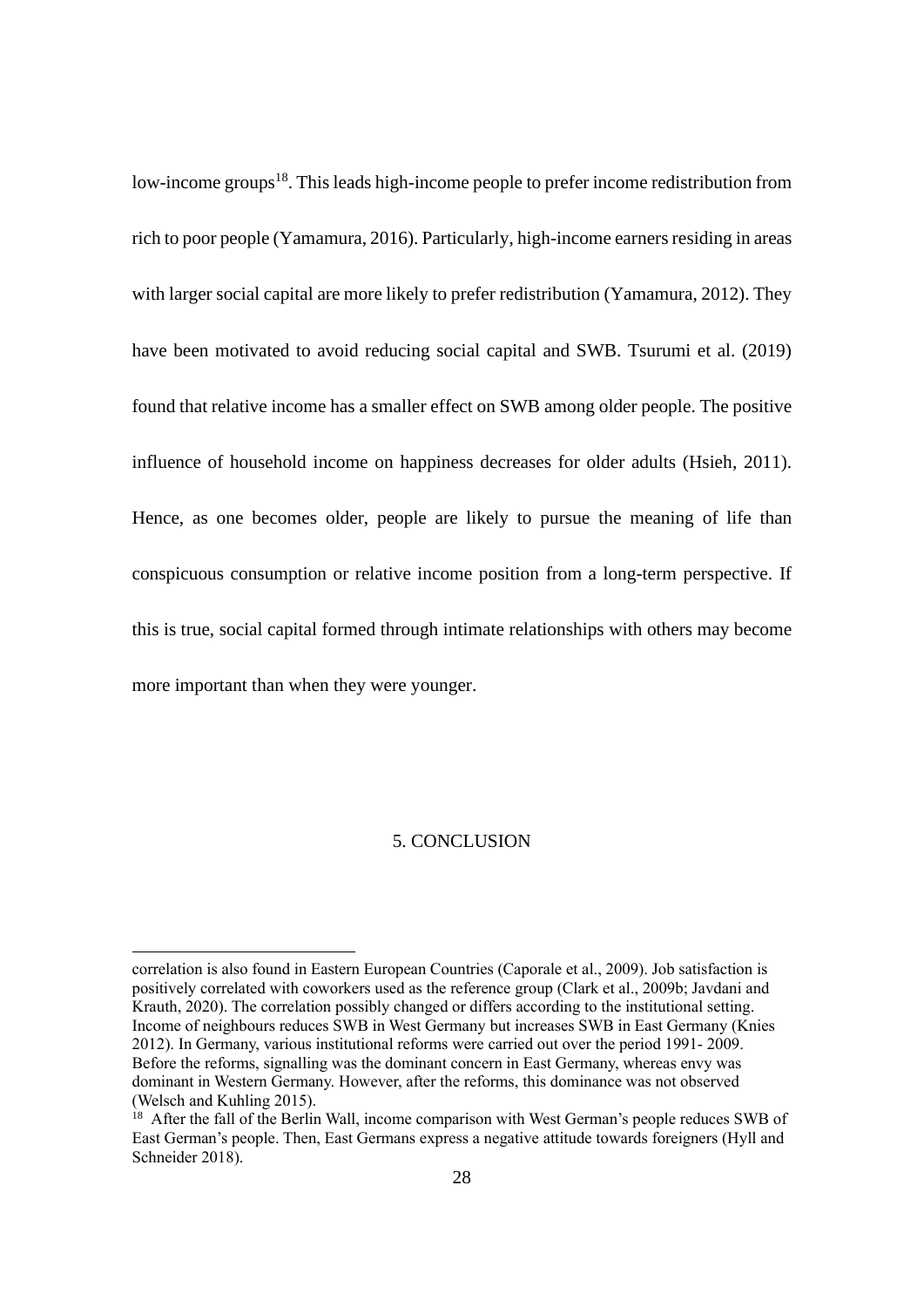low-income groups<sup>18</sup>. This leads high-income people to prefer income redistribution from rich to poor people (Yamamura, 2016). Particularly, high-income earners residing in areas with larger social capital are more likely to prefer redistribution (Yamamura, 2012). They have been motivated to avoid reducing social capital and SWB. Tsurumi et al. (2019) found that relative income has a smaller effect on SWB among older people. The positive influence of household income on happiness decreases for older adults (Hsieh, 2011). Hence, as one becomes older, people are likely to pursue the meaning of life than conspicuous consumption or relative income position from a long-term perspective. If this is true, social capital formed through intimate relationships with others may become more important than when they were younger.

## 5. CONCLUSION

correlation is also found in Eastern European Countries (Caporale et al., 2009). Job satisfaction is positively correlated with coworkers used as the reference group (Clark et al., 2009b; Javdani and Krauth, 2020). The correlation possibly changed or differs according to the institutional setting. Income of neighbours reduces SWB in West Germany but increases SWB in East Germany (Knies 2012). In Germany, various institutional reforms were carried out over the period 1991- 2009. Before the reforms, signalling was the dominant concern in East Germany, whereas envy was dominant in Western Germany. However, after the reforms, this dominance was not observed (Welsch and Kuhling 2015).

 $18$  After the fall of the Berlin Wall, income comparison with West German's people reduces SWB of East German's people. Then, East Germans express a negative attitude towards foreigners (Hyll and Schneider 2018).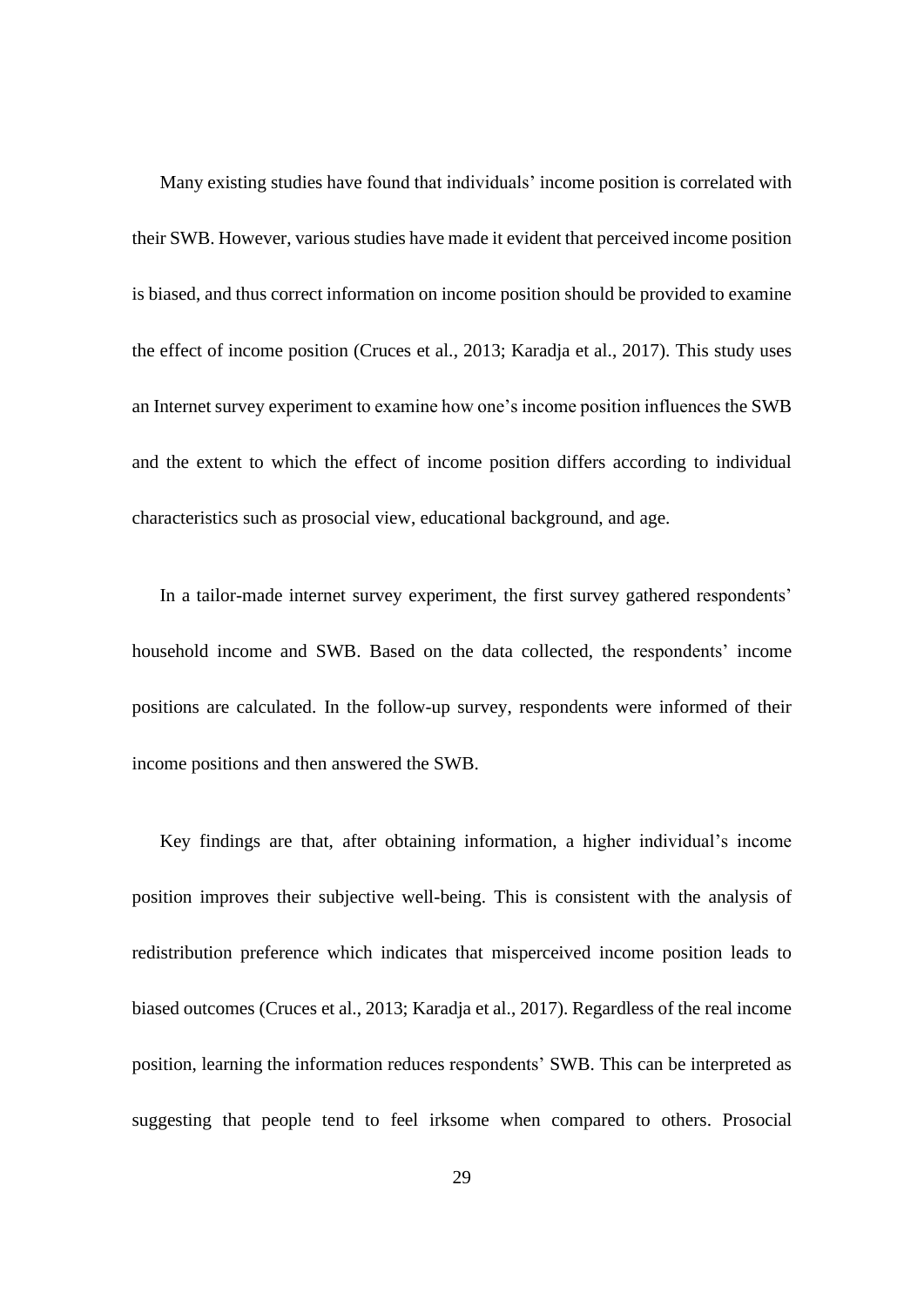Many existing studies have found that individuals' income position is correlated with their SWB. However, various studies have made it evident that perceived income position is biased, and thus correct information on income position should be provided to examine the effect of income position (Cruces et al., 2013; Karadja et al., 2017). This study uses an Internet survey experiment to examine how one's income position influences the SWB and the extent to which the effect of income position differs according to individual characteristics such as prosocial view, educational background, and age.

In a tailor-made internet survey experiment, the first survey gathered respondents' household income and SWB. Based on the data collected, the respondents' income positions are calculated. In the follow-up survey, respondents were informed of their income positions and then answered the SWB.

Key findings are that, after obtaining information, a higher individual's income position improves their subjective well-being. This is consistent with the analysis of redistribution preference which indicates that misperceived income position leads to biased outcomes (Cruces et al., 2013; Karadja et al., 2017). Regardless of the real income position, learning the information reduces respondents' SWB. This can be interpreted as suggesting that people tend to feel irksome when compared to others. Prosocial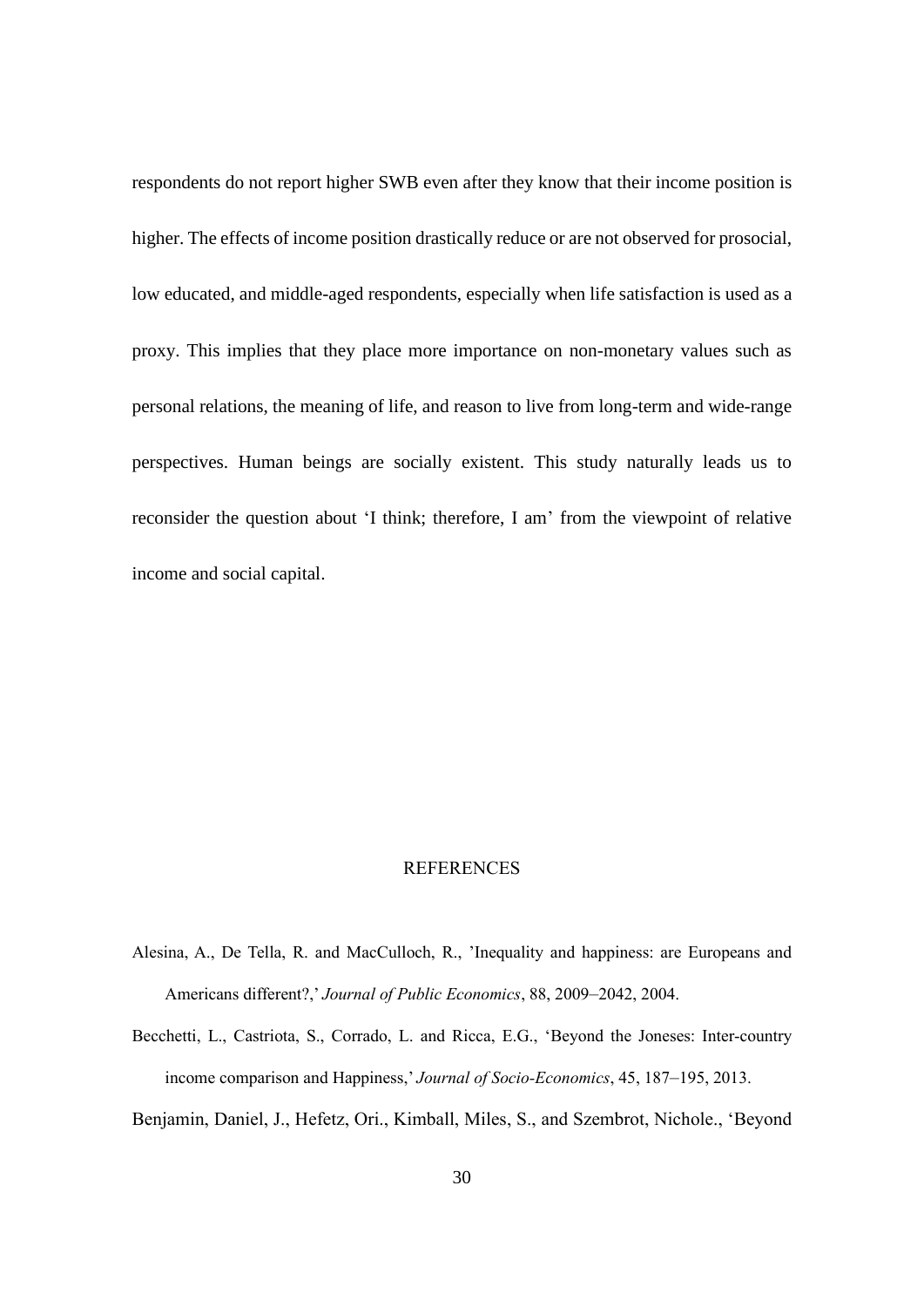respondents do not report higher SWB even after they know that their income position is higher. The effects of income position drastically reduce or are not observed for prosocial, low educated, and middle-aged respondents, especially when life satisfaction is used as a proxy. This implies that they place more importance on non-monetary values such as personal relations, the meaning of life, and reason to live from long-term and wide-range perspectives. Human beings are socially existent. This study naturally leads us to reconsider the question about 'I think; therefore, I am' from the viewpoint of relative income and social capital.

#### REFERENCES

- Alesina, A., De Tella, R. and MacCulloch, R., 'Inequality and happiness: are Europeans and Americans different?,' *Journal of Public Economics*, 88, 2009–2042, 2004.
- Becchetti, L., Castriota, S., Corrado, L. and Ricca, E.G., 'Beyond the Joneses: Inter-country income comparison and Happiness,' *Journal of Socio-Economics*, 45, 187–195, 2013.
- Benjamin, Daniel, J., Hefetz, Ori., Kimball, Miles, S., and Szembrot, Nichole., 'Beyond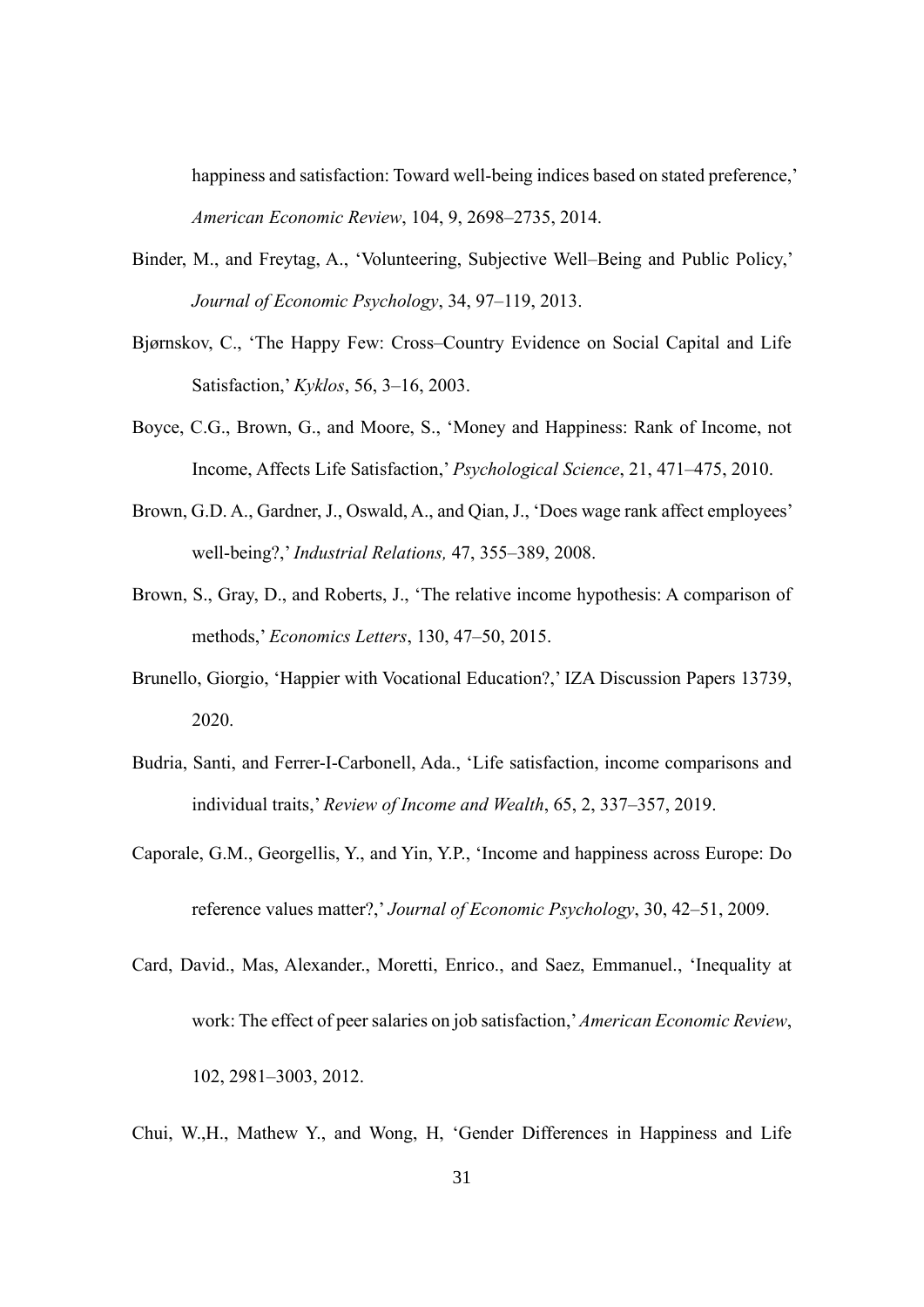happiness and satisfaction: Toward well-being indices based on stated preference,' *American Economic Review*, 104, 9, 2698–2735, 2014.

- Binder, M., and Freytag, A., 'Volunteering, Subjective Well–Being and Public Policy,' *Journal of Economic Psychology*, 34, 97–119, 2013.
- Bjørnskov, C., 'The Happy Few: Cross–Country Evidence on Social Capital and Life Satisfaction,' *Kyklos*, 56, 3–16, 2003.
- Boyce, C.G., Brown, G., and Moore, S., 'Money and Happiness: Rank of Income, not Income, Affects Life Satisfaction,' *Psychological Science*, 21, 471–475, 2010.
- Brown, G.D. A., Gardner, J., Oswald, A., and Qian, J., 'Does wage rank affect employees' well-being?,' *Industrial Relations,* 47, 355–389, 2008.
- Brown, S., Gray, D., and Roberts, J., 'The relative income hypothesis: A comparison of methods,' *Economics Letters*, 130, 47–50, 2015.
- Brunello, Giorgio, 'Happier with Vocational Education?,' IZA Discussion Papers 13739, 2020.
- Budria, Santi, and Ferrer-I-Carbonell, Ada., 'Life satisfaction, income comparisons and individual traits,' *Review of Income and Wealth*, 65, 2, 337–357, 2019.
- Caporale, G.M., Georgellis, Y., and Yin, Y.P., 'Income and happiness across Europe: Do reference values matter?,' *Journal of Economic Psychology*, 30, 42–51, 2009.
- Card, David., Mas, Alexander., Moretti, Enrico., and Saez, Emmanuel., 'Inequality at work: The effect of peer salaries on job satisfaction,'*American Economic Review*, 102, 2981–3003, 2012.
- Chui, W.,H., Mathew Y., and Wong, H, 'Gender Differences in Happiness and Life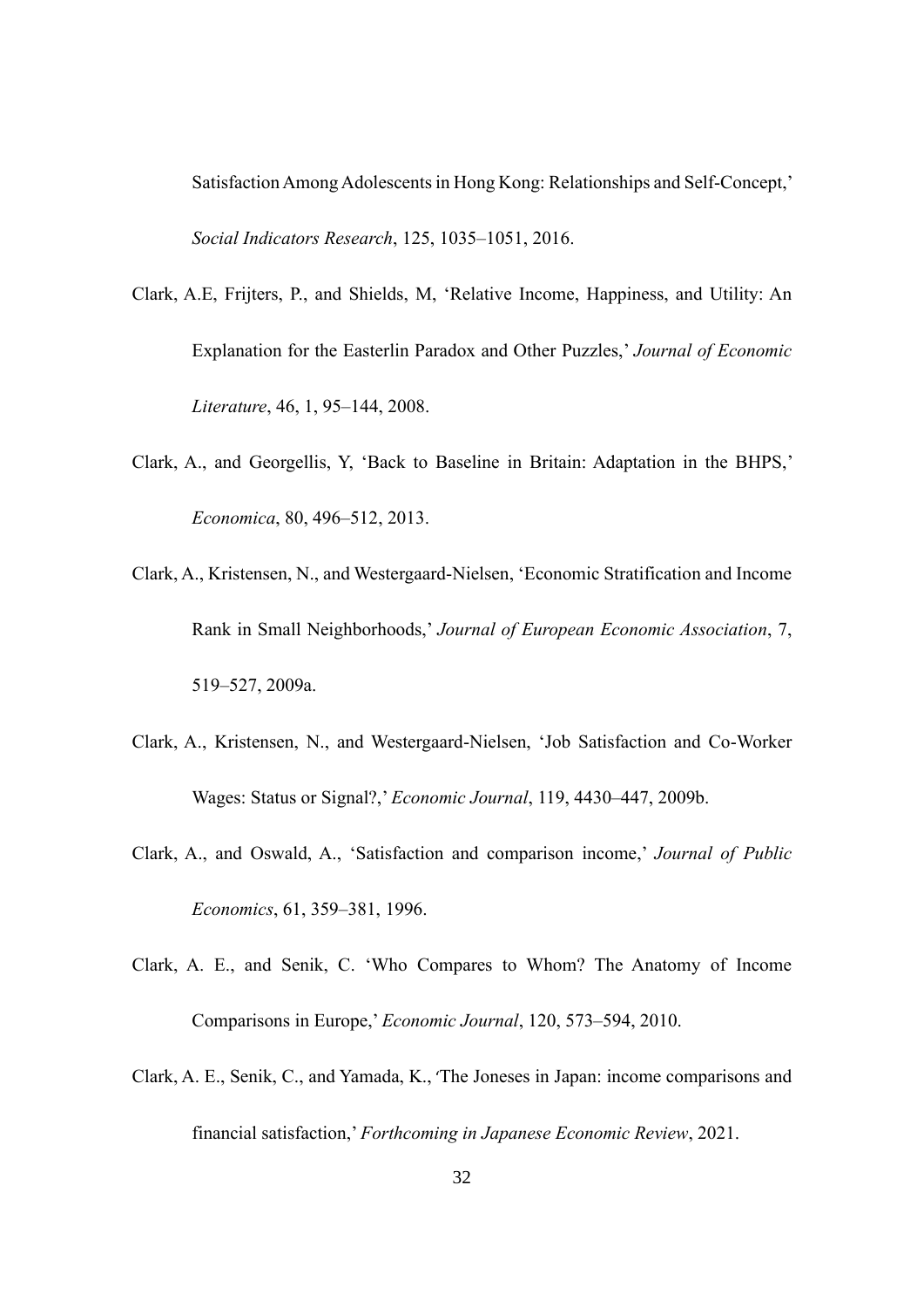Satisfaction Among Adolescents in Hong Kong: Relationships and Self-Concept,' *Social Indicators Research*, 125, 1035–1051, 2016.

- Clark, A.E, Frijters, P., and Shields, M, 'Relative Income, Happiness, and Utility: An Explanation for the Easterlin Paradox and Other Puzzles,' *Journal of Economic Literature*, 46, 1, 95–144, 2008.
- Clark, A., and Georgellis, Y, 'Back to Baseline in Britain: Adaptation in the BHPS,' *Economica*, 80, 496–512, 2013.
- Clark, A., Kristensen, N., and Westergaard-Nielsen, 'Economic Stratification and Income Rank in Small Neighborhoods,' *Journal of European Economic Association*, 7, 519–527, 2009a.
- Clark, A., Kristensen, N., and Westergaard-Nielsen, 'Job Satisfaction and Co-Worker Wages: Status or Signal?,' *Economic Journal*, 119, 4430–447, 2009b.
- Clark, A., and Oswald, A., 'Satisfaction and comparison income,' *Journal of Public Economics*, 61, 359–381, 1996.
- Clark, A. E., and Senik, C. 'Who Compares to Whom? The Anatomy of Income Comparisons in Europe,' *Economic Journal*, 120, 573–594, 2010.
- Clark, A. E., Senik, C., and Yamada, K., 'The Joneses in Japan: income comparisons and financial satisfaction,' *Forthcoming in Japanese Economic Review*, 2021.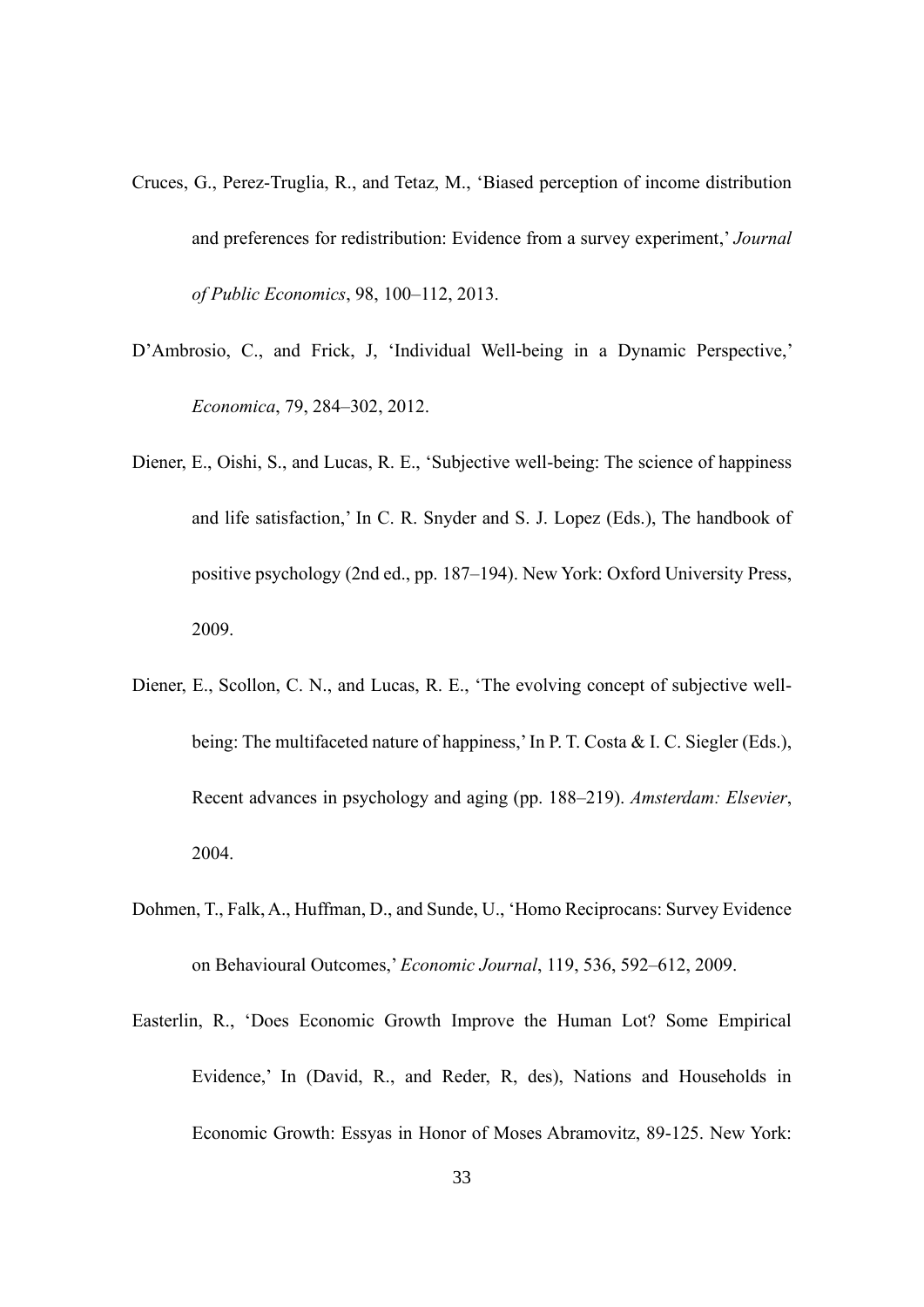- Cruces, G., Perez-Truglia, R., and Tetaz, M., 'Biased perception of income distribution and preferences for redistribution: Evidence from a survey experiment,' *Journal of Public Economics*, 98, 100–112, 2013.
- D'Ambrosio, C., and Frick, J, 'Individual Well-being in a Dynamic Perspective,' *Economica*, 79, 284–302, 2012.
- Diener, E., Oishi, S., and Lucas, R. E., 'Subjective well-being: The science of happiness and life satisfaction,' In C. R. Snyder and S. J. Lopez (Eds.), The handbook of positive psychology (2nd ed., pp. 187–194). New York: Oxford University Press, 2009.
- Diener, E., Scollon, C. N., and Lucas, R. E., 'The evolving concept of subjective wellbeing: The multifaceted nature of happiness,'In P. T. Costa & I. C. Siegler (Eds.), Recent advances in psychology and aging (pp. 188–219). *Amsterdam: Elsevier*, 2004.
- Dohmen, T., Falk, A., Huffman, D., and Sunde, U., 'Homo Reciprocans: Survey Evidence on Behavioural Outcomes,' *Economic Journal*, 119, 536, 592–612, 2009.
- Easterlin, R., 'Does Economic Growth Improve the Human Lot? Some Empirical Evidence,' In (David, R., and Reder, R, des), Nations and Households in Economic Growth: Essyas in Honor of Moses Abramovitz, 89-125. New York: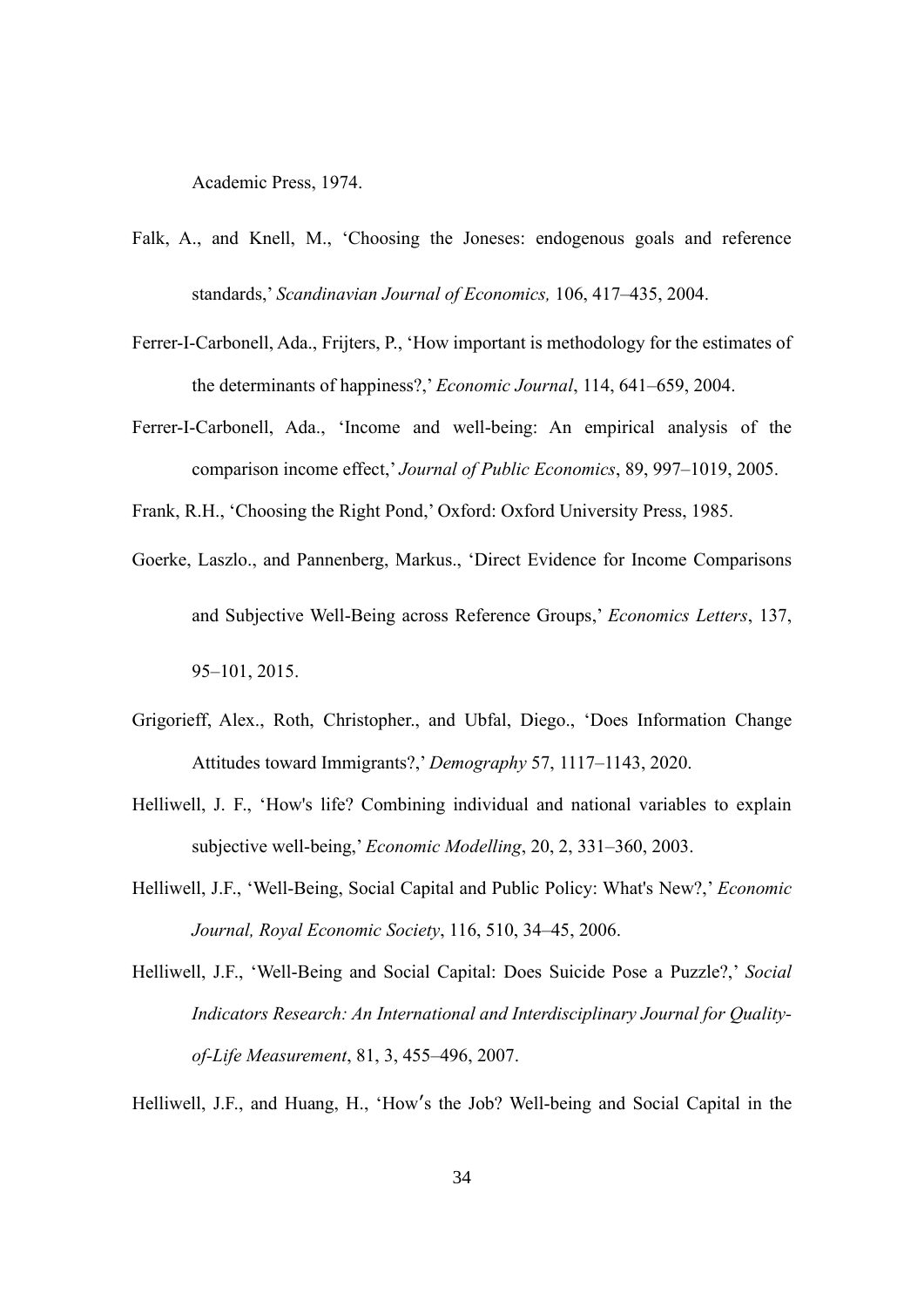Academic Press, 1974.

- Falk, A., and Knell, M., 'Choosing the Joneses: endogenous goals and reference standards,' *Scandinavian Journal of Economics,* 106, 417–435, 2004.
- Ferrer-I-Carbonell, Ada., Frijters, P., 'How important is methodology for the estimates of the determinants of happiness?,' *Economic Journal*, 114, 641–659, 2004.
- Ferrer-I-Carbonell, Ada., 'Income and well-being: An empirical analysis of the comparison income effect,' *Journal of Public Economics*, 89, 997–1019, 2005.

Frank, R.H., 'Choosing the Right Pond,' Oxford: Oxford University Press, 1985.

- Goerke, Laszlo., and Pannenberg, Markus., 'Direct Evidence for Income Comparisons and Subjective Well-Being across Reference Groups,' *Economics Letters*, 137, 95–101, 2015.
- Grigorieff, Alex., Roth, Christopher., and Ubfal, Diego., 'Does Information Change Attitudes toward Immigrants?,' *Demography* 57, 1117–1143, 2020.
- Helliwell, J. F., 'How's life? Combining individual and national variables to explain subjective well-being,' *Economic Modelling*, 20, 2, 331–360, 2003.
- Helliwell, J.F., 'Well-Being, Social Capital and Public Policy: What's New?,' *Economic Journal, Royal Economic Society*, 116, 510, 34–45, 2006.
- Helliwell, J.F., 'Well-Being and Social Capital: Does Suicide Pose a Puzzle?,' *Social Indicators Research: An International and Interdisciplinary Journal for Qualityof-Life Measurement*, 81, 3, 455–496, 2007.

Helliwell, J.F., and Huang, H., 'How's the Job? Well-being and Social Capital in the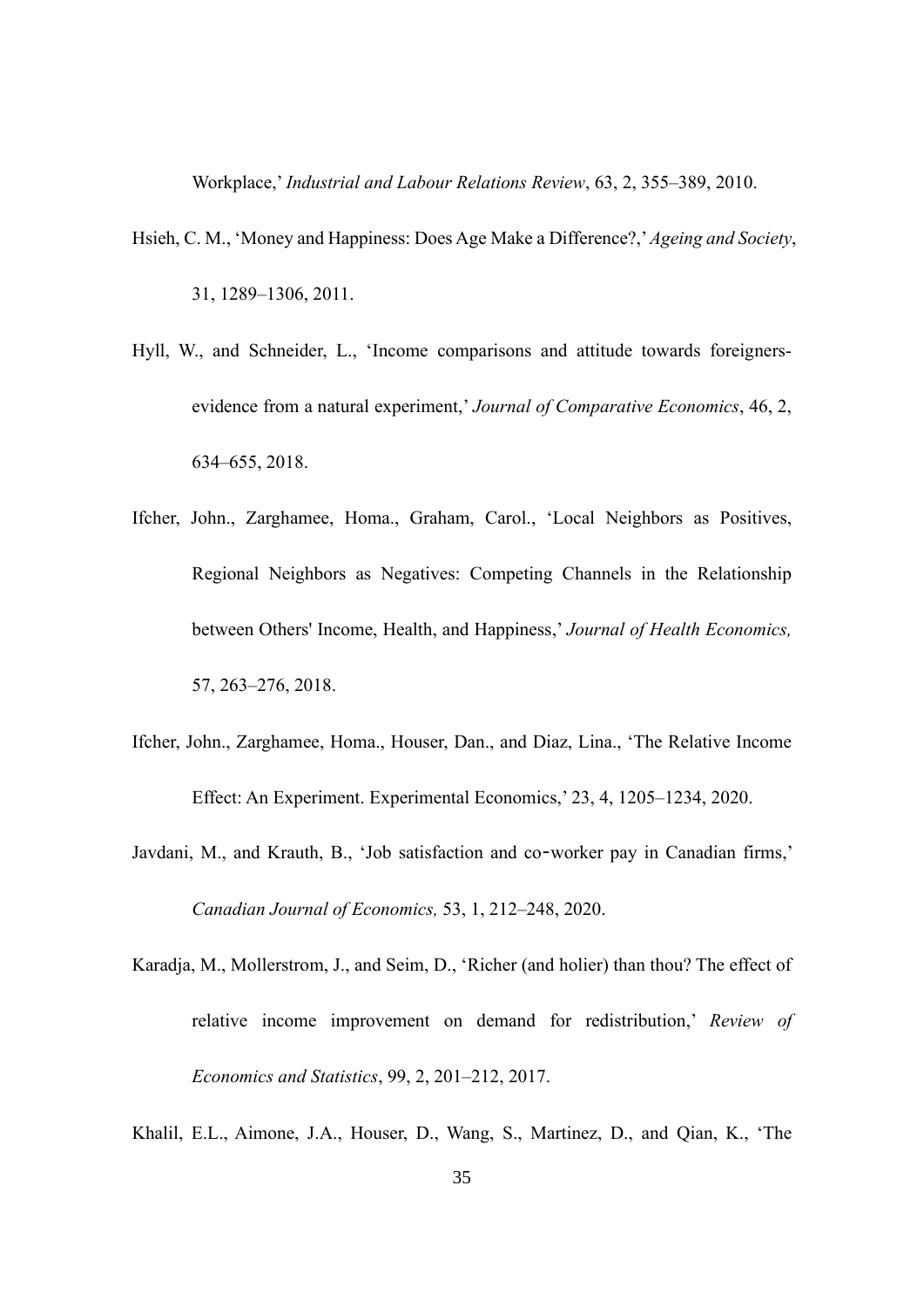Workplace,' *Industrial and Labour Relations Review*, 63, 2, 355–389, 2010.

- Hsieh, C. M., 'Money and Happiness: Does Age Make a Difference?,'*Ageing and Society*, 31, 1289–1306, 2011.
- Hyll, W., and Schneider, L., 'Income comparisons and attitude towards foreignersevidence from a natural experiment,' *Journal of Comparative Economics*, 46, 2, 634–655, 2018.
- Ifcher, John., Zarghamee, Homa., Graham, Carol., 'Local Neighbors as Positives, Regional Neighbors as Negatives: Competing Channels in the Relationship between Others' Income, Health, and Happiness,' *Journal of Health Economics,* 57, 263–276, 2018.
- Ifcher, John., Zarghamee, Homa., Houser, Dan., and Diaz, Lina., 'The Relative Income Effect: An Experiment. Experimental Economics,' 23, 4, 1205–1234, 2020.
- Javdani, M., and Krauth, B., 'Job satisfaction and co-worker pay in Canadian firms,' *Canadian Journal of Economics,* 53, 1, 212–248, 2020.
- Karadja, M., Mollerstrom, J., and Seim, D., 'Richer (and holier) than thou? The effect of relative income improvement on demand for redistribution,' *Review of Economics and Statistics*, 99, 2, 201–212, 2017.

Khalil, E.L., Aimone, J.A., Houser, D., Wang, S., Martinez, D., and Qian, K., 'The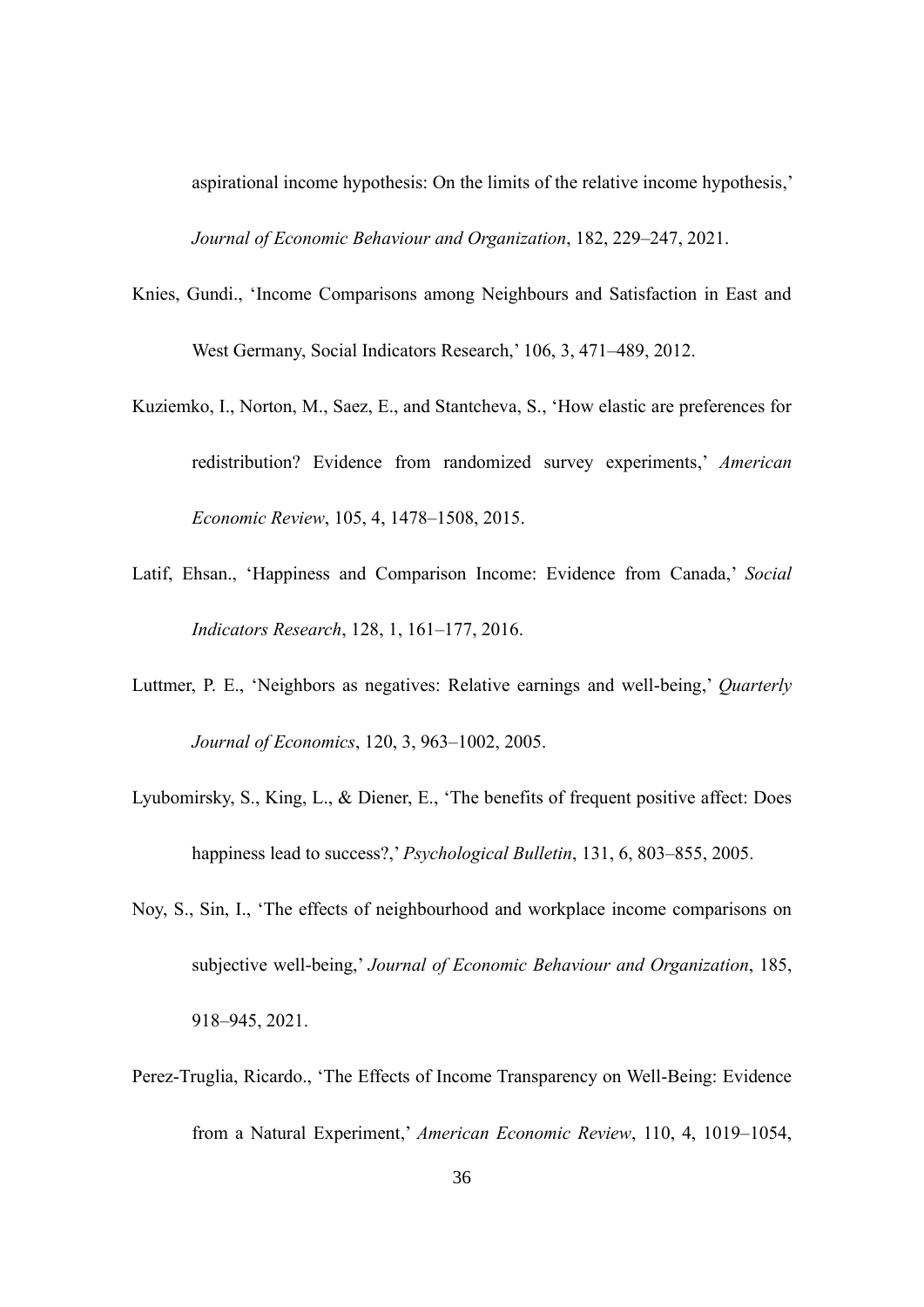aspirational income hypothesis: On the limits of the relative income hypothesis,' *Journal of Economic Behaviour and Organization*, 182, 229–247, 2021.

- Knies, Gundi., 'Income Comparisons among Neighbours and Satisfaction in East and West Germany, Social Indicators Research,' 106, 3, 471–489, 2012.
- Kuziemko, I., Norton, M., Saez, E., and Stantcheva, S., 'How elastic are preferences for redistribution? Evidence from randomized survey experiments,' *American Economic Review*, 105, 4, 1478–1508, 2015.
- Latif, Ehsan., 'Happiness and Comparison Income: Evidence from Canada,' *Social Indicators Research*, 128, 1, 161–177, 2016.
- Luttmer, P. E., 'Neighbors as negatives: Relative earnings and well-being,' *Quarterly Journal of Economics*, 120, 3, 963–1002, 2005.
- Lyubomirsky, S., King, L., & Diener, E., 'The benefits of frequent positive affect: Does happiness lead to success?,' *Psychological Bulletin*, 131, 6, 803–855, 2005.
- Noy, S., Sin, I., 'The effects of neighbourhood and workplace income comparisons on subjective well-being,' *Journal of Economic Behaviour and Organization*, 185, 918–945, 2021.
- Perez-Truglia, Ricardo., 'The Effects of Income Transparency on Well-Being: Evidence from a Natural Experiment,' *American Economic Review*, 110, 4, 1019–1054,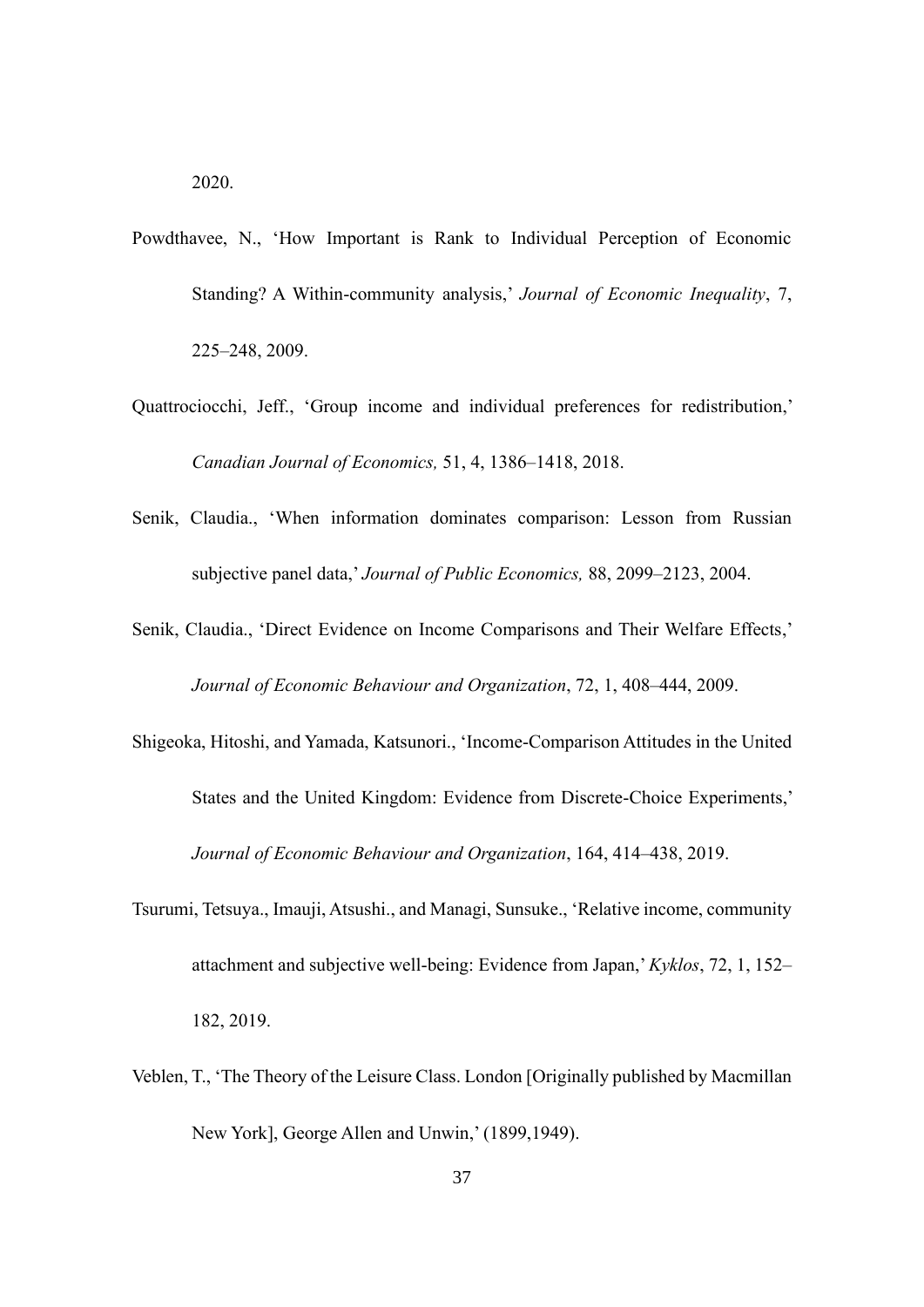- Powdthavee, N., 'How Important is Rank to Individual Perception of Economic Standing? A Within-community analysis,' *Journal of Economic Inequality*, 7, 225–248, 2009.
- Quattrociocchi, Jeff., 'Group income and individual preferences for redistribution,' *Canadian Journal of Economics,* 51, 4, 1386–1418, 2018.
- Senik, Claudia., 'When information dominates comparison: Lesson from Russian subjective panel data,' *Journal of Public Economics,* 88, 2099–2123, 2004.
- Senik, Claudia., 'Direct Evidence on Income Comparisons and Their Welfare Effects,' *Journal of Economic Behaviour and Organization*, 72, 1, 408–444, 2009.
- Shigeoka, Hitoshi, and Yamada, Katsunori., 'Income-Comparison Attitudes in the United States and the United Kingdom: Evidence from Discrete-Choice Experiments,' *Journal of Economic Behaviour and Organization*, 164, 414–438, 2019.
- Tsurumi, Tetsuya., Imauji, Atsushi., and Managi, Sunsuke., 'Relative income, community attachment and subjective well-being: Evidence from Japan,' *Kyklos*, 72, 1, 152– 182, 2019.
- Veblen, T., 'The Theory of the Leisure Class. London [Originally published by Macmillan New York], George Allen and Unwin,' (1899,1949).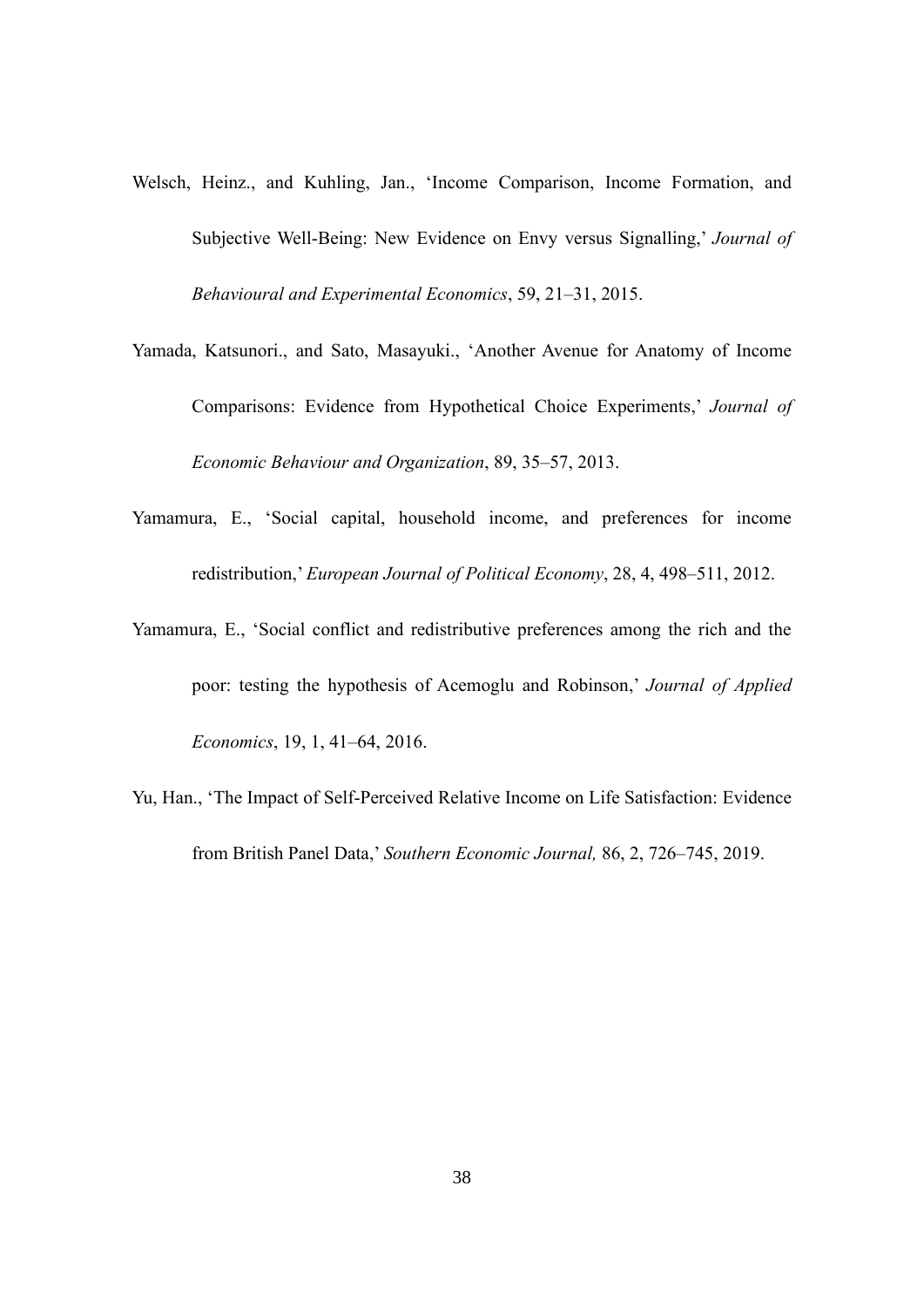- Welsch, Heinz., and Kuhling, Jan., 'Income Comparison, Income Formation, and Subjective Well-Being: New Evidence on Envy versus Signalling,' *Journal of Behavioural and Experimental Economics*, 59, 21–31, 2015.
- Yamada, Katsunori., and Sato, Masayuki., 'Another Avenue for Anatomy of Income Comparisons: Evidence from Hypothetical Choice Experiments,' *Journal of Economic Behaviour and Organization*, 89, 35–57, 2013.
- Yamamura, E., 'Social capital, household income, and preferences for income redistribution,' *European Journal of Political Economy*, 28, 4, 498–511, 2012.
- Yamamura, E., 'Social conflict and redistributive preferences among the rich and the poor: testing the hypothesis of Acemoglu and Robinson,' *Journal of Applied Economics*, 19, 1, 41–64, 2016.
- Yu, Han., 'The Impact of Self-Perceived Relative Income on Life Satisfaction: Evidence from British Panel Data,' *Southern Economic Journal,* 86, 2, 726–745, 2019.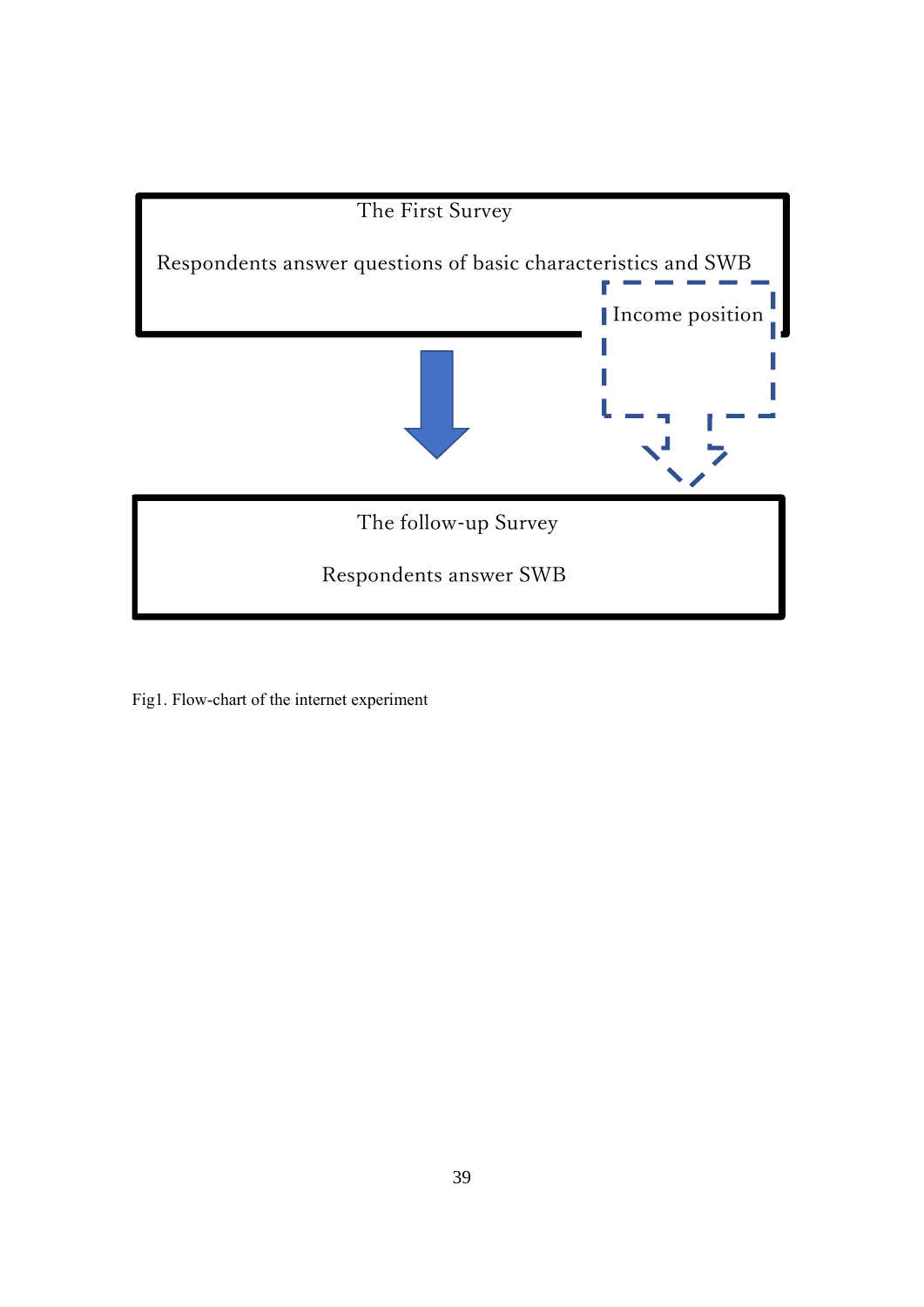

Fig1. Flow-chart of the internet experiment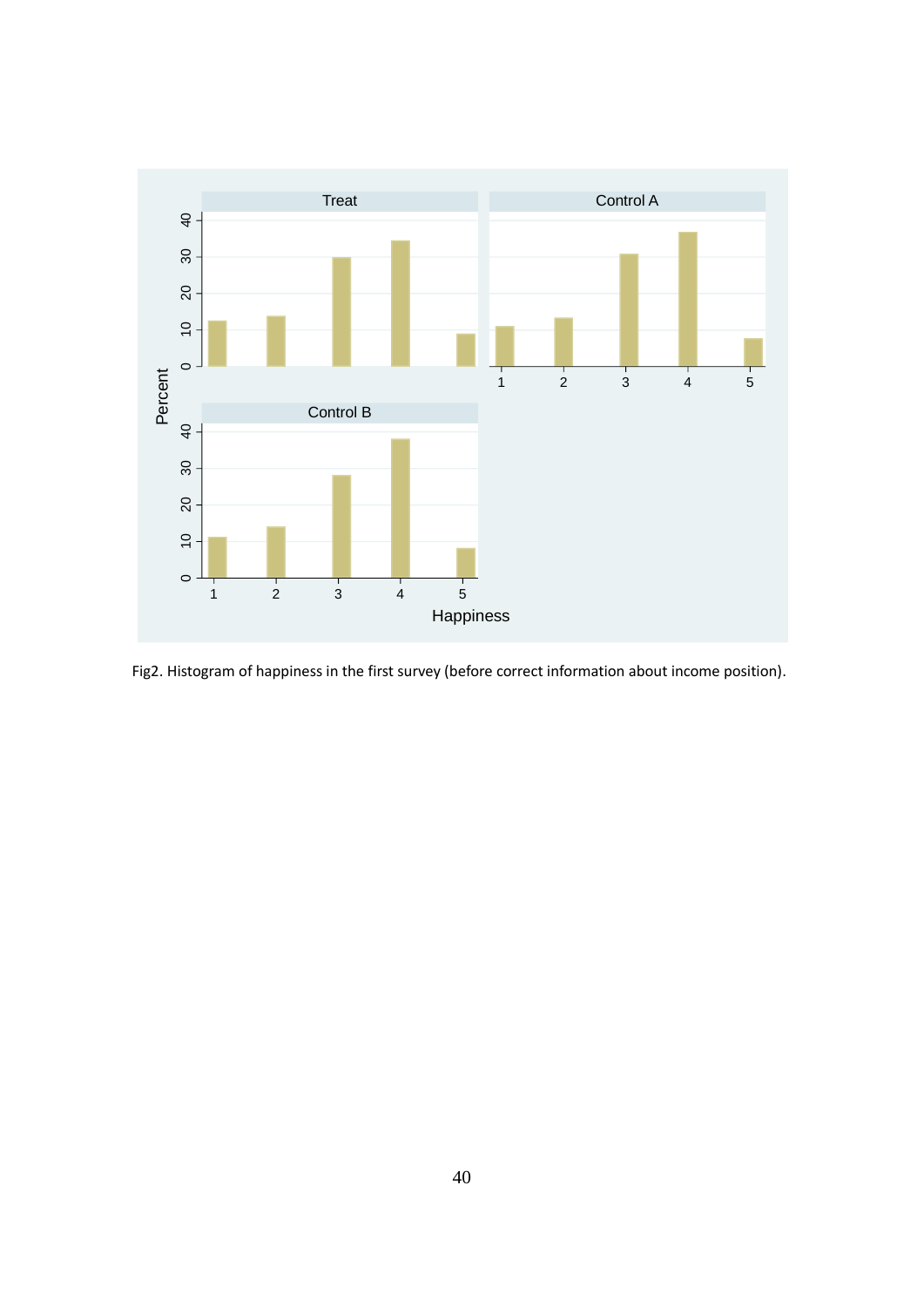

Fig2. Histogram of happiness in the first survey (before correct information about income position).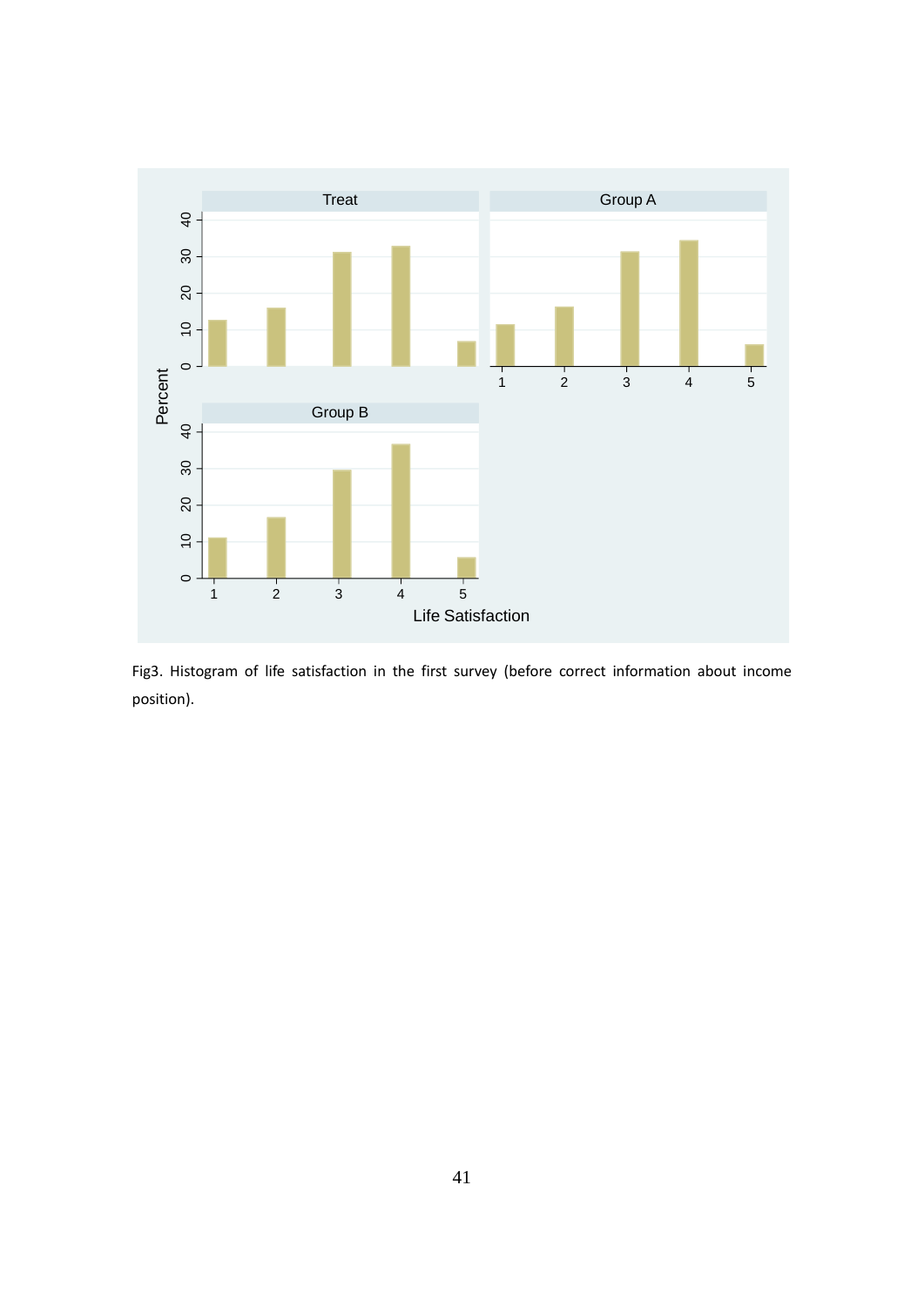

Fig3. Histogram of life satisfaction in the first survey (before correct information about income position).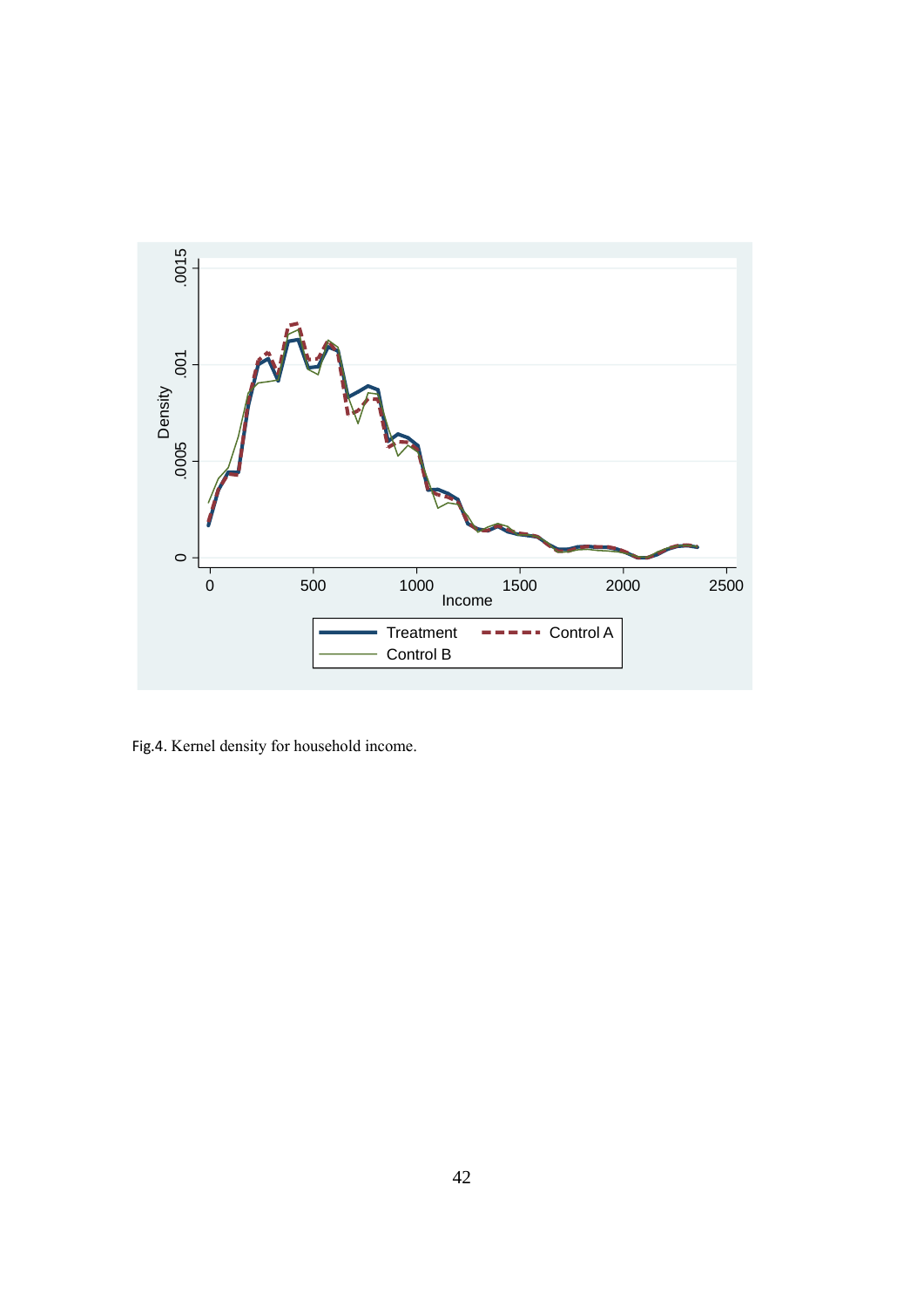

Fig.4. Kernel density for household income.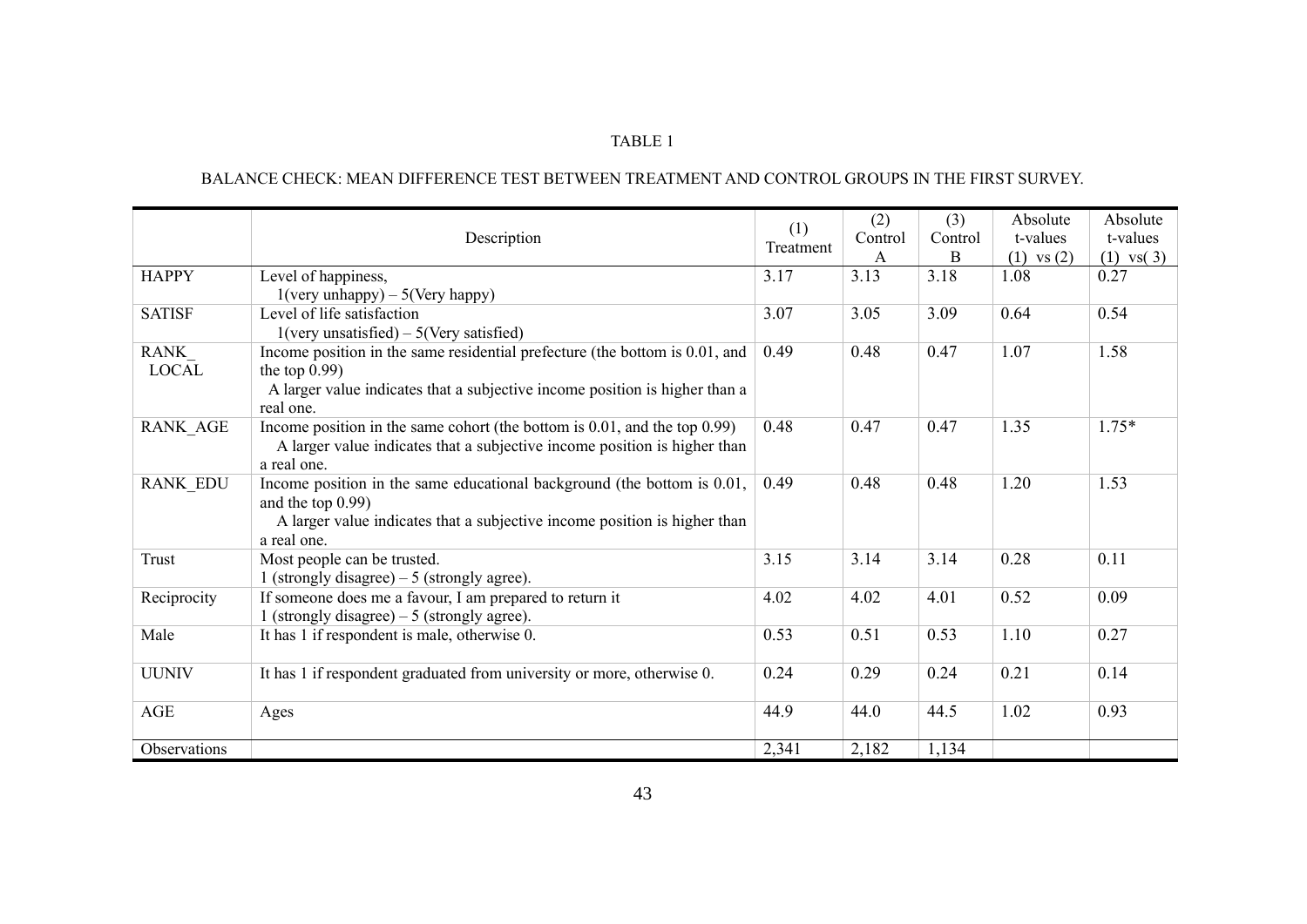# BALANCE CHECK: MEAN DIFFERENCE TEST BETWEEN TREATMENT AND CONTROL GROUPS IN THE FIRST SURVEY.

|                 | Description                                                                              | (1)<br>Treatment | (2)<br>Control | (3)<br>Control | Absolute<br>t-values | Absolute<br>t-values |
|-----------------|------------------------------------------------------------------------------------------|------------------|----------------|----------------|----------------------|----------------------|
|                 |                                                                                          |                  | A              | B              | $(1)$ vs $(2)$       | $(1)$ vs $(3)$       |
| <b>HAPPY</b>    | Level of happiness,                                                                      | 3.17             | 3.13           | 3.18           | 1.08                 | 0.27                 |
|                 | $1(very unhappy) - 5(Very happy)$                                                        |                  |                |                |                      |                      |
| <b>SATISF</b>   | Level of life satisfaction                                                               | 3.07             | 3.05           | 3.09           | 0.64                 | 0.54                 |
|                 | $1(very unsatisfied) - 5(Very satisfied)$                                                |                  |                |                |                      |                      |
| RANK            | Income position in the same residential prefecture (the bottom is 0.01, and              | 0.49             | 0.48           | 0.47           | 1.07                 | 1.58                 |
| <b>LOCAL</b>    | the top $0.99$ )                                                                         |                  |                |                |                      |                      |
|                 | A larger value indicates that a subjective income position is higher than a<br>real one. |                  |                |                |                      |                      |
| <b>RANK AGE</b> | Income position in the same cohort (the bottom is $0.01$ , and the top $0.99$ )          | 0.48             | 0.47           | 0.47           | 1.35                 | $1.75*$              |
|                 | A larger value indicates that a subjective income position is higher than                |                  |                |                |                      |                      |
|                 | a real one.                                                                              |                  |                |                |                      |                      |
| <b>RANK EDU</b> | Income position in the same educational background (the bottom is 0.01,                  | 0.49             | 0.48           | 0.48           | 1.20                 | 1.53                 |
|                 | and the top $0.99$ )                                                                     |                  |                |                |                      |                      |
|                 | A larger value indicates that a subjective income position is higher than                |                  |                |                |                      |                      |
|                 | a real one.                                                                              |                  |                |                |                      |                      |
| Trust           | Most people can be trusted.                                                              | 3.15             | 3.14           | 3.14           | 0.28                 | 0.11                 |
|                 | 1 (strongly disagree) $-5$ (strongly agree).                                             |                  |                |                |                      |                      |
| Reciprocity     | If someone does me a favour, I am prepared to return it                                  | 4.02             | 4.02           | 4.01           | 0.52                 | 0.09                 |
|                 | 1 (strongly disagree) $-5$ (strongly agree).                                             |                  |                |                |                      |                      |
| Male            |                                                                                          | 0.53             | 0.51           | 0.53           | 1.10                 | 0.27                 |
|                 | It has 1 if respondent is male, otherwise 0.                                             |                  |                |                |                      |                      |
|                 |                                                                                          |                  |                |                |                      |                      |
| <b>UUNIV</b>    | It has 1 if respondent graduated from university or more, otherwise 0.                   | 0.24             | 0.29           | 0.24           | 0.21                 | 0.14                 |
|                 |                                                                                          |                  |                |                |                      |                      |
| AGE             | Ages                                                                                     | 44.9             | 44.0           | 44.5           | 1.02                 | 0.93                 |
|                 |                                                                                          |                  |                |                |                      |                      |
| Observations    |                                                                                          | 2,341            | 2,182          | 1,134          |                      |                      |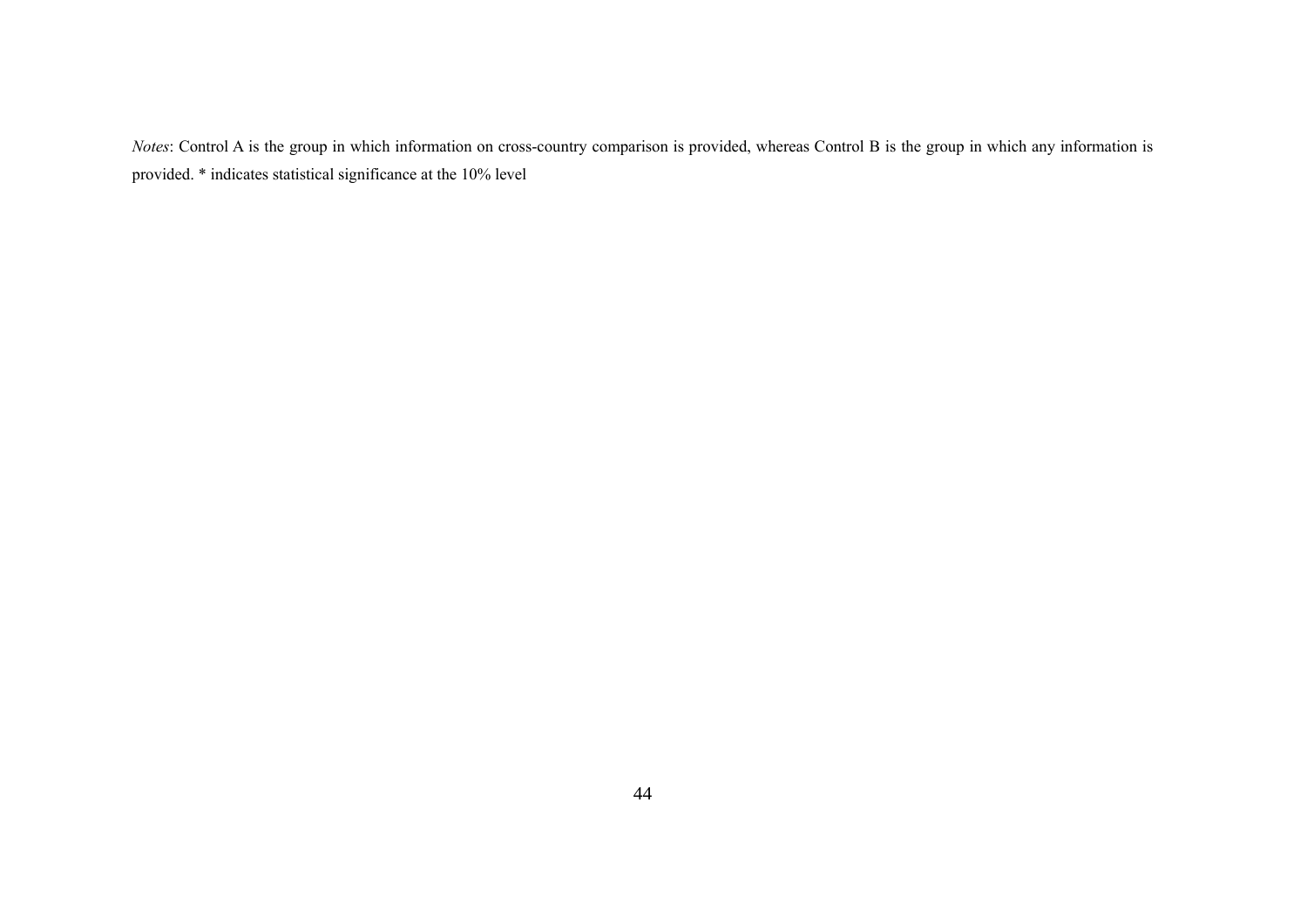*Notes*: Control A is the group in which information on cross-country comparison is provided, whereas Control B is the group in which any information is provided. \* indicates statistical significance at the 10% level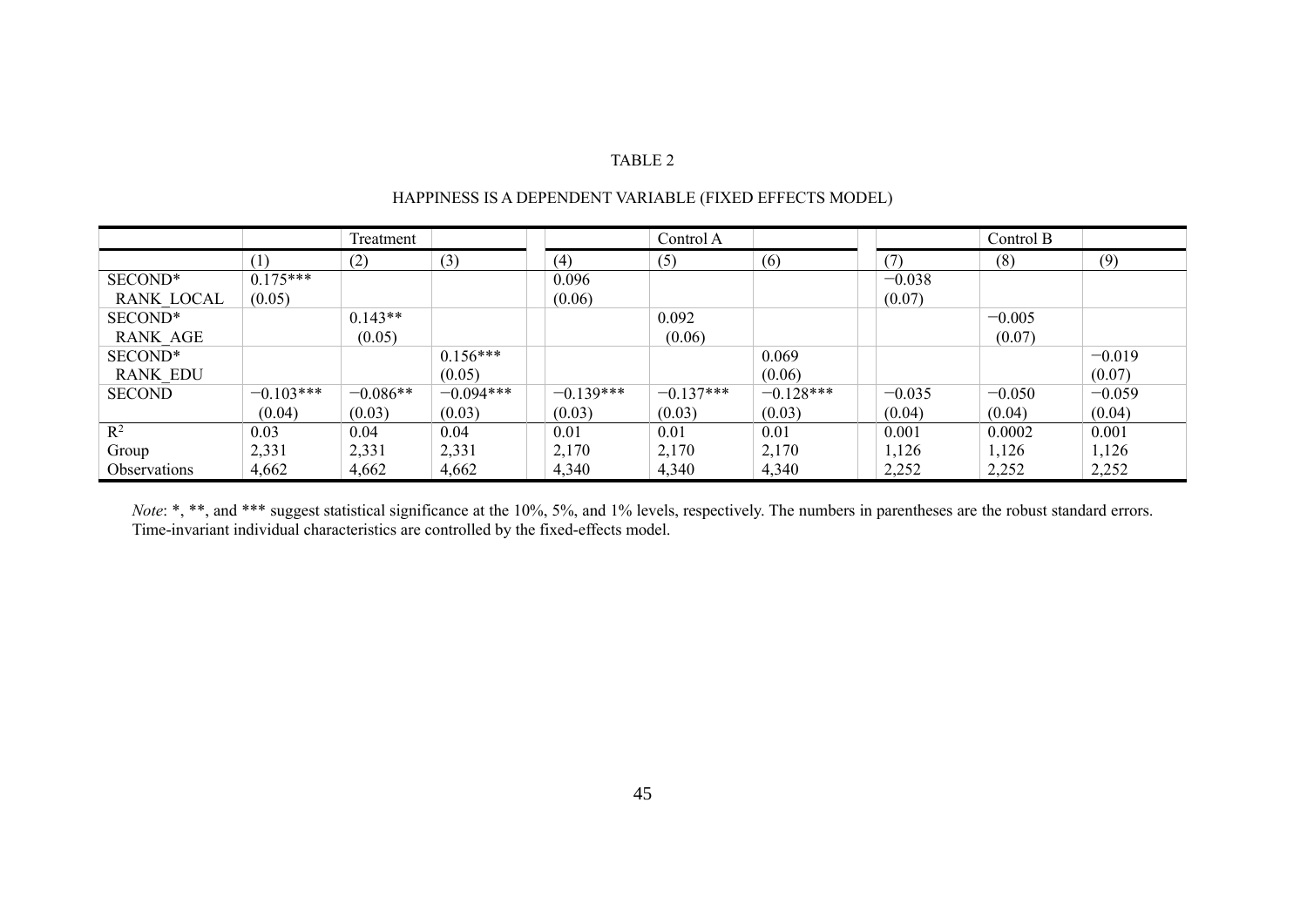|                     |             | Treatment  |             |             | Control A   |             |          | Control B |          |
|---------------------|-------------|------------|-------------|-------------|-------------|-------------|----------|-----------|----------|
|                     | (1)         | (2)        | (3)         | (4)         | (5)         | (6)         | (7)      | (8)       | (9)      |
| SECOND*             | $0.175***$  |            |             | 0.096       |             |             | $-0.038$ |           |          |
| <b>RANK LOCAL</b>   | (0.05)      |            |             | (0.06)      |             |             | (0.07)   |           |          |
| SECOND*             |             | $0.143**$  |             |             | 0.092       |             |          | $-0.005$  |          |
| <b>RANK AGE</b>     |             | (0.05)     |             |             | (0.06)      |             |          | (0.07)    |          |
| SECOND*             |             |            | $0.156***$  |             |             | 0.069       |          |           | $-0.019$ |
| <b>RANK EDU</b>     |             |            | (0.05)      |             |             | (0.06)      |          |           | (0.07)   |
| <b>SECOND</b>       | $-0.103***$ | $-0.086**$ | $-0.094***$ | $-0.139***$ | $-0.137***$ | $-0.128***$ | $-0.035$ | $-0.050$  | $-0.059$ |
|                     | (0.04)      | (0.03)     | (0.03)      | (0.03)      | (0.03)      | (0.03)      | (0.04)   | (0.04)    | (0.04)   |
| $\mathbf{R}^2$      | 0.03        | 0.04       | 0.04        | 0.01        | 0.01        | 0.01        | 0.001    | 0.0002    | 0.001    |
| Group               | 2,331       | 2,331      | 2,331       | 2,170       | 2,170       | 2,170       | 1,126    | 1,126     | 1,126    |
| <b>Observations</b> | 4,662       | 4,662      | 4,662       | 4,340       | 4,340       | 4,340       | 2,252    | 2,252     | 2,252    |

# HAPPINESS IS A DEPENDENT VARIABLE (FIXED EFFECTS MODEL)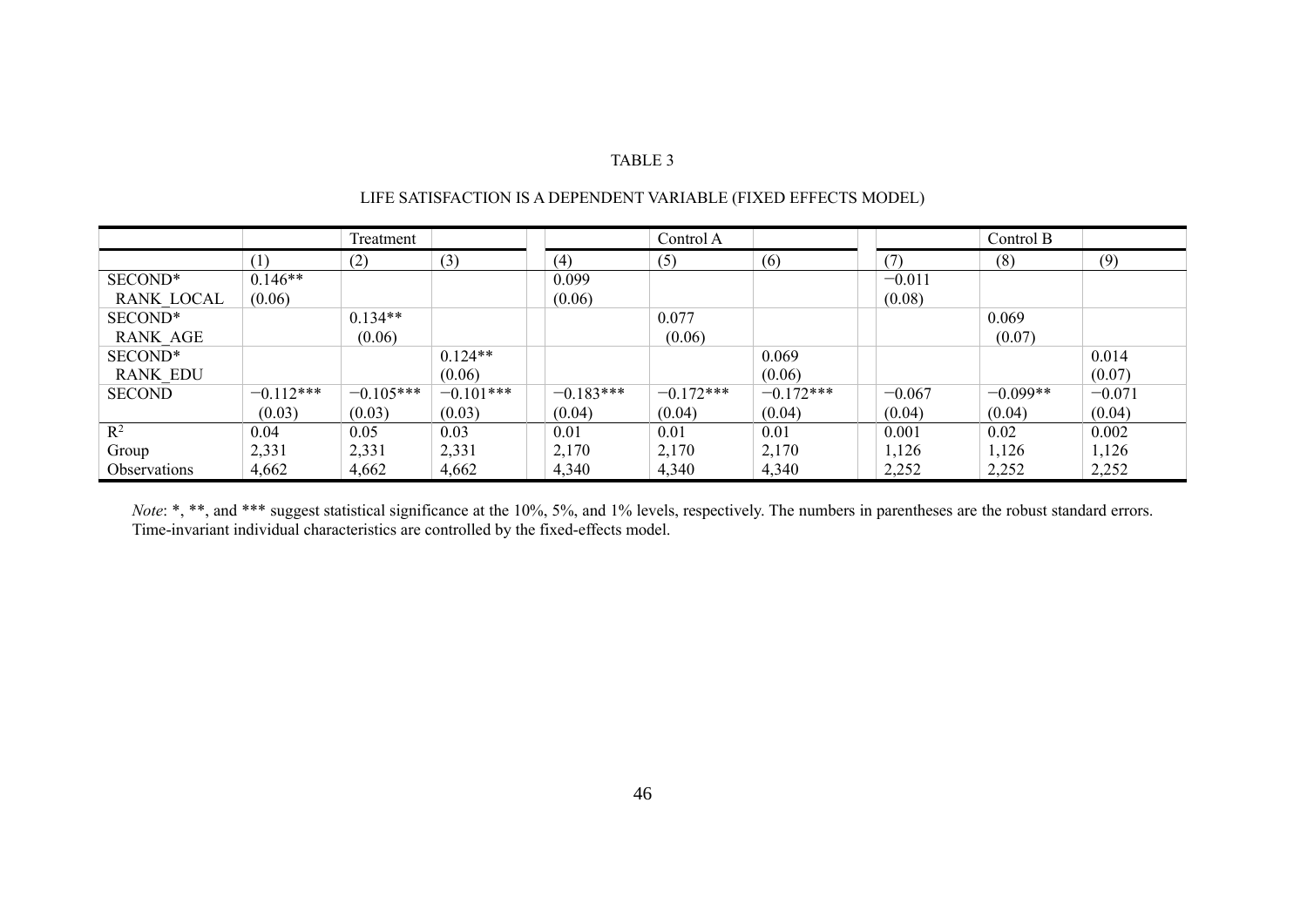|                     |             | Treatment   |             |             | Control A   |             |          | Control B  |          |
|---------------------|-------------|-------------|-------------|-------------|-------------|-------------|----------|------------|----------|
|                     | (1,         | (2)         | (3)         | (4)         | (5)         | (6)         | (7       | (8)        | (9)      |
| SECOND*             | $0.146**$   |             |             | 0.099       |             |             | $-0.011$ |            |          |
| <b>RANK LOCAL</b>   | (0.06)      |             |             | (0.06)      |             |             | (0.08)   |            |          |
| SECOND*             |             | $0.134**$   |             |             | 0.077       |             |          | 0.069      |          |
| <b>RANK AGE</b>     |             | (0.06)      |             |             | (0.06)      |             |          | (0.07)     |          |
| SECOND*             |             |             | $0.124**$   |             |             | 0.069       |          |            | 0.014    |
| <b>RANK EDU</b>     |             |             | (0.06)      |             |             | (0.06)      |          |            | (0.07)   |
| <b>SECOND</b>       | $-0.112***$ | $-0.105***$ | $-0.101***$ | $-0.183***$ | $-0.172***$ | $-0.172***$ | $-0.067$ | $-0.099**$ | $-0.071$ |
|                     | (0.03)      | (0.03)      | (0.03)      | (0.04)      | (0.04)      | (0.04)      | (0.04)   | (0.04)     | (0.04)   |
| $\mathbb{R}^2$      | 0.04        | 0.05        | 0.03        | 0.01        | 0.01        | 0.01        | 0.001    | 0.02       | 0.002    |
| Group               | 2,331       | 2,331       | 2,331       | 2,170       | 2,170       | 2,170       | 1,126    | 1,126      | 1,126    |
| <b>Observations</b> | 4,662       | 4,662       | 4,662       | 4,340       | 4,340       | 4,340       | 2,252    | 2,252      | 2,252    |

# LIFE SATISFACTION IS A DEPENDENT VARIABLE (FIXED EFFECTS MODEL)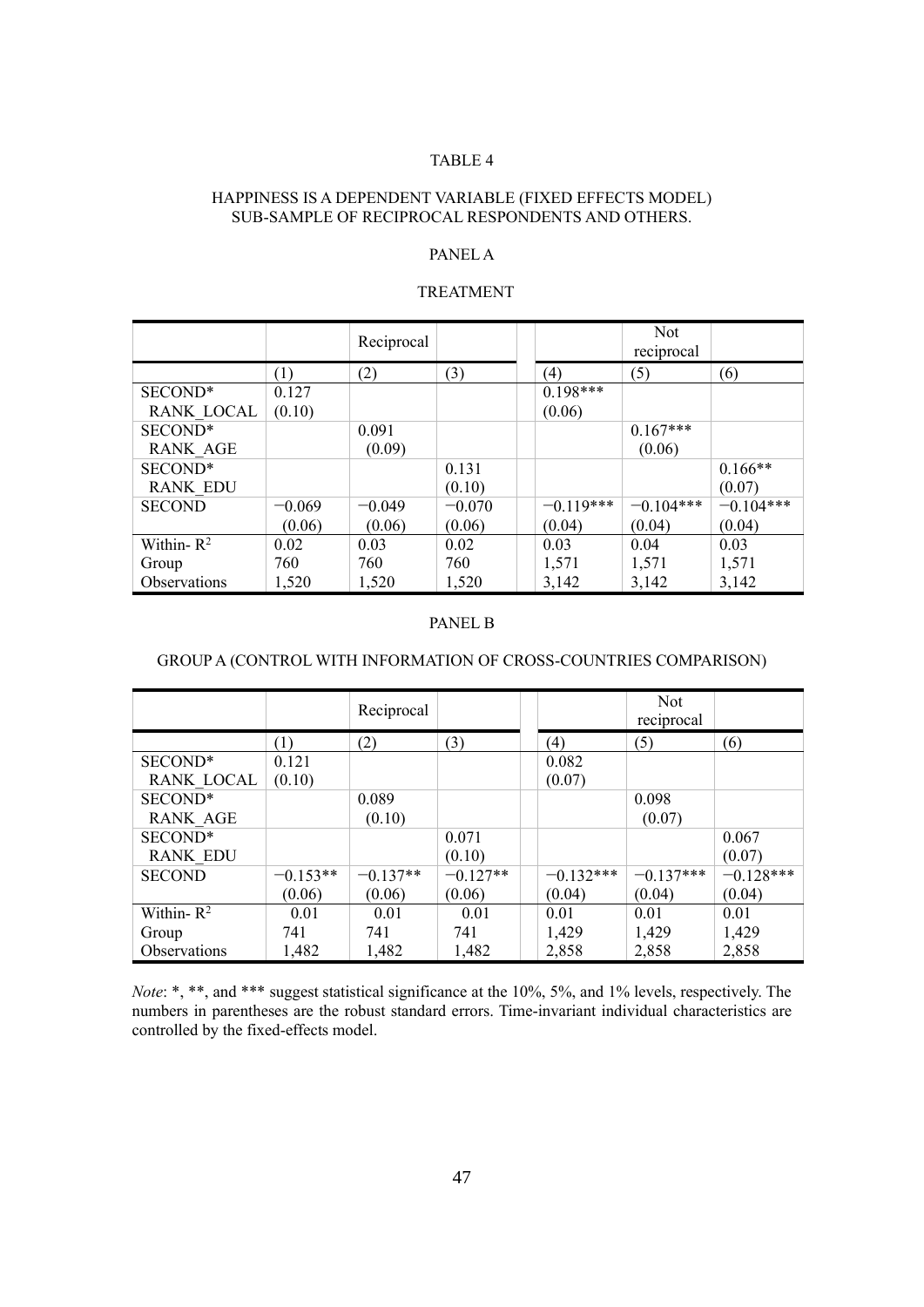## HAPPINESS IS A DEPENDENT VARIABLE (FIXED EFFECTS MODEL) SUB-SAMPLE OF RECIPROCAL RESPONDENTS AND OTHERS.

# PANEL A

# TREATMENT

|                   |          | Reciprocal |          |             | <b>Not</b><br>reciprocal |             |
|-------------------|----------|------------|----------|-------------|--------------------------|-------------|
|                   | (1)      | (2)        | (3)      | (4)         | (5)                      | (6)         |
| SECOND*           | 0.127    |            |          | $0.198***$  |                          |             |
| <b>RANK LOCAL</b> | (0.10)   |            |          | (0.06)      |                          |             |
| SECOND*           |          | 0.091      |          |             | $0.167***$               |             |
| <b>RANK AGE</b>   |          | (0.09)     |          |             | (0.06)                   |             |
| SECOND*           |          |            | 0.131    |             |                          | $0.166**$   |
| <b>RANK EDU</b>   |          |            | (0.10)   |             |                          | (0.07)      |
| <b>SECOND</b>     | $-0.069$ | $-0.049$   | $-0.070$ | $-0.119***$ | $-0.104***$              | $-0.104***$ |
|                   | (0.06)   | (0.06)     | (0.06)   | (0.04)      | (0.04)                   | (0.04)      |
| Within- $R^2$     | 0.02     | 0.03       | 0.02     | 0.03        | 0.04                     | 0.03        |
| Group             | 760      | 760        | 760      | 1,571       | 1,571                    | 1,571       |
| Observations      | 1,520    | 1,520      | 1,520    | 3,142       | 3,142                    | 3,142       |

#### PANEL B

## GROUP A (CONTROL WITH INFORMATION OF CROSS-COUNTRIES COMPARISON)

|                   |            | Reciprocal |            |             | <b>Not</b><br>reciprocal |             |
|-------------------|------------|------------|------------|-------------|--------------------------|-------------|
|                   | (1)        | (2)        | (3)        | (4)         | (5)                      | (6)         |
| SECOND*           | 0.121      |            |            | 0.082       |                          |             |
| <b>RANK LOCAL</b> | (0.10)     |            |            | (0.07)      |                          |             |
| SECOND*           |            | 0.089      |            |             | 0.098                    |             |
| <b>RANK AGE</b>   |            | (0.10)     |            |             | (0.07)                   |             |
| SECOND*           |            |            | 0.071      |             |                          | 0.067       |
| <b>RANK EDU</b>   |            |            | (0.10)     |             |                          | (0.07)      |
| <b>SECOND</b>     | $-0.153**$ | $-0.137**$ | $-0.127**$ | $-0.132***$ | $-0.137***$              | $-0.128***$ |
|                   | (0.06)     | (0.06)     | (0.06)     | (0.04)      | (0.04)                   | (0.04)      |
| Within- $R^2$     | 0.01       | 0.01       | 0.01       | 0.01        | 0.01                     | 0.01        |
| Group             | 741        | 741        | 741        | 1,429       | 1,429                    | 1,429       |
| Observations      | 1,482      | 1,482      | 1,482      | 2,858       | 2,858                    | 2,858       |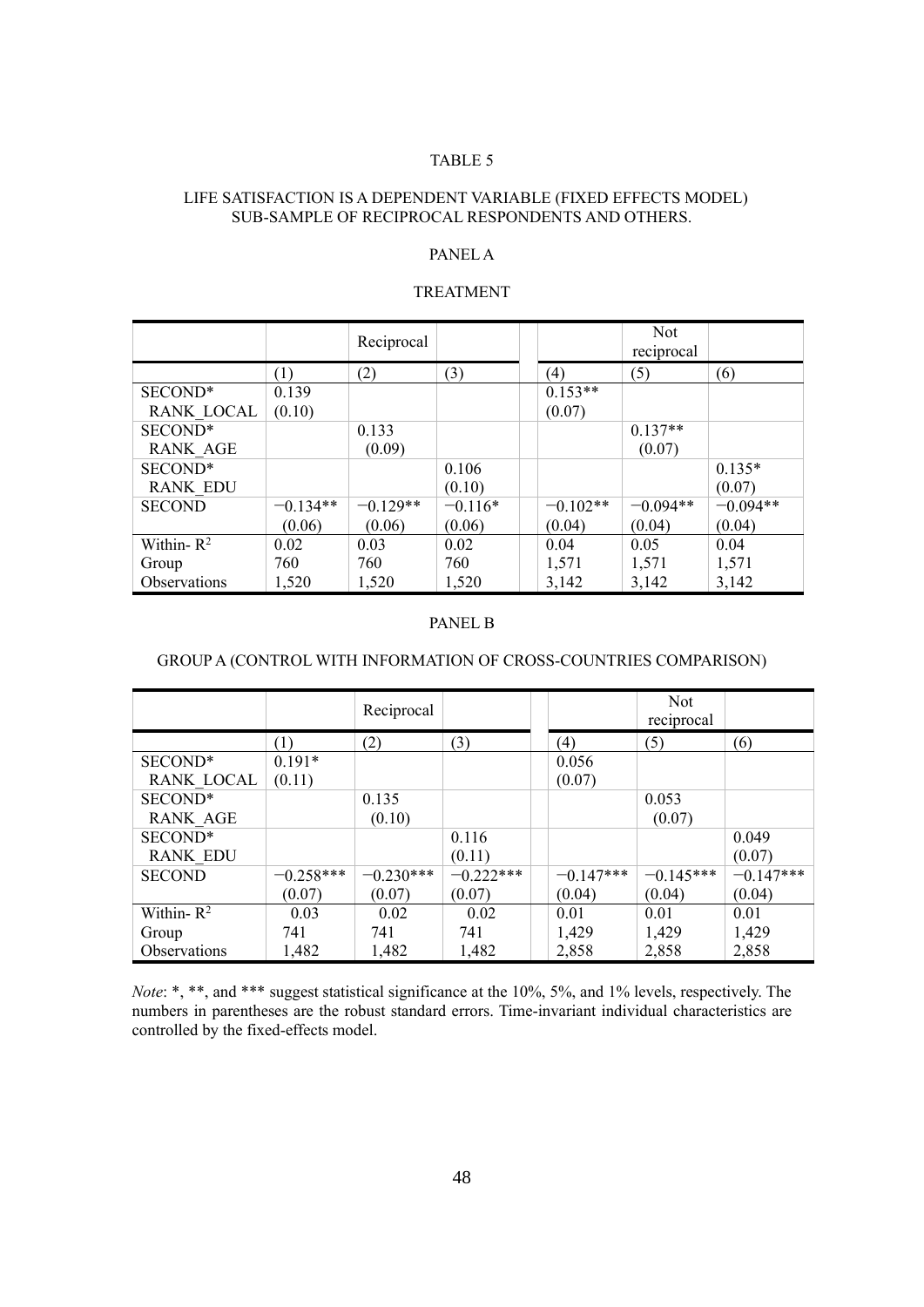## LIFE SATISFACTION IS A DEPENDENT VARIABLE (FIXED EFFECTS MODEL) SUB-SAMPLE OF RECIPROCAL RESPONDENTS AND OTHERS.

# PANEL A

#### TREATMENT

|                   |            | Reciprocal |           |            | <b>Not</b><br>reciprocal |            |
|-------------------|------------|------------|-----------|------------|--------------------------|------------|
|                   | (1)        | (2)        | (3)       | (4)        | (5)                      | (6)        |
| SECOND*           | 0.139      |            |           | $0.153**$  |                          |            |
| <b>RANK LOCAL</b> | (0.10)     |            |           | (0.07)     |                          |            |
| SECOND*           |            | 0.133      |           |            | $0.137**$                |            |
| <b>RANK AGE</b>   |            | (0.09)     |           |            | (0.07)                   |            |
| SECOND*           |            |            | 0.106     |            |                          | $0.135*$   |
| <b>RANK EDU</b>   |            |            | (0.10)    |            |                          | (0.07)     |
| <b>SECOND</b>     | $-0.134**$ | $-0.129**$ | $-0.116*$ | $-0.102**$ | $-0.094**$               | $-0.094**$ |
|                   | (0.06)     | (0.06)     | (0.06)    | (0.04)     | (0.04)                   | (0.04)     |
| Within- $R^2$     | 0.02       | 0.03       | 0.02      | 0.04       | 0.05                     | 0.04       |
| Group             | 760        | 760        | 760       | 1,571      | 1,571                    | 1,571      |
| Observations      | 1,520      | 1,520      | 1,520     | 3,142      | 3,142                    | 3,142      |

#### PANEL B

## GROUP A (CONTROL WITH INFORMATION OF CROSS-COUNTRIES COMPARISON)

|                     |             | Reciprocal  |             |             | <b>Not</b><br>reciprocal |             |
|---------------------|-------------|-------------|-------------|-------------|--------------------------|-------------|
|                     | (1)         | (2)         | (3)         | (4)         | (5)                      | (6)         |
| SECOND <sup>*</sup> | $0.191*$    |             |             | 0.056       |                          |             |
| <b>RANK LOCAL</b>   | (0.11)      |             |             | (0.07)      |                          |             |
| SECOND*             |             | 0.135       |             |             | 0.053                    |             |
| <b>RANK AGE</b>     |             | (0.10)      |             |             | (0.07)                   |             |
| SECOND*             |             |             | 0.116       |             |                          | 0.049       |
| <b>RANK EDU</b>     |             |             | (0.11)      |             |                          | (0.07)      |
| <b>SECOND</b>       | $-0.258***$ | $-0.230***$ | $-0.222***$ | $-0.147***$ | $-0.145***$              | $-0.147***$ |
|                     | (0.07)      | (0.07)      | (0.07)      | (0.04)      | (0.04)                   | (0.04)      |
| Within- $R^2$       | 0.03        | 0.02        | 0.02        | 0.01        | 0.01                     | 0.01        |
| Group               | 741         | 741         | 741         | 1,429       | 1,429                    | 1,429       |
| Observations        | 1,482       | 1,482       | 1,482       | 2,858       | 2,858                    | 2,858       |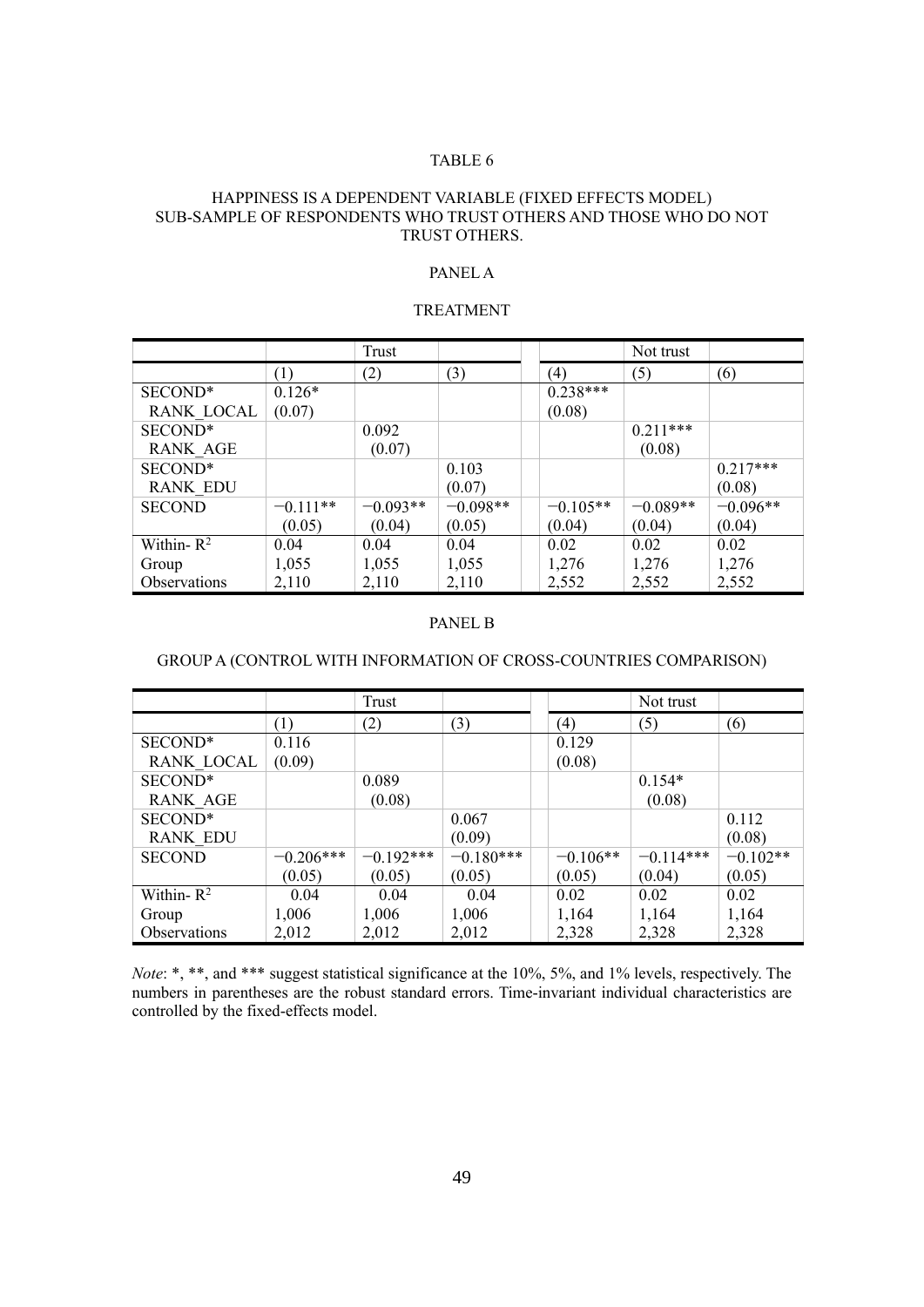#### HAPPINESS IS A DEPENDENT VARIABLE (FIXED EFFECTS MODEL) SUB-SAMPLE OF RESPONDENTS WHO TRUST OTHERS AND THOSE WHO DO NOT TRUST OTHERS.

## PANEL A

#### TREATMENT

|                 |            | Trust      |            |            | Not trust  |            |
|-----------------|------------|------------|------------|------------|------------|------------|
|                 | (1)        | (2)        | (3)        | (4)        | (5)        | (6)        |
| SECOND*         | $0.126*$   |            |            | $0.238***$ |            |            |
| RANK LOCAL      | (0.07)     |            |            | (0.08)     |            |            |
| SECOND*         |            | 0.092      |            |            | $0.211***$ |            |
| <b>RANK AGE</b> |            | (0.07)     |            |            | (0.08)     |            |
| SECOND*         |            |            | 0.103      |            |            | $0.217***$ |
| <b>RANK EDU</b> |            |            | (0.07)     |            |            | (0.08)     |
| <b>SECOND</b>   | $-0.111**$ | $-0.093**$ | $-0.098**$ | $-0.105**$ | $-0.089**$ | $-0.096**$ |
|                 | (0.05)     | (0.04)     | (0.05)     | (0.04)     | (0.04)     | (0.04)     |
| Within- $R^2$   | 0.04       | 0.04       | 0.04       | 0.02       | 0.02       | 0.02       |
| Group           | 1,055      | 1,055      | 1,055      | 1,276      | 1,276      | 1,276      |
| Observations    | 2,110      | 2,110      | 2,110      | 2,552      | 2,552      | 2,552      |

#### PANEL B

## GROUP A (CONTROL WITH INFORMATION OF CROSS-COUNTRIES COMPARISON)

|                     |             | Trust       |             |            | Not trust   |            |
|---------------------|-------------|-------------|-------------|------------|-------------|------------|
|                     | (1)         | (2)         | (3)         | (4)        | (5)         | (6)        |
| SECOND*             | 0.116       |             |             | 0.129      |             |            |
| <b>RANK LOCAL</b>   | (0.09)      |             |             | (0.08)     |             |            |
| SECOND*             |             | 0.089       |             |            | $0.154*$    |            |
| <b>RANK AGE</b>     |             | (0.08)      |             |            | (0.08)      |            |
| SECOND*             |             |             | 0.067       |            |             | 0.112      |
| <b>RANK EDU</b>     |             |             | (0.09)      |            |             | (0.08)     |
| <b>SECOND</b>       | $-0.206***$ | $-0.192***$ | $-0.180***$ | $-0.106**$ | $-0.114***$ | $-0.102**$ |
|                     | (0.05)      | (0.05)      | (0.05)      | (0.05)     | (0.04)      | (0.05)     |
| Within- $R^2$       | 0.04        | 0.04        | 0.04        | 0.02       | 0.02        | 0.02       |
| Group               | 1,006       | 1,006       | 1,006       | 1,164      | 1,164       | 1,164      |
| <b>Observations</b> | 2,012       | 2,012       | 2,012       | 2,328      | 2,328       | 2,328      |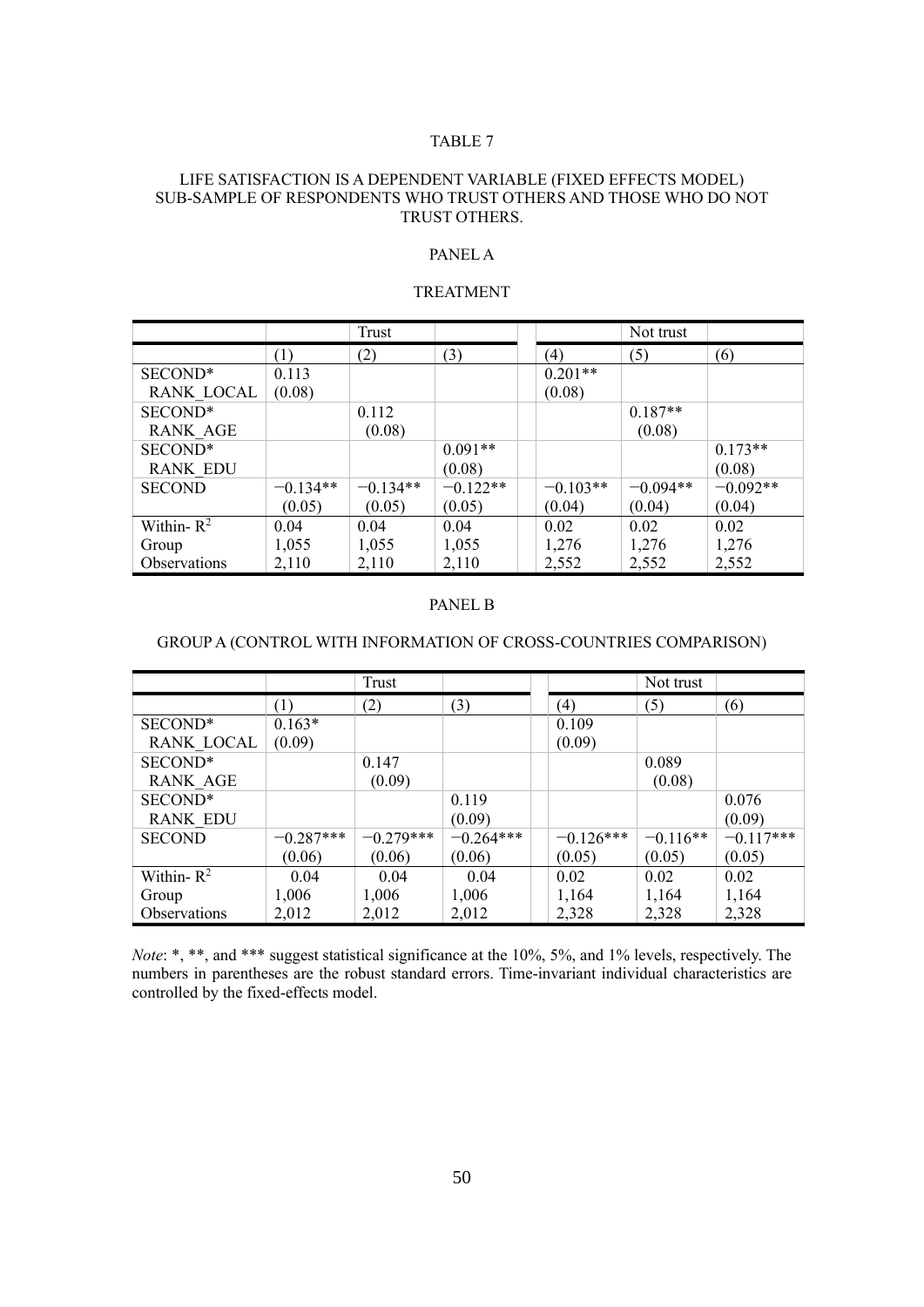#### LIFE SATISFACTION IS A DEPENDENT VARIABLE (FIXED EFFECTS MODEL) SUB-SAMPLE OF RESPONDENTS WHO TRUST OTHERS AND THOSE WHO DO NOT TRUST OTHERS.

#### PANEL A

#### TREATMENT

|                 |            | Trust      |            |            | Not trust  |            |
|-----------------|------------|------------|------------|------------|------------|------------|
|                 | (1)        | (2)        | (3)        | (4)        | (5)        | (6)        |
| SECOND*         | 0.113      |            |            | $0.201**$  |            |            |
| RANK LOCAL      | (0.08)     |            |            | (0.08)     |            |            |
| SECOND*         |            | 0.112      |            |            | $0.187**$  |            |
| <b>RANK AGE</b> |            | (0.08)     |            |            | (0.08)     |            |
| SECOND*         |            |            | $0.091**$  |            |            | $0.173**$  |
| <b>RANK EDU</b> |            |            | (0.08)     |            |            | (0.08)     |
| <b>SECOND</b>   | $-0.134**$ | $-0.134**$ | $-0.122**$ | $-0.103**$ | $-0.094**$ | $-0.092**$ |
|                 | (0.05)     | (0.05)     | (0.05)     | (0.04)     | (0.04)     | (0.04)     |
| Within- $R^2$   | 0.04       | 0.04       | 0.04       | 0.02       | 0.02       | 0.02       |
| Group           | 1,055      | 1,055      | 1,055      | 1,276      | 1,276      | 1,276      |
| Observations    | 2,110      | 2,110      | 2,110      | 2,552      | 2,552      | 2,552      |

#### PANEL B

## GROUP A (CONTROL WITH INFORMATION OF CROSS-COUNTRIES COMPARISON)

|                   |             | Trust       |             |                   | Not trust  |             |
|-------------------|-------------|-------------|-------------|-------------------|------------|-------------|
|                   | (1)         | (2)         | (3)         | $\left( 4\right)$ | (5)        | (6)         |
| SECOND*           | $0.163*$    |             |             | 0.109             |            |             |
| <b>RANK LOCAL</b> | (0.09)      |             |             | (0.09)            |            |             |
| SECOND*           |             | 0.147       |             |                   | 0.089      |             |
| <b>RANK AGE</b>   |             | (0.09)      |             |                   | (0.08)     |             |
| SECOND*           |             |             | 0.119       |                   |            | 0.076       |
| <b>RANK EDU</b>   |             |             | (0.09)      |                   |            | (0.09)      |
| <b>SECOND</b>     | $-0.287***$ | $-0.279***$ | $-0.264***$ | $-0.126***$       | $-0.116**$ | $-0.117***$ |
|                   | (0.06)      | (0.06)      | (0.06)      | (0.05)            | (0.05)     | (0.05)      |
| Within- $R^2$     | 0.04        | 0.04        | 0.04        | 0.02              | 0.02       | 0.02        |
| Group             | 1,006       | 1,006       | 1,006       | 1,164             | 1,164      | 1,164       |
| Observations      | 2,012       | 2,012       | 2,012       | 2,328             | 2,328      | 2,328       |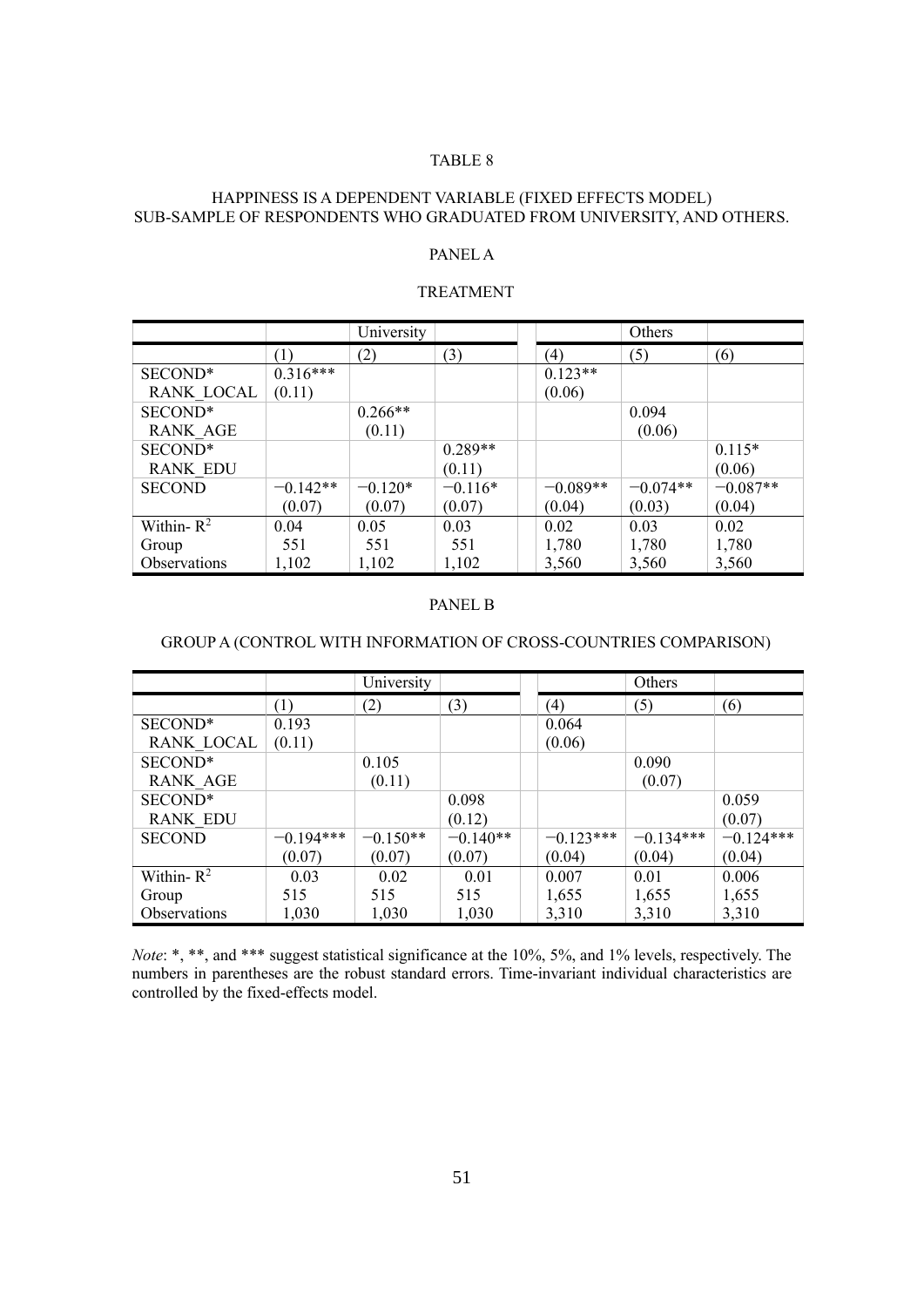## HAPPINESS IS A DEPENDENT VARIABLE (FIXED EFFECTS MODEL) SUB-SAMPLE OF RESPONDENTS WHO GRADUATED FROM UNIVERSITY, AND OTHERS.

# PANEL A

#### TREATMENT

|                   |            | University |           |            | Others     |            |
|-------------------|------------|------------|-----------|------------|------------|------------|
|                   | (1)        | (2)        | (3)       | (4)        | (5)        | (6)        |
| SECOND*           | $0.316***$ |            |           | $0.123**$  |            |            |
| <b>RANK LOCAL</b> | (0.11)     |            |           | (0.06)     |            |            |
| SECOND*           |            | $0.266**$  |           |            | 0.094      |            |
| <b>RANK AGE</b>   |            | (0.11)     |           |            | (0.06)     |            |
| SECOND*           |            |            | $0.289**$ |            |            | $0.115*$   |
| <b>RANK EDU</b>   |            |            | (0.11)    |            |            | (0.06)     |
| <b>SECOND</b>     | $-0.142**$ | $-0.120*$  | $-0.116*$ | $-0.089**$ | $-0.074**$ | $-0.087**$ |
|                   | (0.07)     | (0.07)     | (0.07)    | (0.04)     | (0.03)     | (0.04)     |
| Within- $R^2$     | 0.04       | 0.05       | 0.03      | 0.02       | 0.03       | 0.02       |
| Group             | 551        | 551        | 551       | 1,780      | 1,780      | 1,780      |
| Observations      | 1,102      | 1,102      | 1,102     | 3,560      | 3,560      | 3,560      |

#### PANEL B

## GROUP A (CONTROL WITH INFORMATION OF CROSS-COUNTRIES COMPARISON)

|                 |             | University |            |             | Others      |             |
|-----------------|-------------|------------|------------|-------------|-------------|-------------|
|                 | (1)         | (2)        | (3)        | (4)         | (5)         | (6)         |
| SECOND*         | 0.193       |            |            | 0.064       |             |             |
| RANK LOCAL      | (0.11)      |            |            | (0.06)      |             |             |
| SECOND*         |             | 0.105      |            |             | 0.090       |             |
| <b>RANK AGE</b> |             | (0.11)     |            |             | (0.07)      |             |
| SECOND*         |             |            | 0.098      |             |             | 0.059       |
| <b>RANK EDU</b> |             |            | (0.12)     |             |             | (0.07)      |
| <b>SECOND</b>   | $-0.194***$ | $-0.150**$ | $-0.140**$ | $-0.123***$ | $-0.134***$ | $-0.124***$ |
|                 | (0.07)      | (0.07)     | (0.07)     | (0.04)      | (0.04)      | (0.04)      |
| Within- $R^2$   | 0.03        | 0.02       | 0.01       | 0.007       | 0.01        | 0.006       |
| Group           | 515         | 515        | 515        | 1,655       | 1,655       | 1,655       |
| Observations    | 1,030       | 1,030      | 1,030      | 3,310       | 3,310       | 3,310       |

*Note*: \*, \*\*, and \*\*\* suggest statistical significance at the 10%, 5%, and 1% levels, respectively. The numbers in parentheses are the robust standard errors. Time-invariant individual characteristics are controlled by the fixed-effects model.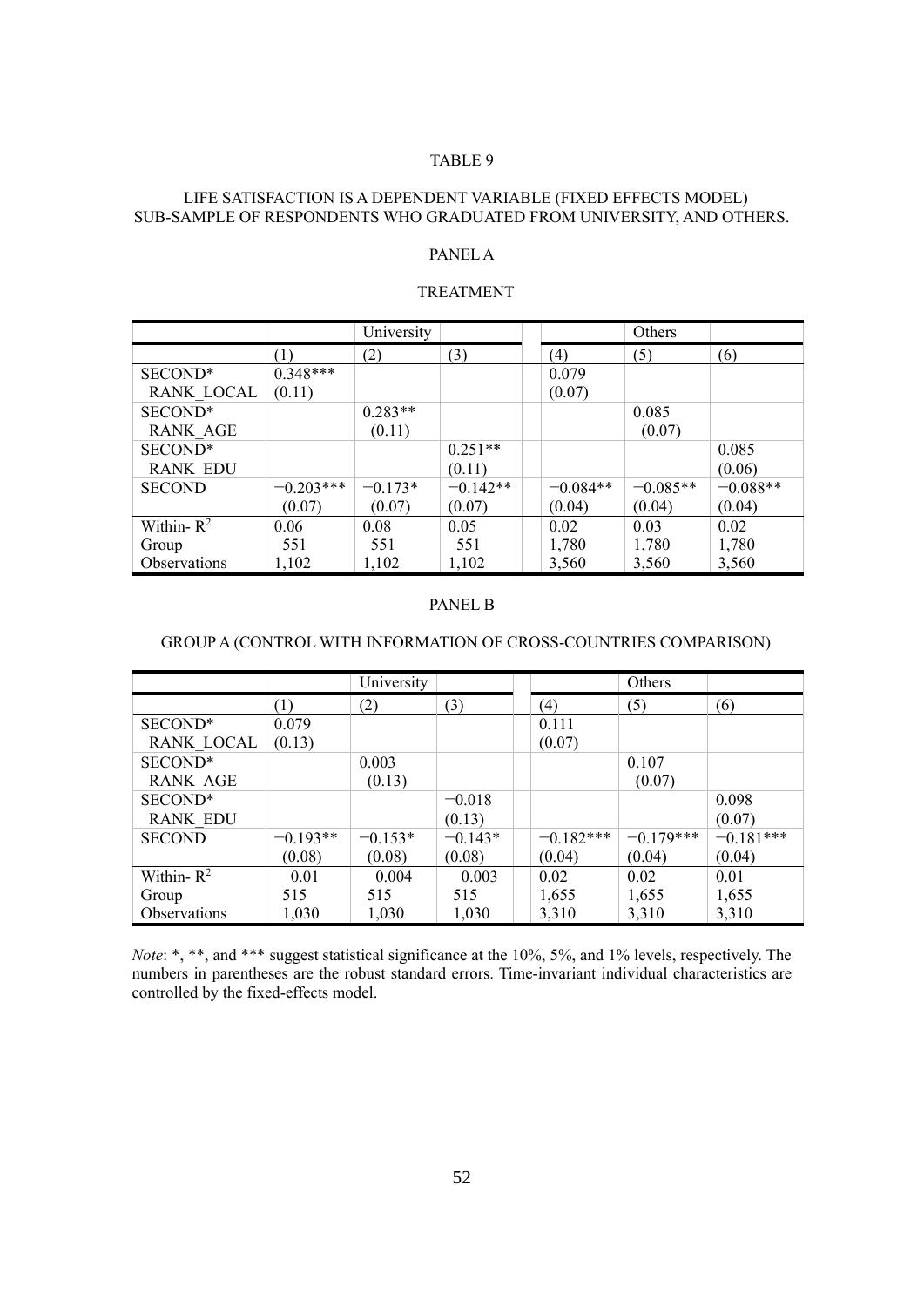## LIFE SATISFACTION IS A DEPENDENT VARIABLE (FIXED EFFECTS MODEL) SUB-SAMPLE OF RESPONDENTS WHO GRADUATED FROM UNIVERSITY, AND OTHERS.

# PANEL A

#### TREATMENT

|                 |             | University |            |            | Others     |            |
|-----------------|-------------|------------|------------|------------|------------|------------|
|                 | (1)         | (2)        | (3)        | (4)        | (5)        | (6)        |
| SECOND*         | $0.348***$  |            |            | 0.079      |            |            |
| RANK LOCAL      | (0.11)      |            |            | (0.07)     |            |            |
| SECOND*         |             | $0.283**$  |            |            | 0.085      |            |
| <b>RANK AGE</b> |             | (0.11)     |            |            | (0.07)     |            |
| SECOND*         |             |            | $0.251**$  |            |            | 0.085      |
| <b>RANK EDU</b> |             |            | (0.11)     |            |            | (0.06)     |
| <b>SECOND</b>   | $-0.203***$ | $-0.173*$  | $-0.142**$ | $-0.084**$ | $-0.085**$ | $-0.088**$ |
|                 | (0.07)      | (0.07)     | (0.07)     | (0.04)     | (0.04)     | (0.04)     |
| Within- $R^2$   | 0.06        | 0.08       | 0.05       | 0.02       | 0.03       | 0.02       |
| Group           | 551         | 551        | 551        | 1,780      | 1,780      | 1,780      |
| Observations    | 1,102       | 1,102      | 1,102      | 3,560      | 3,560      | 3,560      |

#### PANEL B

## GROUP A (CONTROL WITH INFORMATION OF CROSS-COUNTRIES COMPARISON)

|                   |            | University |           |                   | Others      |             |
|-------------------|------------|------------|-----------|-------------------|-------------|-------------|
|                   | (1)        | (2)        | (3)       | $\left( 4\right)$ | (5)         | (6)         |
| SECOND*           | 0.079      |            |           | 0.111             |             |             |
| <b>RANK LOCAL</b> | (0.13)     |            |           | (0.07)            |             |             |
| SECOND*           |            | 0.003      |           |                   | 0.107       |             |
| <b>RANK AGE</b>   |            | (0.13)     |           |                   | (0.07)      |             |
| SECOND*           |            |            | $-0.018$  |                   |             | 0.098       |
| <b>RANK EDU</b>   |            |            | (0.13)    |                   |             | (0.07)      |
| <b>SECOND</b>     | $-0.193**$ | $-0.153*$  | $-0.143*$ | $-0.182***$       | $-0.179***$ | $-0.181***$ |
|                   | (0.08)     | (0.08)     | (0.08)    | (0.04)            | (0.04)      | (0.04)      |
| Within- $R^2$     | 0.01       | 0.004      | 0.003     | 0.02              | 0.02        | 0.01        |
| Group             | 515        | 515        | 515       | 1,655             | 1,655       | 1,655       |
| Observations      | 1,030      | 1,030      | 1,030     | 3,310             | 3,310       | 3,310       |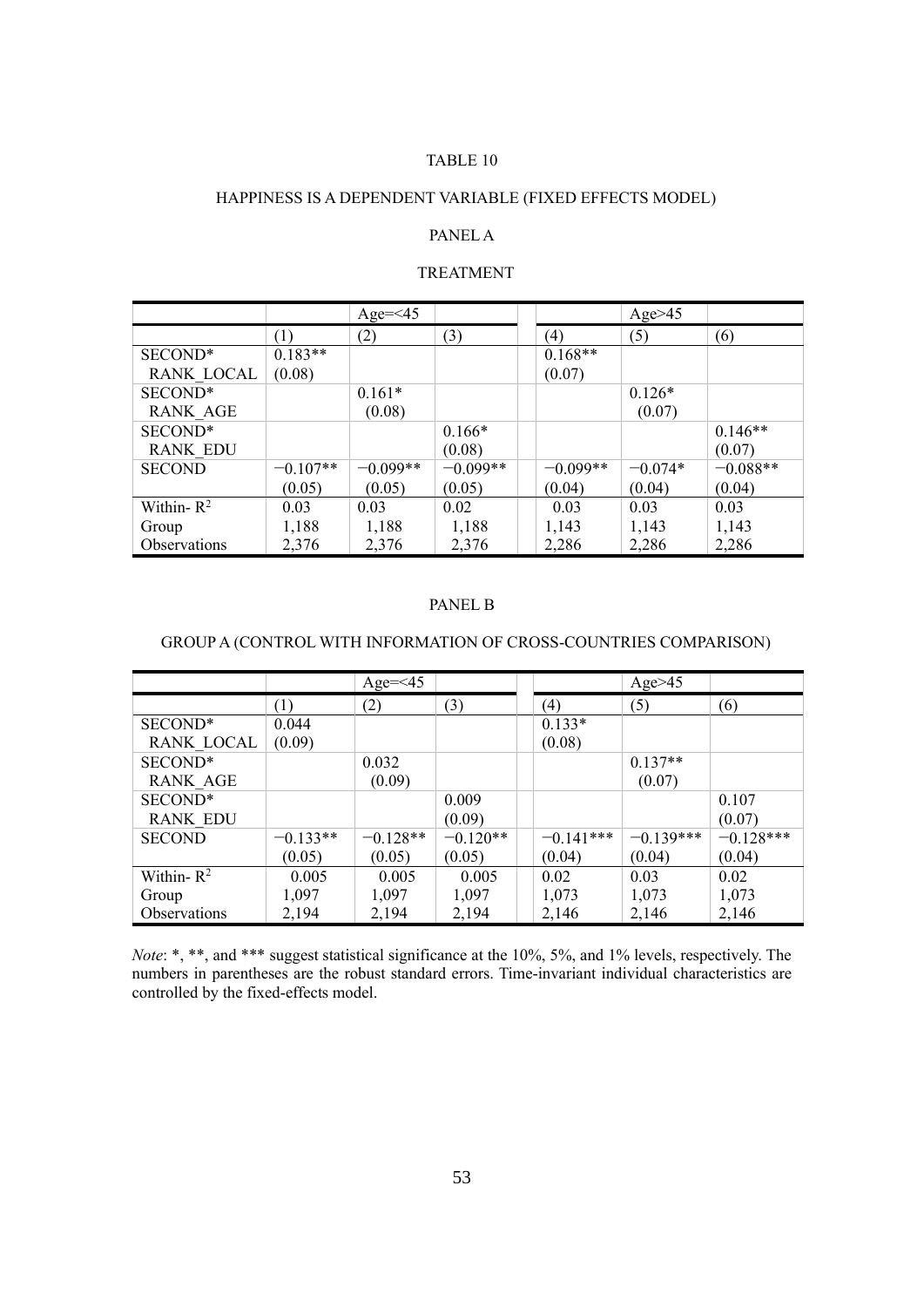# HAPPINESS IS A DEPENDENT VARIABLE (FIXED EFFECTS MODEL)

# PANEL A

# TREATMENT

|                     |            | Age= $\leq$ 45 |            |            | Age $>45$ |            |
|---------------------|------------|----------------|------------|------------|-----------|------------|
|                     | (1)        | (2)            | (3)        | (4)        | (5)       | (6)        |
| SECOND*             | $0.183**$  |                |            | $0.168**$  |           |            |
| RANK LOCAL          | (0.08)     |                |            | (0.07)     |           |            |
| SECOND*             |            | $0.161*$       |            |            | $0.126*$  |            |
| <b>RANK AGE</b>     |            | (0.08)         |            |            | (0.07)    |            |
| SECOND*             |            |                | $0.166*$   |            |           | $0.146**$  |
| <b>RANK EDU</b>     |            |                | (0.08)     |            |           | (0.07)     |
| <b>SECOND</b>       | $-0.107**$ | $-0.099**$     | $-0.099**$ | $-0.099**$ | $-0.074*$ | $-0.088**$ |
|                     | (0.05)     | (0.05)         | (0.05)     | (0.04)     | (0.04)    | (0.04)     |
| Within- $R^2$       | 0.03       | 0.03           | 0.02       | 0.03       | 0.03      | 0.03       |
| Group               | 1,188      | 1,188          | 1,188      | 1,143      | 1,143     | 1,143      |
| <b>Observations</b> | 2,376      | 2,376          | 2,376      | 2,286      | 2,286     | 2,286      |

## PANEL B

## GROUP A (CONTROL WITH INFORMATION OF CROSS-COUNTRIES COMPARISON)

|                 |            | $Age=<45$  |            |             | Age $>45$   |             |
|-----------------|------------|------------|------------|-------------|-------------|-------------|
|                 | (1)        | (2)        | (3)        | (4)         | (5)         | (6)         |
| SECOND*         | 0.044      |            |            | $0.133*$    |             |             |
| RANK LOCAL      | (0.09)     |            |            | (0.08)      |             |             |
| SECOND*         |            | 0.032      |            |             | $0.137**$   |             |
| <b>RANK AGE</b> |            | (0.09)     |            |             | (0.07)      |             |
| SECOND*         |            |            | 0.009      |             |             | 0.107       |
| <b>RANK EDU</b> |            |            | (0.09)     |             |             | (0.07)      |
| <b>SECOND</b>   | $-0.133**$ | $-0.128**$ | $-0.120**$ | $-0.141***$ | $-0.139***$ | $-0.128***$ |
|                 | (0.05)     | (0.05)     | (0.05)     | (0.04)      | (0.04)      | (0.04)      |
| Within- $R^2$   | 0.005      | 0.005      | 0.005      | 0.02        | 0.03        | 0.02        |
| Group           | 1,097      | 1,097      | 1,097      | 1,073       | 1,073       | 1,073       |
| Observations    | 2,194      | 2,194      | 2,194      | 2,146       | 2,146       | 2,146       |